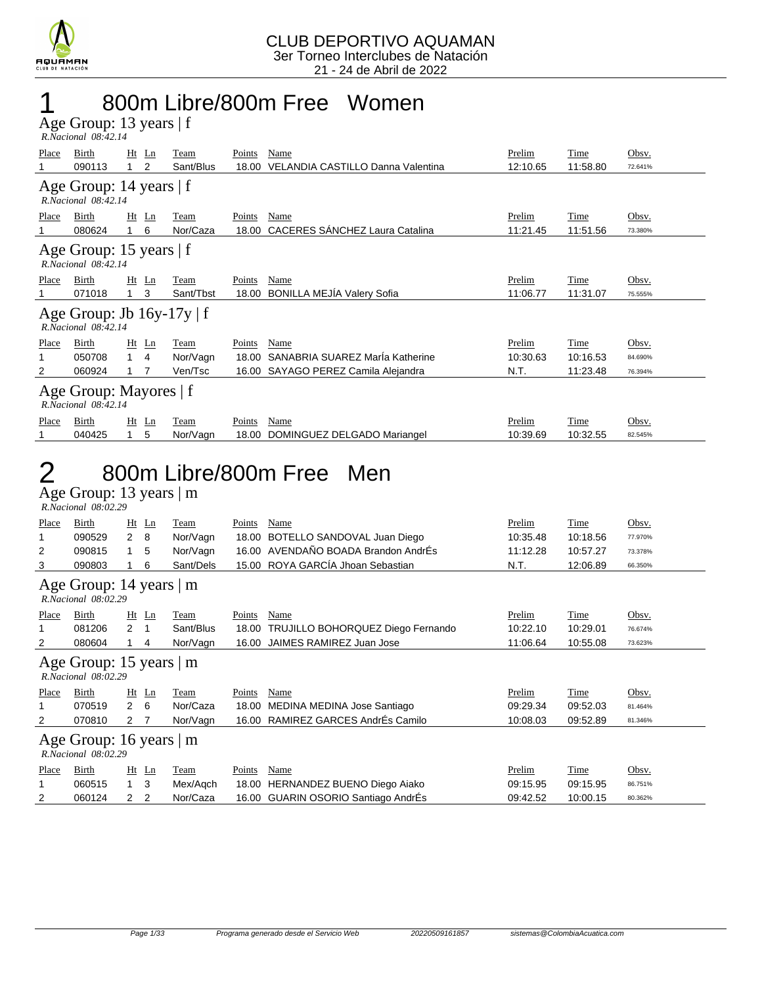

### 1 800m Libre/800m Free Women

Age Group: 13 years | f  *R.Nacional 08:42.14* 

| Place                                             | Birth<br>090113                                       | $Ht$ Ln<br>2 | Team<br>Sant/Blus | Points<br>18.00 | Name<br>VELANDIA CASTILLO Danna Valentina | Prelim<br>12:10.65 | Time<br>11:58.80 | Obsv.<br>72.641% |  |  |  |  |  |
|---------------------------------------------------|-------------------------------------------------------|--------------|-------------------|-----------------|-------------------------------------------|--------------------|------------------|------------------|--|--|--|--|--|
|                                                   | Age Group: 14 years   f<br>R.Nacional 08:42.14        |              |                   |                 |                                           |                    |                  |                  |  |  |  |  |  |
| Place                                             | Birth                                                 | $Ht$ Ln      | Team              | Points          | Name                                      | Prelim             | Time             | Obsv.            |  |  |  |  |  |
|                                                   | 080624                                                | 6            | Nor/Caza          | 18.00           | CACERES SÁNCHEZ Laura Catalina            | 11:21.45           | 11:51.56         | 73.380%          |  |  |  |  |  |
| Age Group: 15 years   f<br>$R. Nacional$ 08:42.14 |                                                       |              |                   |                 |                                           |                    |                  |                  |  |  |  |  |  |
| Place                                             | Birth                                                 | $Ht$ Ln      | Team              | Points          | Name                                      | Prelim             | Time             | Obsv.            |  |  |  |  |  |
|                                                   | 071018                                                | 3            | Sant/Tbst         | 18.00           | <b>BONILLA MEJIA Valery Sofia</b>         | 11:06.77           | 11:31.07         | 75.555%          |  |  |  |  |  |
|                                                   | Age Group: Jb $16y-17y \mid f$<br>R.Nacional 08:42.14 |              |                   |                 |                                           |                    |                  |                  |  |  |  |  |  |
| Place                                             | Birth                                                 | $Ht$ Ln      | Team              | Points          | Name                                      | Prelim             | Time             | Obsv.            |  |  |  |  |  |
|                                                   | 050708                                                | $1 \quad 4$  | Nor/Vagn          | 18.00           | SANABRIA SUAREZ Marla Katherine           | 10:30.63           | 10:16.53         | 84.690%          |  |  |  |  |  |
| 2                                                 | 060924                                                |              | Ven/Tsc           | 16.00           | SAYAGO PEREZ Camila Alejandra             | N.T.               | 11:23.48         | 76.394%          |  |  |  |  |  |
| Age Group: Mayores   f<br>R.Nacional 08:42.14     |                                                       |              |                   |                 |                                           |                    |                  |                  |  |  |  |  |  |
| Place                                             | Birth                                                 | Ht<br>Ln     | Team              | Points          | Name                                      | Prelim             | Time             | Obsv.            |  |  |  |  |  |
|                                                   | 040425                                                | 5            | Nor/Vagn          | 18.00           | DOMINGUEZ DELGADO Mariangel               | 10:39.69           | 10:32.55         | 82.545%          |  |  |  |  |  |

### 2 800m Libre/800m Free Men

Age Group: 13 years | m  *R.Nacional 08:02.29* 

| Place                                                | Birth                                          | Ht                   | Ln           | Team        | Points        | Name                                | Prelim   | Time        | Obsv.   |  |  |
|------------------------------------------------------|------------------------------------------------|----------------------|--------------|-------------|---------------|-------------------------------------|----------|-------------|---------|--|--|
|                                                      | 090529                                         | $\overline{2}$       | 8            | Nor/Vagn    | 18.00         | BOTELLO SANDOVAL Juan Diego         | 10:35.48 | 10:18.56    | 77.970% |  |  |
| 2                                                    | 090815                                         | 1                    | 5            | Nor/Vagn    | 16.00         | AVENDAÑO BOADA Brandon AndrÉs       | 11:12.28 | 10:57.27    | 73.378% |  |  |
| 3                                                    | 090803                                         |                      | 6            | Sant/Dels   |               | 15.00 ROYA GARCÍA Jhoan Sebastian   | N.T.     | 12:06.89    | 66.350% |  |  |
| Age Group: 14 years   m<br>R.Nacional 08:02.29       |                                                |                      |              |             |               |                                     |          |             |         |  |  |
| Place                                                | Birth                                          |                      | $Ht$ Ln      | Team        | Points        | Name                                | Prelim   | <b>Time</b> | Obsv.   |  |  |
|                                                      | 081206                                         | $\mathbf{2}^{\circ}$ | $\mathbf{1}$ | Sant/Blus   | 18.00         | TRUJILLO BOHORQUEZ Diego Fernando   | 10:22.10 | 10:29.01    | 76.674% |  |  |
| 2                                                    | 080604                                         |                      | 4            | Nor/Vagn    | 16.00         | JAIMES RAMIREZ Juan Jose            | 11:06.64 | 10:55.08    | 73.623% |  |  |
|                                                      | Age Group: 15 years   m<br>R.Nacional 08:02.29 |                      |              |             |               |                                     |          |             |         |  |  |
| <b>Place</b>                                         | Birth                                          |                      | $Ht$ Ln      | <b>Team</b> | <b>Points</b> | Name                                | Prelim   | Time        | Obsv.   |  |  |
|                                                      | 070519                                         | $2\quad 6$           |              | Nor/Caza    | 18.00         | MEDINA MEDINA Jose Santiago         | 09:29.34 | 09:52.03    | 81.464% |  |  |
| 2                                                    | 070810                                         | 2 <sub>7</sub>       |              | Nor/Vagn    | 16.00         | RAMIREZ GARCES AndrÉs Camilo        | 10:08.03 | 09:52.89    | 81.346% |  |  |
| Age Group: 16 years $\vert$ m<br>R.Nacional 08:02.29 |                                                |                      |              |             |               |                                     |          |             |         |  |  |
| Place                                                | Birth                                          |                      | Ht Ln        | Team        | Points        | Name                                | Prelim   | Time        | Obsv.   |  |  |
|                                                      | 060515                                         | $1 \quad$            | 3            | Mex/Agch    | 18.00         | HERNANDEZ BUENO Diego Aiako         | 09:15.95 | 09:15.95    | 86.751% |  |  |
| 2                                                    | 060124                                         | 2                    | 2            | Nor/Caza    |               | 16.00 GUARIN OSORIO Santiago AndrÉs | 09:42.52 | 10:00.15    | 80.362% |  |  |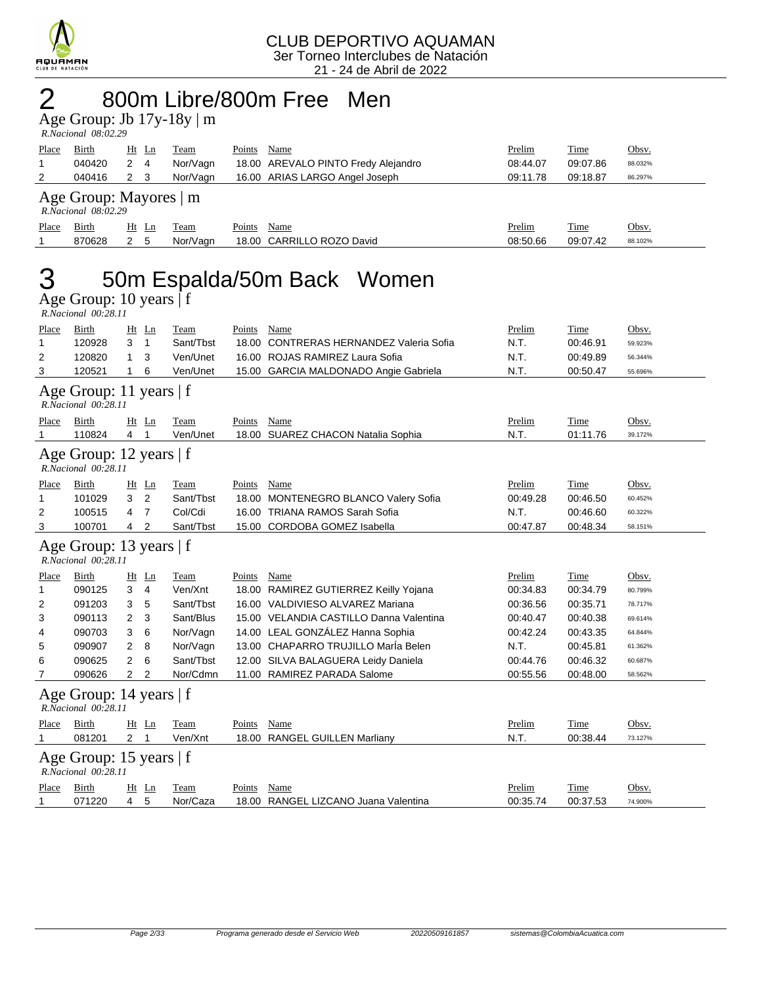

# $2$  800m Libre/800m Free Men

|                                                                                  | Age Group: Jb $17y-18y \mid m$ |  |
|----------------------------------------------------------------------------------|--------------------------------|--|
| $P_{11}$ $P_{22}$ $P_{33}$ $P_{14}$ $P_{15}$ $P_{16}$ $P_{17}$ $P_{18}$ $P_{19}$ |                                |  |

| R.Nacional 08:02.29 |  |
|---------------------|--|

| Place                                              | <b>Birth</b> | $Ht$ Ln     | Team     | Points<br>Name                      | Prelim   | <b>Time</b> | Obsv.   |  |  |  |
|----------------------------------------------------|--------------|-------------|----------|-------------------------------------|----------|-------------|---------|--|--|--|
|                                                    | 040420       | $2 \quad 4$ | Nor/Vagn | 18.00 AREVALO PINTO Fredy Alejandro | 08:44.07 | 09:07.86    | 88.032% |  |  |  |
|                                                    | 040416       | 2 3         | Nor/Vagn | 16.00 ARIAS LARGO Angel Joseph      | 09:11.78 | 09:18.87    | 86.297% |  |  |  |
| Age Group: Mayores   m<br>$R. Nacional$ $08:02.29$ |              |             |          |                                     |          |             |         |  |  |  |
| Place                                              | Birth        | Ht Ln       | Team     | Name<br>Points                      | Prelim   | Time        | Obsv.   |  |  |  |
|                                                    | 870628       | 2 5         | Nor/Vagn | 18.00 CARRILLO ROZO David           | 08:50.66 | 09:07.42    | 88.102% |  |  |  |
|                                                    |              |             |          |                                     |          |             |         |  |  |  |

## 3 50m Espalda/50m Back Women

### Age Group: 10 years | f

|                   |    | R.Nacional 00:28.11 |  |
|-------------------|----|---------------------|--|
| D <sub>0.00</sub> | D: |                     |  |

| Place                                            | Birth                                            | Ht             | Ln             | Team      | Points | Name                                     | Prelim   | Time     | Obsv.   |  |  |  |
|--------------------------------------------------|--------------------------------------------------|----------------|----------------|-----------|--------|------------------------------------------|----------|----------|---------|--|--|--|
| 1                                                | 120928                                           | 3              | 1              | Sant/Tbst | 18.00  | <b>CONTRERAS HERNANDEZ Valeria Sofia</b> | N.T.     | 00:46.91 | 59.923% |  |  |  |
| 2                                                | 120820                                           | 1              | 3              | Ven/Unet  |        | 16.00 ROJAS RAMIREZ Laura Sofia          | N.T.     | 00:49.89 | 56.344% |  |  |  |
| 3                                                | 120521                                           | 1              | 6              | Ven/Unet  |        | 15.00 GARCIA MALDONADO Angie Gabriela    | N.T.     | 00:50.47 | 55.696% |  |  |  |
|                                                  | Age Group: 11 years   f<br>R.Nacional 00:28.11   |                |                |           |        |                                          |          |          |         |  |  |  |
| Place                                            | Birth                                            | Ht Ln          |                | Team      | Points | Name                                     | Prelim   | Time     | Obsv.   |  |  |  |
| 1                                                | 110824                                           | 4              | 1              | Ven/Unet  |        | 18.00 SUAREZ CHACON Natalia Sophia       | N.T.     | 01:11.76 | 39.172% |  |  |  |
| Age Group: 12 years   f<br>R.Nacional 00:28.11   |                                                  |                |                |           |        |                                          |          |          |         |  |  |  |
| Place                                            | Birth                                            | $Ht$ Ln        |                | Team      | Points | <b>Name</b>                              | Prelim   | Time     | Obsv.   |  |  |  |
| 1                                                | 101029                                           | 3              | 2              | Sant/Tbst |        | 18.00 MONTENEGRO BLANCO Valery Sofia     | 00:49.28 | 00:46.50 | 60.452% |  |  |  |
| 2                                                | 100515                                           | 4              | $\overline{7}$ | Col/Cdi   |        | 16.00 TRIANA RAMOS Sarah Sofia           | N.T.     | 00:46.60 | 60.322% |  |  |  |
| 3                                                | 100701                                           | 4              | $\overline{2}$ | Sant/Tbst |        | 15.00 CORDOBA GOMEZ Isabella             | 00:47.87 | 00:48.34 | 58.151% |  |  |  |
| Age Group: 13 years   f<br>R.Nacional 00:28.11   |                                                  |                |                |           |        |                                          |          |          |         |  |  |  |
| Place                                            | Birth                                            | $Ht$ Ln        |                | Team      | Points | Name                                     | Prelim   | Time     | Obsv.   |  |  |  |
| 1                                                | 090125                                           | 3              | 4              | Ven/Xnt   |        | 18.00 RAMIREZ GUTIERREZ Keilly Yojana    | 00:34.83 | 00:34.79 | 80.799% |  |  |  |
| 2                                                | 091203                                           | 3              | 5              | Sant/Tbst |        | 16.00 VALDIVIESO ALVAREZ Mariana         | 00:36.56 | 00:35.71 | 78.717% |  |  |  |
| 3                                                | 090113                                           | $\overline{2}$ | 3              | Sant/Blus |        | 15.00 VELANDIA CASTILLO Danna Valentina  | 00:40.47 | 00:40.38 | 69.614% |  |  |  |
| 4                                                | 090703                                           | 3              | 6              | Nor/Vagn  |        | 14.00 LEAL GONZÁLEZ Hanna Sophia         | 00:42.24 | 00:43.35 | 64.844% |  |  |  |
| 5                                                | 090907                                           | 2              | 8              | Nor/Vagn  |        | 13.00 CHAPARRO TRUJILLO Marla Belen      | N.T.     | 00:45.81 | 61.362% |  |  |  |
| 6                                                | 090625                                           | 2              | 6              | Sant/Tbst |        | 12.00 SILVA BALAGUERA Leidy Daniela      | 00:44.76 | 00:46.32 | 60.687% |  |  |  |
| 7                                                | 090626                                           | $\overline{2}$ | 2              | Nor/Cdmn  |        | 11.00 RAMIREZ PARADA Salome              | 00:55.56 | 00:48.00 | 58.562% |  |  |  |
| Age Group: 14 years $ f $<br>R.Nacional 00:28.11 |                                                  |                |                |           |        |                                          |          |          |         |  |  |  |
| <u>Place</u>                                     | <b>Birth</b>                                     | Ht             | Ln             | Team      | Points | Name                                     | Prelim   | Time     | Obsv.   |  |  |  |
| 1                                                | 081201                                           | $\overline{2}$ | 1              | Ven/Xnt   |        | 18.00 RANGEL GUILLEN Marliany            | N.T.     | 00:38.44 | 73.127% |  |  |  |
|                                                  | Age Group: 15 years $ f $<br>R.Nacional 00:28.11 |                |                |           |        |                                          |          |          |         |  |  |  |
| Place                                            | Birth                                            | $Ht$ Ln        |                | Team      | Points | Name                                     | Prelim   | Time     | Obsv.   |  |  |  |
| 1                                                | 071220                                           | 4              | 5              | Nor/Caza  |        | 18.00 RANGEL LIZCANO Juana Valentina     | 00:35.74 | 00:37.53 | 74.900% |  |  |  |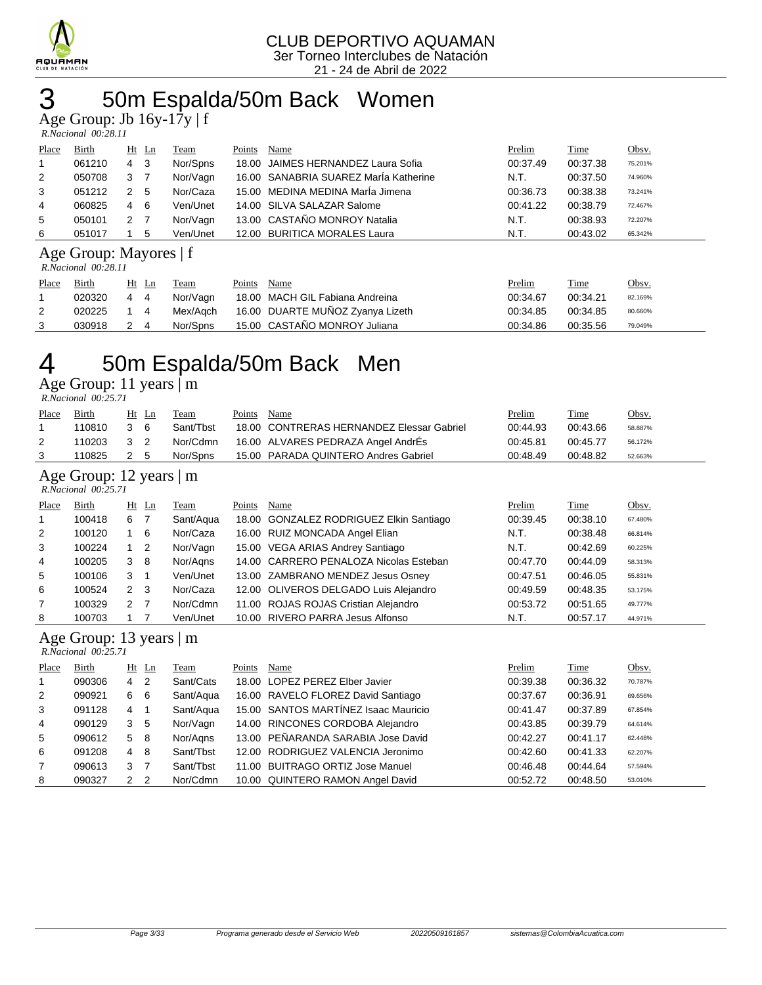

# 50m Espalda/50m Back Women

Age Group: Jb 16y-17y | f

| R.Nacional 00:28.11 |  |
|---------------------|--|

| Place                  | Birth  |   | $Ht$ Ln | Team     | Points | Name                                  | Prelim   | <b>Time</b> | Obsv.   |  |
|------------------------|--------|---|---------|----------|--------|---------------------------------------|----------|-------------|---------|--|
|                        | 061210 | 4 | - 3     | Nor/Spns |        | 18.00 JAIMES HERNANDEZ Laura Sofia    | 00:37.49 | 00:37.38    | 75.201% |  |
| 2                      | 050708 | 3 |         | Nor/Vagn |        | 16.00 SANABRIA SUAREZ MarÍa Katherine | N.T.     | 00:37.50    | 74.960% |  |
| 3                      | 051212 | 2 | 5       | Nor/Caza |        | 15.00 MEDINA MEDINA María Jimena      | 00:36.73 | 00:38.38    | 73.241% |  |
| $\overline{4}$         | 060825 | 4 | - 6     | Ven/Unet |        | 14.00 SILVA SALAZAR Salome            | 00:41.22 | 00:38.79    | 72.467% |  |
| 5                      | 050101 | 2 |         | Nor/Vagn |        | 13.00 CASTAÑO MONROY Natalia          | N.T.     | 00:38.93    | 72.207% |  |
| 6                      | 051017 |   | 5       | Ven/Unet |        | 12.00 BURITICA MORALES Laura          | N.T.     | 00:43.02    | 65.342% |  |
| Age Group: Mayores   f |        |   |         |          |        |                                       |          |             |         |  |

#### *R.Nacional 00:28.11*

|       | 1.1940.00140 00.20.11 |         |          |                                  |                                       |  |  |  |  |  |  |  |
|-------|-----------------------|---------|----------|----------------------------------|---------------------------------------|--|--|--|--|--|--|--|
| Place | <b>Birth</b>          | Ht Ln   | Team     | Name<br>Points                   | <b>Time</b><br>Prelim<br><u>Obsv.</u> |  |  |  |  |  |  |  |
|       | 020320                | -4<br>4 | Nor/Vagn | 18.00 MACH GIL Fabiana Andreina  | 00:34.21<br>00:34.67<br>82.169%       |  |  |  |  |  |  |  |
|       | 020225                | 4       | Mex/Agch | 16.00 DUARTE MUÑOZ Zyanya Lizeth | 00:34.85<br>00:34.85<br>80.660%       |  |  |  |  |  |  |  |
|       | 030918                | 2 4     | Nor/Spns | 15.00 CASTAÑO MONROY Juliana     | 00:35.56<br>00:34.86<br>79.049%       |  |  |  |  |  |  |  |

## 50m Espalda/50m Back Men

Age Group: 11 years | m

 *R.Nacional 00:25.71* 

| Place | <b>Birth</b>                                | Ht Ln |     | Team      | Points | Name                                      | <b>Prelim</b> | <b>Time</b> | Obsv.   |  |  |  |
|-------|---------------------------------------------|-------|-----|-----------|--------|-------------------------------------------|---------------|-------------|---------|--|--|--|
|       | 110810                                      | 3     | - 6 | Sant/Tbst |        | 18.00 CONTRERAS HERNANDEZ Elessar Gabriel | 00:44.93      | 00:43.66    | 58.887% |  |  |  |
| 2     | 110203                                      | 3 2   |     | Nor/Cdmn  |        | 16.00 ALVARES PEDRAZA Angel AndrÉs        | 00:45.81      | 00:45.77    | 56.172% |  |  |  |
| -3    | 110825                                      | 2 5   |     | Nor/Spns  |        | 15.00 PARADA QUINTERO Andres Gabriel      | 00:48.49      | 00:48.82    | 52.663% |  |  |  |
|       | Age Group: $12 \text{ years} \mid \text{m}$ |       |     |           |        |                                           |               |             |         |  |  |  |

### *R.Nacional 00:25.71*

| Place          | Birth  |             | $Ht$ Ln        | Team      | Points | Name                                    | Prelim   | Time     | Obsv.   |  |  |
|----------------|--------|-------------|----------------|-----------|--------|-----------------------------------------|----------|----------|---------|--|--|
| $\mathbf{1}$   | 100418 | 6           |                | Sant/Aqua |        | 18.00 GONZALEZ RODRIGUEZ Elkin Santiago | 00:39.45 | 00:38.10 | 67.480% |  |  |
| 2              | 100120 |             | 6              | Nor/Caza  |        | 16.00 RUIZ MONCADA Angel Elian          | N.T.     | 00:38.48 | 66.814% |  |  |
| 3              | 100224 |             | $\overline{2}$ | Nor/Vagn  |        | 15.00 VEGA ARIAS Andrey Santiago        | N.T.     | 00:42.69 | 60.225% |  |  |
| 4              | 100205 | 3           | - 8            | Nor/Agns  |        | 14.00 CARRERO PENALOZA Nicolas Esteban  | 00:47.70 | 00:44.09 | 58.313% |  |  |
| 5              | 100106 | 3           | -1             | Ven/Unet  |        | 13.00 ZAMBRANO MENDEZ Jesus Osney       | 00:47.51 | 00:46.05 | 55.831% |  |  |
| 6              | 100524 | $2 \quad 3$ |                | Nor/Caza  |        | 12.00 OLIVEROS DELGADO Luis Alejandro   | 00:49.59 | 00:48.35 | 53.175% |  |  |
| $\overline{7}$ | 100329 | 2           | $\overline{7}$ | Nor/Cdmn  |        | 11.00 ROJAS ROJAS Cristian Alejandro    | 00:53.72 | 00:51.65 | 49.777% |  |  |
| 8              | 100703 |             |                | Ven/Unet  |        | 10.00 RIVERO PARRA Jesus Alfonso        | N.T.     | 00:57.17 | 44.971% |  |  |

### Age Group: 13 years | m

| R.Nacional 00:25.71 |        |                |                            |           |        |                                      |          |          |         |
|---------------------|--------|----------------|----------------------------|-----------|--------|--------------------------------------|----------|----------|---------|
| Place               | Birth  |                | $Ht$ Ln                    | Team      | Points | Name                                 | Prelim   | Time     | Obsv.   |
|                     | 090306 | 4              | $\overline{\phantom{0}}^2$ | Sant/Cats |        | 18.00 LOPEZ PEREZ Elber Javier       | 00:39.38 | 00:36.32 | 70.787% |
| 2                   | 090921 | 6 6            |                            | Sant/Aqua |        | 16.00 RAVELO FLOREZ David Santiago   | 00:37.67 | 00:36.91 | 69.656% |
| 3                   | 091128 | 4              | $\overline{1}$             | Sant/Aqua |        | 15.00 SANTOS MARTÍNEZ Isaac Mauricio | 00:41.47 | 00:37.89 | 67.854% |
| $\overline{4}$      | 090129 | 3 <sub>5</sub> |                            | Nor/Vagn  |        | 14.00 RINCONES CORDOBA Alejandro     | 00:43.85 | 00:39.79 | 64.614% |
| 5                   | 090612 | 5 8            |                            | Nor/Agns  |        | 13.00 PEÑARANDA SARABIA Jose David   | 00:42.27 | 00:41.17 | 62.448% |
| 6                   | 091208 | 4 8            |                            | Sant/Tbst |        | 12.00 RODRIGUEZ VALENCIA Jeronimo    | 00:42.60 | 00:41.33 | 62.207% |
| 7                   | 090613 | 3              | $\overline{7}$             | Sant/Tbst |        | 11.00 BUITRAGO ORTIZ Jose Manuel     | 00:46.48 | 00:44.64 | 57.594% |
| 8                   | 090327 | 2 <sub>2</sub> |                            | Nor/Cdmn  |        | 10.00 QUINTERO RAMON Angel David     | 00:52.72 | 00:48.50 | 53.010% |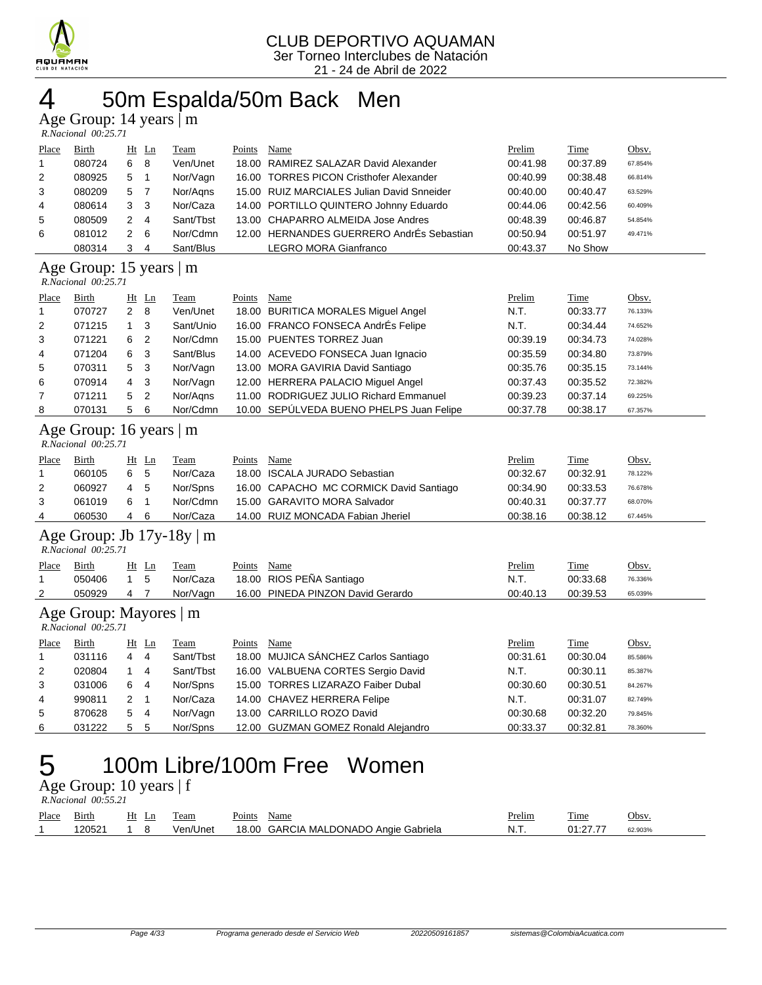

### 4 50m Espalda/50m Back Men

Age Group: 14 years | m

|                | $R. Nacional$ 00:25.71                                |                |                |           |        |                                            |          |          |         |
|----------------|-------------------------------------------------------|----------------|----------------|-----------|--------|--------------------------------------------|----------|----------|---------|
| Place          | Birth                                                 |                | $Ht$ Ln        | Team      | Points | Name                                       | Prelim   | Time     | Obsv.   |
|                | 080724                                                | 6              | -8             | Ven/Unet  | 18.00  | RAMIREZ SALAZAR David Alexander            | 00:41.98 | 00:37.89 | 67.854% |
| $\overline{2}$ | 080925                                                | 5              |                | Nor/Vagn  |        | 16.00 TORRES PICON Cristhofer Alexander    | 00:40.99 | 00:38.48 | 66.814% |
| 3              | 080209                                                | 5 7            |                | Nor/Agns  |        | 15.00 RUIZ MARCIALES Julian David Snneider | 00:40.00 | 00:40.47 | 63.529% |
| 4              | 080614                                                | 3 <sub>3</sub> |                | Nor/Caza  |        | 14.00 PORTILLO QUINTERO Johnny Eduardo     | 00:44.06 | 00:42.56 | 60.409% |
| 5              | 080509                                                | 2              | $\overline{4}$ | Sant/Tbst |        | 13.00 CHAPARRO ALMEIDA Jose Andres         | 00:48.39 | 00:46.87 | 54.854% |
| 6              | 081012                                                | $\overline{2}$ | - 6            | Nor/Cdmn  |        | 12.00 HERNANDES GUERRERO AndrÉs Sebastian  | 00:50.94 | 00:51.97 | 49.471% |
|                | 080314                                                | 3              | -4             | Sant/Blus |        | LEGRO MORA Gianfranco                      | 00:43.37 | No Show  |         |
|                | Age Group: 15 years $ m $<br>$R. Nacional$ $00:25.71$ |                |                |           |        |                                            |          |          |         |
| Place          | Birth                                                 | $Ht$ Ln        |                | Team      | Points | Name                                       | Prelim   | Time     | Obsv.   |
|                | 070727                                                | $2 \quad 8$    |                | Ven/Unet  | 18.00  | <b>BURITICA MORALES Miguel Angel</b>       | N.T.     | 00:33.77 | 76.133% |
| 2              | 071215                                                |                | 3              | Sant/Unio |        | 16.00 FRANCO FONSECA AndrEs Felipe         | N.T.     | 00:34.44 | 74.652% |

| $\epsilon$   | 0/1213 |     |                | Sanvunio  | 10.00 FRANCO FONSECA ANDIES FEIIDE       | IV.1.    | <b>UU.34.44</b> | 74.002% |
|--------------|--------|-----|----------------|-----------|------------------------------------------|----------|-----------------|---------|
| $\mathbf{3}$ | 071221 | 6   | $\overline{2}$ | Nor/Cdmn  | 15.00 PUENTES TORREZ Juan                | 00:39.19 | 00:34.73        | 74.028% |
| 4            | 071204 | 6   | - 3            | Sant/Blus | 14.00 ACEVEDO FONSECA Juan Ignacio       | 00:35.59 | 00:34.80        | 73.879% |
| 5            | 070311 | 5 3 |                | Nor/Vagn  | 13.00 MORA GAVIRIA David Santiago        | 00:35.76 | 00:35.15        | 73.144% |
| 6            | 070914 | 4 3 |                | Nor/Vagn  | 12.00 HERRERA PALACIO Miquel Angel       | 00:37.43 | 00:35.52        | 72.382% |
|              | 071211 | 5 2 |                | Nor/Aans  | 11.00 RODRIGUEZ JULIO Richard Emmanuel   | 00:39.23 | 00:37.14        | 69.225% |
| 8            | 070131 | 5   | - 6            | Nor/Cdmn  | 10.00 SEPÚLVEDA BUENO PHELPS Juan Felipe | 00:37.78 | 00:38.17        | 67.357% |

#### Age Group: 16 years | m

| R.Nacional 00:25.71 |  |
|---------------------|--|
|                     |  |

| Place | Birth  |     | Ht Ln | Team     | Points | Name                                    | Prelim   | Time     | Obsv.   |
|-------|--------|-----|-------|----------|--------|-----------------------------------------|----------|----------|---------|
|       | 060105 | 6   | - 5   | Nor/Caza |        | 18.00 ISCALA JURADO Sebastian           | 00:32.67 | 00:32.91 | 78.122% |
|       | 060927 | 4 5 |       | Nor/Spns |        | 16.00 CAPACHO MC CORMICK David Santiago | 00:34.90 | 00:33.53 | 76.678% |
|       | 061019 | 61  |       | Nor/Cdmn |        | 15.00 GARAVITO MORA Salvador            | 00:40.31 | 00:37.77 | 68.070% |
|       | 060530 | 4   | -6    | Nor/Caza |        | 14.00 RUIZ MONCADA Fabian Jheriel       | 00:38.16 | 00:38.12 | 67.445% |

#### Age Group: Jb 17y-18y | m

|       | R. Nacional 00:25.71 |           |       |          |        |                                   |          |             |              |
|-------|----------------------|-----------|-------|----------|--------|-----------------------------------|----------|-------------|--------------|
| Place | Birth                |           | Ht Ln | Team     | Points | Name                              | Prelim   | <b>Time</b> | <u>Obsv.</u> |
|       | 050406               | $1\quad5$ |       | Nor/Caza |        | 18.00 RIOS PEÑA Santiago          | N.T.     | 00:33.68    | 76.336%      |
|       | 050929               | 47        |       | Nor/Vagn |        | 16.00 PINEDA PINZON David Gerardo | 00:40.13 | 00:39.53    | 65.039%      |

### Age Group: Mayores | m

 *R.Nacional 00:25.71* 

| Place          | Birth  | Ht Ln |                | Team      | Points | Name                                 | Prelim   | Time     | Obsv.   |
|----------------|--------|-------|----------------|-----------|--------|--------------------------------------|----------|----------|---------|
|                | 031116 | 4     | 4              | Sant/Tbst |        | 18.00 MUJICA SÁNCHEZ Carlos Santiago | 00:31.61 | 00:30.04 | 85.586% |
| 2              | 020804 |       | -4             | Sant/Tbst |        | 16.00 VALBUENA CORTES Sergio David   | N.T.     | 00:30.11 | 85.387% |
| 3              | 031006 | 6     | -4             | Nor/Spns  |        | 15.00 TORRES LIZARAZO Faiber Dubal   | 00:30.60 | 00:30.51 | 84.267% |
| $\overline{4}$ | 990811 |       |                | Nor/Caza  |        | 14.00 CHAVEZ HERRERA Felipe          | N.T.     | 00:31.07 | 82.749% |
| 5              | 870628 | 5     | $\overline{4}$ | Nor/Vagn  |        | 13.00 CARRILLO ROZO David            | 00:30.68 | 00:32.20 | 79.845% |
| 6              | 031222 | 5     | -5             | Nor/Spns  |        | 12.00 GUZMAN GOMEZ Ronald Alejandro  | 00:33.37 | 00:32.81 | 78.360% |

# 5 100m Libre/100m Free Women

Age Group: 10 years | f  *R.Nacional 00:55.21* 

| Place | Birth  | Ht<br>Ln | eam      | Points | Name                                  | Prelim | Time     | Obsv.   |
|-------|--------|----------|----------|--------|---------------------------------------|--------|----------|---------|
|       | 120521 |          | Ven/Unet |        | 18.00 GARCIA MALDONADO Angie Gabriela | - N.T. | 01:27.77 | 62.903% |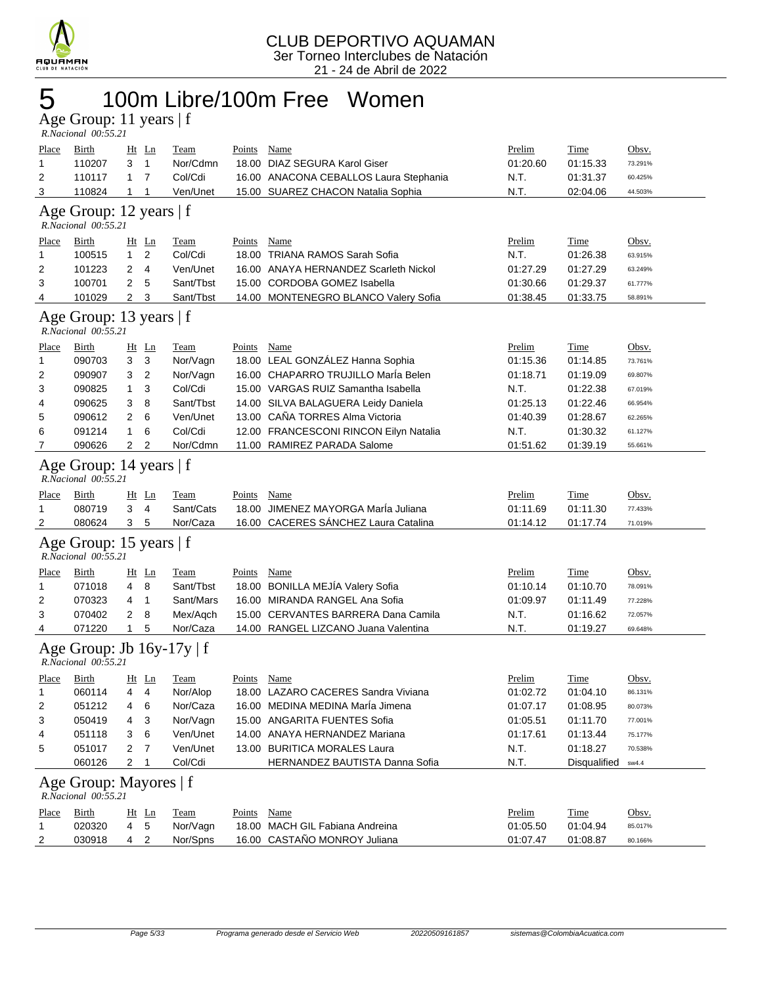

# 5 100m Libre/100m Free Women

Age Group: 11 years | f  *R.Nacional 00:55.21* 

| <b>Place</b><br>1<br>2<br>3 | <u>Birth</u><br>110207<br>110117<br>110824       | 3<br>$\mathbf{1}$<br>1 | $Ht$ Ln<br>1<br>7<br>1    | <b>Team</b><br>Nor/Cdmn<br>Col/Cdi<br>Ven/Unet | Points Name   | 18.00 DIAZ SEGURA Karol Giser<br>16.00 ANACONA CEBALLOS Laura Stephania<br>15.00 SUAREZ CHACON Natalia Sophia | Prelim<br>01:20.60<br>N.T.<br>N.T. | Time<br>01:15.33<br>01:31.37<br>02:04.06 | Obsv.<br>73.291%<br>60.425%<br>44.503% |
|-----------------------------|--------------------------------------------------|------------------------|---------------------------|------------------------------------------------|---------------|---------------------------------------------------------------------------------------------------------------|------------------------------------|------------------------------------------|----------------------------------------|
|                             | Age Group: 12 years   f<br>R.Nacional 00:55.21   |                        |                           |                                                |               |                                                                                                               |                                    |                                          |                                        |
| Place<br>1                  | Birth<br>100515                                  | $\mathbf{1}$           | $Ht$ Ln<br>$\overline{2}$ | Team<br>Col/Cdi                                | Points        | Name<br>18.00 TRIANA RAMOS Sarah Sofia                                                                        | <u>Prelim</u><br>N.T.              | Time<br>01:26.38                         | Obsv.<br>63.915%                       |
| 2                           | 101223                                           | 2                      | 4                         | Ven/Unet                                       |               | 16.00 ANAYA HERNANDEZ Scarleth Nickol                                                                         | 01:27.29                           | 01:27.29                                 | 63.249%                                |
| 3                           | 100701                                           | $\overline{2}$         | 5                         | Sant/Tbst                                      |               | 15.00 CORDOBA GOMEZ Isabella                                                                                  | 01:30.66                           | 01:29.37                                 | 61.777%                                |
| 4                           | 101029                                           | $\overline{2}$         | 3                         | Sant/Tbst                                      |               | 14.00 MONTENEGRO BLANCO Valery Sofia                                                                          | 01:38.45                           | 01:33.75                                 | 58.891%                                |
|                             | Age Group: 13 years   f<br>R.Nacional 00:55.21   |                        |                           |                                                |               |                                                                                                               |                                    |                                          |                                        |
| <u>Place</u>                | Birth                                            |                        | $Ht$ Ln                   | <b>Team</b>                                    | Points        | <b>Name</b>                                                                                                   | Prelim                             | <b>Time</b>                              | Obsv.                                  |
| 1                           | 090703                                           | 3                      | 3                         | Nor/Vagn                                       |               | 18.00 LEAL GONZÁLEZ Hanna Sophia                                                                              | 01:15.36                           | 01:14.85                                 | 73.761%                                |
| 2                           | 090907                                           | 3                      | 2                         | Nor/Vagn                                       |               | 16.00 CHAPARRO TRUJILLO Marla Belen                                                                           | 01:18.71                           | 01:19.09                                 | 69.807%                                |
| 3                           | 090825                                           | 1                      | 3                         | Col/Cdi                                        |               | 15.00 VARGAS RUIZ Samantha Isabella                                                                           | N.T.                               | 01:22.38                                 | 67.019%                                |
| 4                           | 090625                                           | 3                      | 8                         | Sant/Tbst                                      |               | 14.00 SILVA BALAGUERA Leidy Daniela                                                                           | 01:25.13                           | 01:22.46                                 | 66.954%                                |
| 5                           | 090612                                           | 2                      | 6                         | Ven/Unet                                       |               | 13.00 CAÑA TORRES Alma Victoria                                                                               | 01:40.39                           | 01:28.67                                 | 62.265%                                |
| 6                           | 091214                                           | 1                      | 6                         | Col/Cdi                                        |               | 12.00 FRANCESCONI RINCON Eilyn Natalia                                                                        | N.T.                               | 01:30.32                                 | 61.127%                                |
| 7                           | 090626                                           | $\overline{2}$         | 2                         | Nor/Cdmn                                       |               | 11.00 RAMIREZ PARADA Salome                                                                                   | 01:51.62                           | 01:39.19                                 | 55.661%                                |
|                             | Age Group: 14 years   f<br>R.Nacional 00:55.21   |                        |                           |                                                |               |                                                                                                               |                                    |                                          |                                        |
| <u>Place</u>                | <b>Birth</b>                                     |                        | $Ht$ Ln                   | Team                                           | Points        | <b>Name</b>                                                                                                   | Prelim                             | <b>Time</b>                              | Obsv.                                  |
| 1                           | 080719                                           | 3                      | 4                         | Sant/Cats                                      |               | 18.00 JIMENEZ MAYORGA Marla Juliana                                                                           | 01:11.69                           | 01:11.30                                 | 77.433%                                |
| 2                           | 080624                                           | 3                      | 5                         | Nor/Caza                                       |               | 16.00 CACERES SÁNCHEZ Laura Catalina                                                                          | 01:14.12                           | 01:17.74                                 | 71.019%                                |
|                             | Age Group: 15 years   f<br>R.Nacional 00:55.21   |                        |                           |                                                |               |                                                                                                               |                                    |                                          |                                        |
| <u>Place</u>                | <b>Birth</b>                                     |                        | $Ht$ Ln                   | <b>Team</b>                                    | <b>Points</b> | <b>Name</b>                                                                                                   | Prelim                             | <b>Time</b>                              | Obsv.                                  |
| 1                           | 071018                                           | 4                      | 8                         | Sant/Tbst                                      |               | 18.00 BONILLA MEJÍA Valery Sofia                                                                              | 01:10.14                           | 01:10.70                                 | 78.091%                                |
| 2                           | 070323                                           | 4                      | $\overline{1}$            | Sant/Mars                                      |               | 16.00 MIRANDA RANGEL Ana Sofia                                                                                | 01:09.97                           | 01:11.49                                 | 77.228%                                |
| 3                           | 070402                                           | 2                      | 8                         | Mex/Aqch                                       |               | 15.00 CERVANTES BARRERA Dana Camila                                                                           | N.T.                               | 01:16.62                                 | 72.057%                                |
| 4                           | 071220                                           | $\mathbf{1}$           | 5                         | Nor/Caza                                       |               | 14.00 RANGEL LIZCANO Juana Valentina                                                                          | N.T.                               | 01:19.27                                 | 69.648%                                |
|                             | Age Group: Jb 16y-17y   f<br>R.Nacional 00:55.21 |                        |                           |                                                |               |                                                                                                               |                                    |                                          |                                        |
| <b>Place</b>                | <u>Birth</u>                                     |                        | <u>Ht Ln</u>              | <b>Team</b>                                    | <b>Points</b> | <b>Name</b>                                                                                                   | Prelim                             | <b>Time</b>                              | Obsv.                                  |
| 1                           | 060114                                           | 4                      | 4                         | Nor/Alop                                       |               | 18.00 LAZARO CACERES Sandra Viviana                                                                           | 01:02.72                           | 01:04.10                                 | 86.131%                                |
| 2                           | 051212                                           | 4                      | 6                         | Nor/Caza                                       |               | 16.00 MEDINA MEDINA Maria Jimena                                                                              | 01:07.17                           | 01:08.95                                 | 80.073%                                |
| 3                           | 050419                                           | 4                      | 3                         | Nor/Vagn                                       |               | 15.00 ANGARITA FUENTES Sofia                                                                                  | 01:05.51                           | 01:11.70                                 | 77.001%                                |
| 4                           | 051118                                           | 3                      | 6                         | Ven/Unet                                       |               | 14.00 ANAYA HERNANDEZ Mariana                                                                                 | 01:17.61                           | 01:13.44                                 | 75.177%                                |
| 5                           | 051017                                           | $\overline{2}$         | $\overline{7}$            | Ven/Unet                                       |               | 13.00 BURITICA MORALES Laura                                                                                  | N.T.                               | 01:18.27                                 | 70.538%                                |
|                             | 060126                                           | $\overline{2}$         | $\mathbf 1$               | Col/Cdi                                        |               | HERNANDEZ BAUTISTA Danna Sofia                                                                                | N.T.                               | Disqualified                             | sw4.4                                  |
|                             | Age Group: Mayores   f<br>R.Nacional 00:55.21    |                        |                           |                                                |               |                                                                                                               |                                    |                                          |                                        |
| <b>Place</b>                | <b>Birth</b>                                     |                        | <u>Ht Ln</u>              | <b>Team</b>                                    | Points        | Name                                                                                                          | Prelim                             | Time                                     | Obsv.                                  |
| 1                           | 020320                                           | $\overline{4}$         | 5                         | Nor/Vagn                                       |               | 18.00 MACH GIL Fabiana Andreina                                                                               | 01:05.50                           | 01:04.94                                 | 85.017%                                |
| 2                           | 030918                                           | 4                      | $\overline{c}$            | Nor/Spns                                       |               | 16.00 CASTAÑO MONROY Juliana                                                                                  | 01:07.47                           | 01:08.87                                 | 80.166%                                |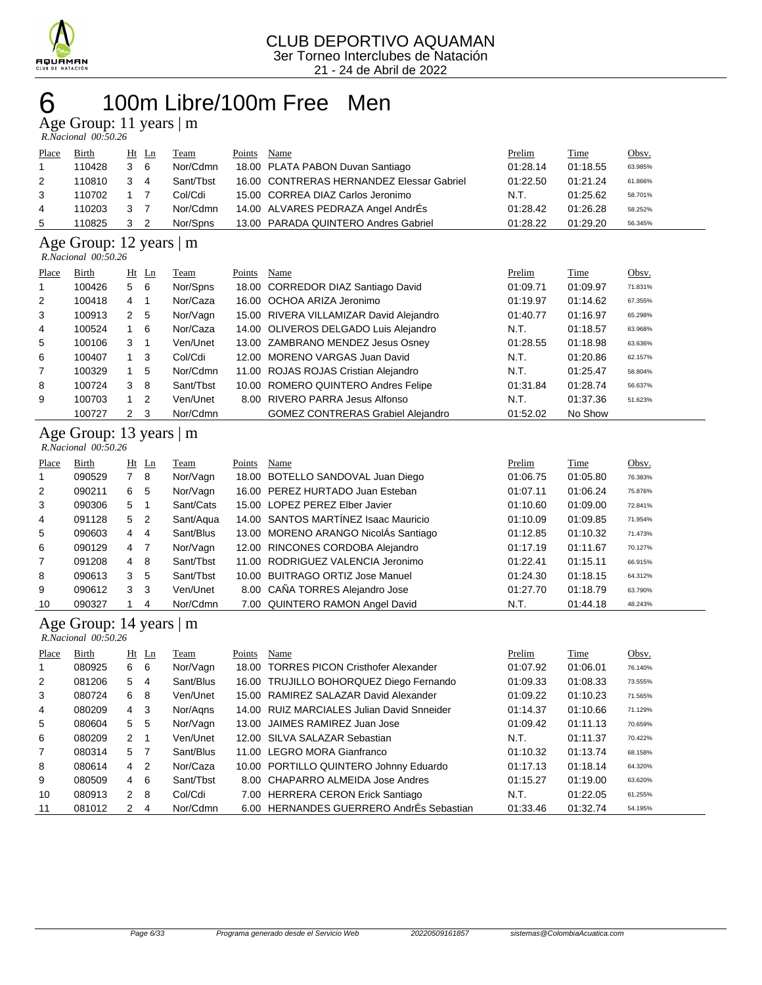

### 100m Libre/100m Free Men Age Group: 11 years | m

|       | R.Nacional 00:50.26 |   |         |           |        |                                           |          |          |         |
|-------|---------------------|---|---------|-----------|--------|-------------------------------------------|----------|----------|---------|
| Place | Birth               |   | $Ht$ Ln | Team      | Points | Name                                      | Prelim   | Time     | Obsv.   |
|       | 110428              | 3 | -6      | Nor/Cdmn  |        | 18.00 PLATA PABON Duvan Santiago          | 01:28.14 | 01:18.55 | 63.985% |
| 2     | 110810              | 3 | 4       | Sant/Tbst |        | 16.00 CONTRERAS HERNANDEZ Elessar Gabriel | 01:22.50 | 01:21.24 | 61.866% |
| 3     | 110702              |   |         | Col/Cdi   |        | 15.00 CORREA DIAZ Carlos Jeronimo         | N.T.     | 01:25.62 | 58.701% |
| 4     | 110203              | 3 |         | Nor/Cdmn  |        | 14.00 ALVARES PEDRAZA Angel AndrÉs        | 01:28.42 | 01:26.28 | 58.252% |
| 5     | 110825              | 3 | 2       | Nor/Spns  |        | 13.00 PARADA QUINTERO Andres Gabriel      | 01:28.22 | 01:29.20 | 56.345% |
|       |                     |   |         |           |        |                                           |          |          |         |

Age Group: 12 years | m

 *R.Nacional 00:50.26* 

|       | 1011000000000000000000 |                |                |           |        |                                          |          |          |         |
|-------|------------------------|----------------|----------------|-----------|--------|------------------------------------------|----------|----------|---------|
| Place | Birth                  |                | $Ht$ Ln        | Team      | Points | Name                                     | Prelim   | Time     | Obsv.   |
| 1     | 100426                 | 5 6            |                | Nor/Spns  |        | 18.00 CORREDOR DIAZ Santiago David       | 01:09.71 | 01:09.97 | 71.831% |
| 2     | 100418                 | 4              | $\overline{1}$ | Nor/Caza  |        | 16.00 OCHOA ARIZA Jeronimo               | 01:19.97 | 01:14.62 | 67.355% |
| 3     | 100913                 | 2 <sub>5</sub> |                | Nor/Vagn  |        | 15.00 RIVERA VILLAMIZAR David Alejandro  | 01:40.77 | 01:16.97 | 65.298% |
| 4     | 100524                 | $1\quad 6$     |                | Nor/Caza  |        | 14.00 OLIVEROS DELGADO Luis Alejandro    | N.T.     | 01:18.57 | 63.968% |
| 5     | 100106                 | 3              | - 1            | Ven/Unet  |        | 13.00 ZAMBRANO MENDEZ Jesus Osney        | 01:28.55 | 01:18.98 | 63.636% |
| 6     | 100407                 | $1 \quad 3$    |                | Col/Cdi   |        | 12.00 MORENO VARGAS Juan David           | N.T.     | 01:20.86 | 62.157% |
| 7     | 100329                 | 1              | 5              | Nor/Cdmn  |        | 11.00 ROJAS ROJAS Cristian Alejandro     | N.T.     | 01:25.47 | 58.804% |
| 8     | 100724                 | 3              | - 8            | Sant/Tbst |        | 10.00 ROMERO QUINTERO Andres Felipe      | 01:31.84 | 01:28.74 | 56.637% |
| 9     | 100703                 | $\mathbf{1}$   | $\overline{2}$ | Ven/Unet  |        | 8.00 RIVERO PARRA Jesus Alfonso          | N.T.     | 01:37.36 | 51.623% |
|       | 100727                 | 2 <sub>3</sub> |                | Nor/Cdmn  |        | <b>GOMEZ CONTRERAS Grabiel Alejandro</b> | 01:52.02 | No Show  |         |

### Age Group: 13 years | m

| R.Nacional 00:50.26 |  |
|---------------------|--|
|                     |  |

| Place          | Birth  |   | $Ht$ Ln        | Team      | Points | Name                                 | Prelim   | Time     | Obsv.   |
|----------------|--------|---|----------------|-----------|--------|--------------------------------------|----------|----------|---------|
|                | 090529 |   | - 8            | Nor/Vagn  |        | 18.00 BOTELLO SANDOVAL Juan Diego    | 01:06.75 | 01:05.80 | 76.383% |
| 2              | 090211 | 6 | -5             | Nor/Vagn  |        | 16.00 PEREZ HURTADO Juan Esteban     | 01:07.11 | 01:06.24 | 75.876% |
| 3              | 090306 | 5 |                | Sant/Cats |        | 15.00 LOPEZ PEREZ Elber Javier       | 01:10.60 | 01:09.00 | 72.841% |
| $\overline{4}$ | 091128 | 5 | - 2            | Sant/Aqua |        | 14.00 SANTOS MARTINEZ Isaac Mauricio | 01:10.09 | 01:09.85 | 71.954% |
| 5              | 090603 | 4 | 4              | Sant/Blus |        | 13.00 MORENO ARANGO NicolAs Santiago | 01:12.85 | 01:10.32 | 71.473% |
| 6              | 090129 | 4 | $\overline{7}$ | Nor/Vagn  |        | 12.00 RINCONES CORDOBA Alejandro     | 01:17.19 | 01:11.67 | 70.127% |
| $\overline{7}$ | 091208 | 4 | -8             | Sant/Tbst |        | 11.00 RODRIGUEZ VALENCIA Jeronimo    | 01:22.41 | 01:15.11 | 66.915% |
| 8              | 090613 | 3 | 5              | Sant/Tbst |        | 10.00 BUITRAGO ORTIZ Jose Manuel     | 01:24.30 | 01:18.15 | 64.312% |
| 9              | 090612 | 3 | -3             | Ven/Unet  |        | 8.00 CAÑA TORRES Alejandro Jose      | 01:27.70 | 01:18.79 | 63.790% |
| 10             | 090327 |   | 4              | Nor/Cdmn  |        | 7.00 QUINTERO RAMON Angel David      | N.T.     | 01:44.18 | 48.243% |

#### Age Group: 14 years | m

|                | $R. Nacional$ 00:50.26 |                |                |           |        |                                            |          |          |         |
|----------------|------------------------|----------------|----------------|-----------|--------|--------------------------------------------|----------|----------|---------|
| Place          | Birth                  |                | $Ht$ Ln        | Team      | Points | Name                                       | Prelim   | Time     | Obsv.   |
| 1              | 080925                 | 6              | - 6            | Nor/Vagn  |        | 18.00 TORRES PICON Cristhofer Alexander    | 01:07.92 | 01:06.01 | 76.140% |
| 2              | 081206                 | 5              | $\overline{4}$ | Sant/Blus |        | 16.00 TRUJILLO BOHORQUEZ Diego Fernando    | 01:09.33 | 01:08.33 | 73.555% |
| 3              | 080724                 | 6              | -8             | Ven/Unet  |        | 15.00 RAMIREZ SALAZAR David Alexander      | 01:09.22 | 01:10.23 | 71.565% |
| $\overline{4}$ | 080209                 | 4              | - 3            | Nor/Agns  |        | 14.00 RUIZ MARCIALES Julian David Snneider | 01:14.37 | 01:10.66 | 71.129% |
| 5              | 080604                 | 5 <sub>5</sub> |                | Nor/Vagn  |        | 13.00 JAIMES RAMIREZ Juan Jose             | 01:09.42 | 01:11.13 | 70.659% |
| 6              | 080209                 | $2 \quad 1$    |                | Ven/Unet  |        | 12.00 SILVA SALAZAR Sebastian              | N.T.     | 01:11.37 | 70.422% |
| 7              | 080314                 | 5 7            |                | Sant/Blus |        | 11.00 LEGRO MORA Gianfranco                | 01:10.32 | 01:13.74 | 68.158% |
| 8              | 080614                 | 4              | $\overline{2}$ | Nor/Caza  |        | 10.00 PORTILLO QUINTERO Johnny Eduardo     | 01:17.13 | 01:18.14 | 64.320% |
| 9              | 080509                 | $4\quad 6$     |                | Sant/Tbst |        | 8.00 CHAPARRO ALMEIDA Jose Andres          | 01:15.27 | 01:19.00 | 63.620% |
| 10             | 080913                 | $2 \quad 8$    |                | Col/Cdi   |        | 7.00 HERRERA CERON Erick Santiago          | N.T.     | 01:22.05 | 61.255% |
| 11             | 081012                 | 2              | 4              | Nor/Cdmn  |        | 6.00 HERNANDES GUERRERO AndrÉs Sebastian   | 01:33.46 | 01:32.74 | 54.195% |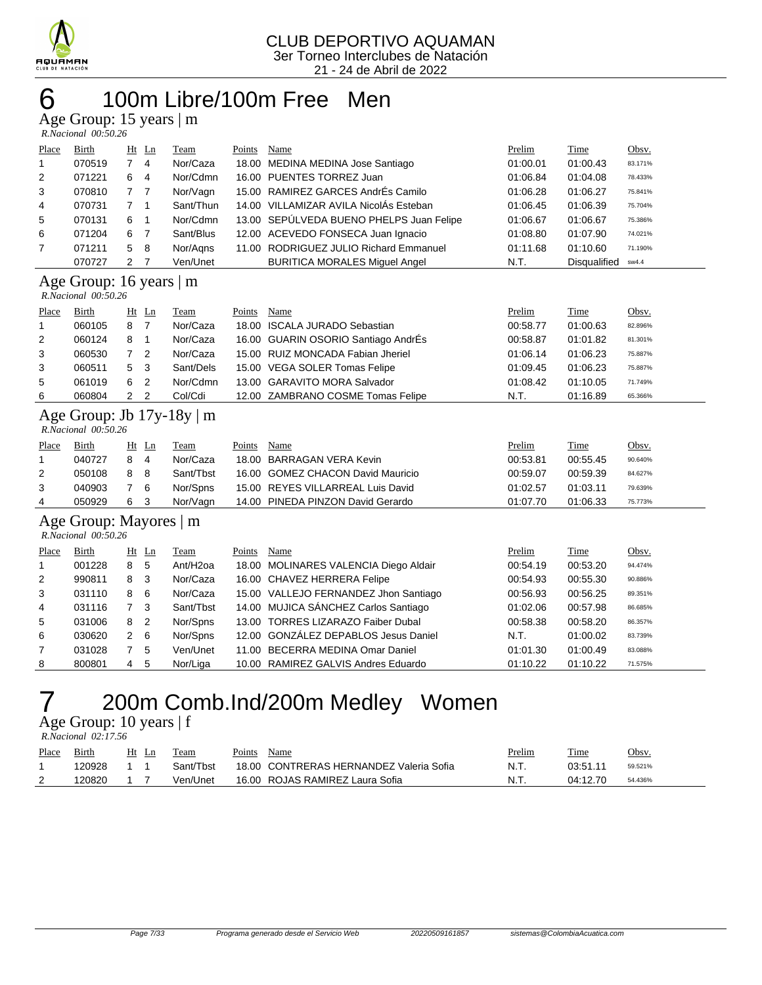

### 100m Libre/100m Free Men

Age Group: 15 years | m

|                | $R. Nacional$ 00:50.26 |                |                |           |        |                                          |          |                     |         |
|----------------|------------------------|----------------|----------------|-----------|--------|------------------------------------------|----------|---------------------|---------|
| Place          | Birth                  | $Ht$ Ln        |                | Team      | Points | Name                                     | Prelim   | Time                | Obsv.   |
| $\mathbf{1}$   | 070519                 | 7 4            |                | Nor/Caza  |        | 18.00 MEDINA MEDINA Jose Santiago        | 01:00.01 | 01:00.43            | 83.171% |
| 2              | 071221                 | 6 4            |                | Nor/Cdmn  |        | 16.00 PUENTES TORREZ Juan                | 01:06.84 | 01:04.08            | 78.433% |
| 3              | 070810                 | 7 <sub>7</sub> |                | Nor/Vagn  |        | 15.00 RAMIREZ GARCES AndrÉs Camilo       | 01:06.28 | 01:06.27            | 75.841% |
| $\overline{4}$ | 070731                 | 7 <sub>1</sub> |                | Sant/Thun |        | 14.00 VILLAMIZAR AVILA NicolAs Esteban   | 01:06.45 | 01:06.39            | 75.704% |
| 5              | 070131                 | 6              | - 1            | Nor/Cdmn  |        | 13.00 SEPÚLVEDA BUENO PHELPS Juan Felipe | 01:06.67 | 01:06.67            | 75.386% |
| 6              | 071204                 | 6              | $\overline{7}$ | Sant/Blus |        | 12.00 ACEVEDO FONSECA Juan Ignacio       | 01:08.80 | 01:07.90            | 74.021% |
| $\overline{7}$ | 071211                 | 5 8            |                | Nor/Aans  |        | 11.00 RODRIGUEZ JULIO Richard Emmanuel   | 01:11.68 | 01:10.60            | 71.190% |
|                | 070727                 | $\mathcal{P}$  |                | Ven/Unet  |        | <b>BURITICA MORALES Miquel Angel</b>     | N.T.     | <b>Disqualified</b> | sw4.4   |

#### Age Group: 16 years | m

 *R.Nacional 00:50.26* 

|       | 1.1.1  |   |                |           |        |                                     |          |          |         |
|-------|--------|---|----------------|-----------|--------|-------------------------------------|----------|----------|---------|
| Place | Birth  |   | Ht Ln          | Team      | Points | Name                                | Prelim   | Time     | Obsv.   |
|       | 060105 | 8 |                | Nor/Caza  |        | 18.00 ISCALA JURADO Sebastian       | 00:58.77 | 01:00.63 | 82.896% |
| 2     | 060124 | 8 |                | Nor/Caza  |        | 16.00 GUARIN OSORIO Santiago AndrÉs | 00:58.87 | 01:01.82 | 81.301% |
| 3     | 060530 |   | $\overline{2}$ | Nor/Caza  |        | 15.00 RUIZ MONCADA Fabian Jheriel   | 01:06.14 | 01:06.23 | 75.887% |
| 3     | 060511 | 5 | - 3            | Sant/Dels |        | 15.00 VEGA SOLER Tomas Felipe       | 01:09.45 | 01:06.23 | 75.887% |
| 5     | 061019 | 6 | -2             | Nor/Cdmn  |        | 13.00 GARAVITO MORA Salvador        | 01:08.42 | 01:10.05 | 71.749% |
| 6     | 060804 |   | $\overline{2}$ | Col/Cdi   |        | 12.00 ZAMBRANO COSME Tomas Felipe   | N.T.     | 01:16.89 | 65.366% |
|       |        |   |                |           |        |                                     |          |          |         |

#### Age Group: Jb 17y-18y | m  *R.Nacional 00:50.26*

| Place | Birth  | Ht Ln |   | Team      | Points | Name                              | <b>Prelim</b> | <u>Time</u> | <u>Obsv.</u> |
|-------|--------|-------|---|-----------|--------|-----------------------------------|---------------|-------------|--------------|
|       | 040727 | 8     | 4 | Nor/Caza  |        | 18.00 BARRAGAN VERA Kevin         | 00:53.81      | 00:55.45    | 90.640%      |
| 2     | 050108 | 88    |   | Sant/Thst |        | 16.00 GOMEZ CHACON David Mauricio | 00:59.07      | 00.59.39    | 84.627%      |
|       | 040903 | 76    |   | Nor/Spns  |        | 15.00 REYES VILLARREAL Luis David | 01:02.57      | 01:03.11    | 79.639%      |
|       | 050929 | 6 3   |   | Nor/Vagn  |        | 14.00 PINEDA PINZON David Gerardo | 01:07.70      | 01:06.33    | 75.773%      |

### Age Group: Mayores | m

| R.Nacional 00:50.26 |  |
|---------------------|--|
|                     |  |
|                     |  |
|                     |  |
|                     |  |

| Place          | Birth  |   | $Ht$ Ln        | Team                 | Points | Name                                  | Prelim   | Time     | Obsv.   |
|----------------|--------|---|----------------|----------------------|--------|---------------------------------------|----------|----------|---------|
|                | 001228 | 8 | 5              | Ant/H <sub>20a</sub> |        | 18.00 MOLINARES VALENCIA Diego Aldair | 00:54.19 | 00:53.20 | 94.474% |
| 2              | 990811 | 8 | -3             | Nor/Caza             |        | 16.00 CHAVEZ HERRERA Felipe           | 00:54.93 | 00:55.30 | 90.886% |
| 3              | 031110 | 8 | - 6            | Nor/Caza             |        | 15.00 VALLEJO FERNANDEZ Jhon Santiago | 00:56.93 | 00:56.25 | 89.351% |
| $\overline{4}$ | 031116 |   | - 3            | Sant/Tbst            |        | 14.00 MUJICA SÁNCHEZ Carlos Santiago  | 01:02.06 | 00:57.98 | 86.685% |
| 5              | 031006 | 8 | $\overline{2}$ | Nor/Spns             |        | 13.00 TORRES LIZARAZO Faiber Dubal    | 00:58.38 | 00:58.20 | 86.357% |
| 6              | 030620 | 2 | - 6            | Nor/Spns             |        | 12.00 GONZÁLEZ DEPABLOS Jesus Daniel  | N.T.     | 01:00.02 | 83.739% |
| $\overline{7}$ | 031028 |   | 5              | Ven/Unet             |        | 11.00 BECERRA MEDINA Omar Daniel      | 01:01.30 | 01:00.49 | 83.088% |
| 8              | 800801 | 4 | -5             | Nor/Liga             |        | 10.00 RAMIREZ GALVIS Andres Eduardo   | 01:10.22 | 01:10.22 | 71.575% |

## 200m Comb.Ind/200m Medley Women

Age Group: 10 years | f  *R.Nacional 02:17.56* 

| Place    | Birth  | Ht<br>Ln | Team      | Points | Name                                    | <u>Prelim</u> | Time     | Obsv.   |
|----------|--------|----------|-----------|--------|-----------------------------------------|---------------|----------|---------|
|          | 120928 |          | Sant/Thst |        | 18.00 CONTRERAS HERNANDEZ Valeria Sofia | N.T.          | 03:51.11 | 59.521% |
| <u>_</u> | 120820 |          | Ven/Unet  |        | 16.00 ROJAS RAMIREZ Laura Sofia         | N.T.          | 04:12.70 | 54.436% |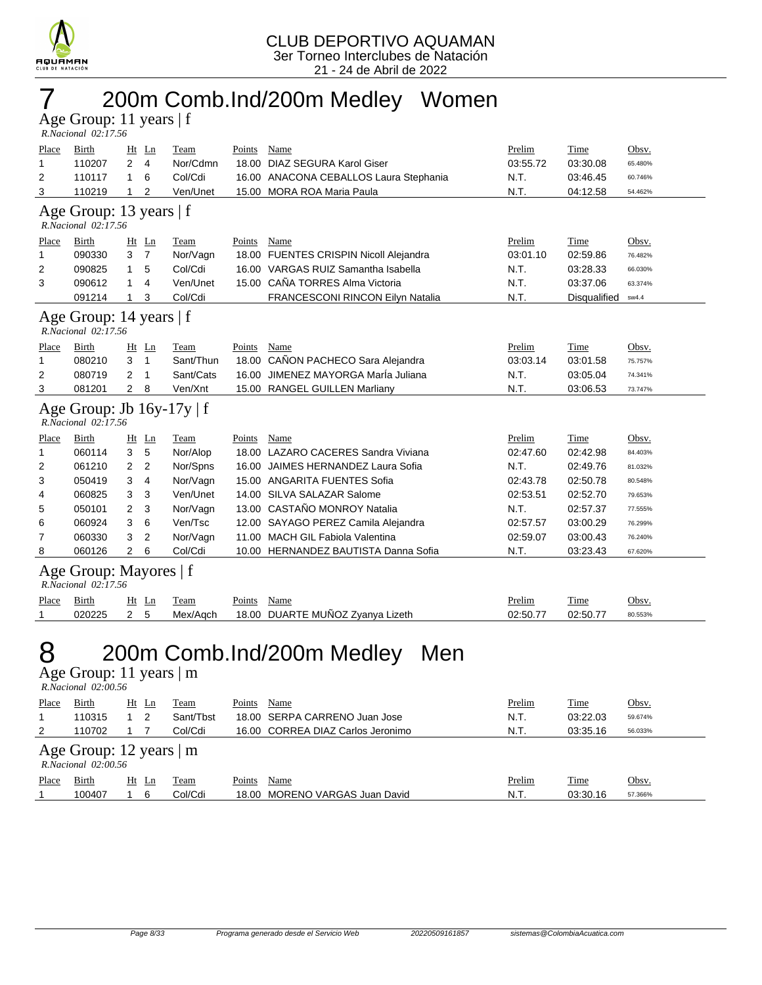

## 7 200m Comb.Ind/200m Medley Women

Age Group: 11 years | f  *R.Nacional 02:17.56* 

| <u>Place</u>                | <b>Birth</b>                                          |                | Ht Ln          | <b>Team</b>          | Points      | <b>Name</b>                            | Prelim         | <b>Time</b>          | Obsv.            |
|-----------------------------|-------------------------------------------------------|----------------|----------------|----------------------|-------------|----------------------------------------|----------------|----------------------|------------------|
| 1                           | 110207                                                | 2              | $\overline{4}$ | Nor/Cdmn             |             | 18.00 DIAZ SEGURA Karol Giser          | 03:55.72       | 03:30.08             | 65.480%          |
| 2                           | 110117                                                | 1              | 6              | Col/Cdi              |             | 16.00 ANACONA CEBALLOS Laura Stephania | N.T.           | 03:46.45             | 60.746%          |
| 3                           | 110219                                                | 1              | 2              | Ven/Unet             |             | 15.00 MORA ROA Maria Paula             | N.T.           | 04:12.58             | 54.462%          |
|                             | Age Group: 13 years   f<br>R.Nacional 02:17.56        |                |                |                      |             |                                        |                |                      |                  |
| Place                       | Birth                                                 |                | $Ht$ Ln        | Team                 | Points      | Name                                   | Prelim         | Time                 | Obsv.            |
| 1                           | 090330                                                | 3              | $\overline{7}$ | Nor/Vagn             |             | 18.00 FUENTES CRISPIN Nicoll Alejandra | 03:01.10       | 02:59.86             | 76.482%          |
| 2                           | 090825                                                | 1              | 5              | Col/Cdi              |             | 16.00 VARGAS RUIZ Samantha Isabella    | N.T.           | 03:28.33             | 66.030%          |
| 3                           | 090612                                                | 1              | 4              | Ven/Unet             |             | 15.00 CAÑA TORRES Alma Victoria        | N.T.           | 03:37.06             | 63.374%          |
|                             | 091214                                                | 1              | 3              | Col/Cdi              |             | FRANCESCONI RINCON Eilyn Natalia       | N.T.           | Disqualified         | sw4.4            |
|                             | Age Group: 14 years   f<br>R.Nacional 02:17.56        |                |                |                      |             |                                        |                |                      |                  |
| Place                       | Birth                                                 |                | $Ht$ Ln        | <b>Team</b>          | Points      | <b>Name</b>                            | Prelim         | <b>Time</b>          | Obsv.            |
| 1                           | 080210                                                | 3              | $\overline{1}$ | Sant/Thun            |             | 18.00 CAÑON PACHECO Sara Alejandra     | 03:03.14       | 03:01.58             | 75.757%          |
| 2                           | 080719                                                | 2              | $\overline{1}$ | Sant/Cats            |             | 16.00 JIMENEZ MAYORGA Marla Juliana    | N.T.           | 03:05.04             | 74.341%          |
| 3                           | 081201                                                | 2              | 8              | Ven/Xnt              |             | 15.00 RANGEL GUILLEN Marliany          | N.T.           | 03:06.53             | 73.747%          |
|                             | Age Group: Jb $16y-17y \mid f$<br>R.Nacional 02:17.56 |                |                |                      |             |                                        |                |                      |                  |
| <u>Place</u>                | Birth                                                 |                | <u>Ht Ln</u>   | <b>Team</b>          | Points      | Name                                   | Prelim         | Time                 | <u>Obsv.</u>     |
| 1                           | 060114                                                | 3              | 5              | Nor/Alop             |             | 18.00 LAZARO CACERES Sandra Viviana    | 02:47.60       | 02:42.98             | 84.403%          |
| 2                           | 061210                                                | 2              | $\overline{2}$ | Nor/Spns             |             | 16.00 JAIMES HERNANDEZ Laura Sofia     | N.T.           | 02:49.76             | 81.032%          |
| 3                           | 050419                                                | 3              | 4              | Nor/Vagn             |             | 15.00 ANGARITA FUENTES Sofia           | 02:43.78       | 02:50.78             | 80.548%          |
| 4                           | 060825                                                | 3              | 3              | Ven/Unet             |             | 14.00 SILVA SALAZAR Salome             | 02:53.51       | 02:52.70             | 79.653%          |
| 5                           | 050101                                                | 2              | 3              | Nor/Vagn             |             | 13.00 CASTAÑO MONROY Natalia           | N.T.           | 02:57.37             | 77.555%          |
| 6                           | 060924                                                | 3              | 6              | Ven/Tsc              |             | 12.00 SAYAGO PEREZ Camila Alejandra    | 02:57.57       | 03:00.29             | 76.299%          |
| 7                           | 060330                                                | 3              | $\overline{2}$ | Nor/Vagn             |             | 11.00 MACH GIL Fabiola Valentina       | 02:59.07       | 03:00.43             | 76.240%          |
| 8                           | 060126                                                | $\overline{2}$ | 6              | Col/Cdi              |             | 10.00 HERNANDEZ BAUTISTA Danna Sofia   | N.T.           | 03:23.43             | 67.620%          |
|                             | Age Group: Mayores   f<br>R.Nacional 02:17.56         |                |                |                      |             |                                        |                |                      |                  |
| Place                       | Birth                                                 | Ht             | $_{\text{Ln}}$ | <b>Team</b>          | Points      | Name                                   | Prelim         | <b>Time</b>          | <u>Obsv.</u>     |
| 1                           | 020225                                                | $\mathbf{2}$   | 5              | Mex/Aqch             |             | 18.00 DUARTE MUÑOZ Zyanya Lizeth       | 02:50.77       | 02:50.77             | 80.553%          |
| 8                           | Age Group: 11 years   m<br>R.Nacional 02:00.56        |                |                |                      |             | 200m Comb.Ind/200m Medley<br>Men       |                |                      |                  |
|                             |                                                       |                |                |                      |             |                                        |                |                      |                  |
| Place Birth<br>$\mathbf{1}$ | 110315                                                |                | $1\quad 2$     | Ht Ln Team           | Points Name | 18.00 SERPA CARRENO Juan Jose          | Prelim<br>N.T. | Time                 | Obsv.<br>59.674% |
|                             | 110702                                                | 1              | 7              | Sant/Tbst<br>Col/Cdi |             | 16.00 CORREA DIAZ Carlos Jeronimo      | N.T.           | 03:22.03<br>03:35.16 | 56.033%          |
| 2                           |                                                       |                |                |                      |             |                                        |                |                      |                  |
|                             | Age Group: 12 years   m<br>R.Nacional 02:00.56        |                |                |                      |             |                                        |                |                      |                  |
| Place                       | <b>Birth</b>                                          |                | $Ht$ Ln        | <b>Team</b>          | Points Name |                                        | <b>Prelim</b>  | <b>Time</b>          | Obsv.            |
| 1                           | 100407                                                | 1              | 6              | Col/Cdi              |             | 18.00 MORENO VARGAS Juan David         | N.T.           | 03:30.16             | 57.366%          |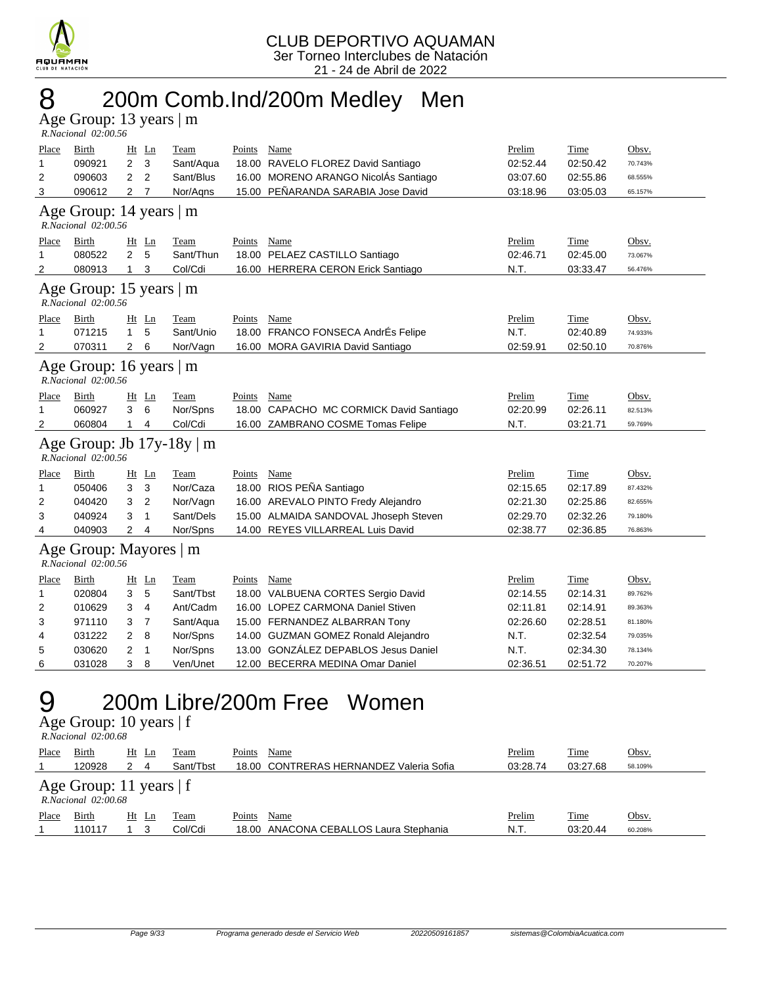

## 8 200m Comb.Ind/200m Medley Men

Age Group: 13 years | m

|                | R.Nacional 02:00.56                                  |                |                |                                |               |                                         |          |             |         |
|----------------|------------------------------------------------------|----------------|----------------|--------------------------------|---------------|-----------------------------------------|----------|-------------|---------|
| Place          | <b>Birth</b>                                         |                | $Ht$ Ln        | Team                           | <b>Points</b> | Name                                    | Prelim   | Time        | Obsv.   |
| 1              | 090921                                               | $\overline{2}$ | 3              | Sant/Aqua                      |               | 18.00 RAVELO FLOREZ David Santiago      | 02:52.44 | 02:50.42    | 70.743% |
| 2              | 090603                                               | $\overline{2}$ | $\overline{2}$ | Sant/Blus                      |               | 16.00 MORENO ARANGO NicolÁs Santiago    | 03:07.60 | 02:55.86    | 68.555% |
| 3              | 090612                                               | $\overline{2}$ | 7              | Nor/Agns                       |               | 15.00 PEÑARANDA SARABIA Jose David      | 03:18.96 | 03:05.03    | 65.157% |
|                | Age Group: 14 years   m<br>R.Nacional 02:00.56       |                |                |                                |               |                                         |          |             |         |
| Place          | Birth                                                | Ht             | Ln             | Team                           | Points        | Name                                    | Prelim   | Time        | Obsv.   |
| 1              | 080522                                               | $\overline{2}$ | 5              | Sant/Thun                      |               | 18.00 PELAEZ CASTILLO Santiago          | 02:46.71 | 02:45.00    | 73.067% |
| 2              | 080913                                               | $\mathbf{1}$   | 3              | Col/Cdi                        |               | 16.00 HERRERA CERON Erick Santiago      | N.T.     | 03:33.47    | 56.476% |
|                | Age Group: 15 years $\vert$ m<br>R.Nacional 02:00.56 |                |                |                                |               |                                         |          |             |         |
| Place          | <b>Birth</b>                                         |                | $Ht$ Ln        | Team                           | Points        | Name                                    | Prelim   | Time        | Obsv.   |
| 1              | 071215                                               | $\mathbf{1}$   | 5              | Sant/Unio                      |               | 18.00 FRANCO FONSECA AndrÉs Felipe      | N.T.     | 02:40.89    | 74.933% |
| 2              | 070311                                               | 2              | 6              | Nor/Vagn                       |               | 16.00 MORA GAVIRIA David Santiago       | 02:59.91 | 02:50.10    | 70.876% |
|                | Age Group: 16 years   m<br>R.Nacional 02:00.56       |                |                |                                |               |                                         |          |             |         |
| Place          | Birth                                                |                | $Ht$ Ln        | <b>Team</b>                    | Points        | Name                                    | Prelim   | <b>Time</b> | Obsv.   |
| 1              | 060927                                               | 3              | 6              | Nor/Spns                       |               | 18.00 CAPACHO MC CORMICK David Santiago | 02:20.99 | 02:26.11    | 82.513% |
| $\overline{2}$ | 060804                                               | $\mathbf{1}$   | $\overline{4}$ | Col/Cdi                        |               | 16.00 ZAMBRANO COSME Tomas Felipe       | N.T.     | 03:21.71    | 59.769% |
|                | R.Nacional 02:00.56                                  |                |                | Age Group: Jb $17y-18y \mid m$ |               |                                         |          |             |         |
| Place          | Birth                                                |                | $Ht$ Ln        | Team                           | Points        | Name                                    | Prelim   | Time        | Obsv.   |
| 1              | 050406                                               | 3              | 3              | Nor/Caza                       |               | 18.00 RIOS PEÑA Santiago                | 02:15.65 | 02:17.89    | 87.432% |
| 2              | 040420                                               | 3              | $\overline{2}$ | Nor/Vagn                       |               | 16.00 AREVALO PINTO Fredy Alejandro     | 02:21.30 | 02:25.86    | 82.655% |
| 3              | 040924                                               | 3              | 1              | Sant/Dels                      |               | 15.00 ALMAIDA SANDOVAL Jhoseph Steven   | 02:29.70 | 02:32.26    | 79.180% |
| 4              | 040903                                               | 2              | 4              | Nor/Spns                       |               | 14.00 REYES VILLARREAL Luis David       | 02:38.77 | 02:36.85    | 76.863% |
|                | Age Group: Mayores   m<br>R.Nacional 02:00.56        |                |                |                                |               |                                         |          |             |         |
| Place          | Birth                                                |                | Ht Ln          | Team                           | Points        | Name                                    | Prelim   | Time        | Obsv.   |
| 1              | 020804                                               | 3              | 5              | Sant/Tbst                      |               | 18.00 VALBUENA CORTES Sergio David      | 02:14.55 | 02:14.31    | 89.762% |
| 2              | 010629                                               | 3              | $\overline{4}$ | Ant/Cadm                       |               | 16.00 LOPEZ CARMONA Daniel Stiven       | 02:11.81 | 02:14.91    | 89.363% |
| 3              | 971110                                               | 3              | $\overline{7}$ | Sant/Aqua                      |               | 15.00 FERNANDEZ ALBARRAN Tony           | 02:26.60 | 02:28.51    | 81.180% |
| 4              | 031222                                               | 2              | 8              | Nor/Spns                       |               | 14.00 GUZMAN GOMEZ Ronald Alejandro     | N.T.     | 02:32.54    | 79.035% |
| 5              | 030620                                               | $\overline{2}$ | $\overline{1}$ | Nor/Spns                       |               | 13.00 GONZÁLEZ DEPABLOS Jesus Daniel    | N.T.     | 02:34.30    | 78.134% |
| 6              | 031028                                               | 3              | 8              | Ven/Unet                       |               | 12.00 BECERRA MEDINA Omar Daniel        | 02:36.51 | 02:51.72    | 70.207% |
|                |                                                      |                |                |                                |               |                                         |          |             |         |

## 9 200m Libre/200m Free Women

Age Group: 10 years | f

| R.Nacional 02:00.68 |  |
|---------------------|--|
|                     |  |

| Place | Birth                                                 | Ht<br>Ln | Team      | Name<br>Points                          | Prelim   | <u>Time</u> | Obsv.        |  |  |  |
|-------|-------------------------------------------------------|----------|-----------|-----------------------------------------|----------|-------------|--------------|--|--|--|
|       | 120928                                                | 4        | Sant/Tbst | 18.00 CONTRERAS HERNANDEZ Valeria Sofia | 03:28.74 | 03:27.68    | 58.109%      |  |  |  |
|       | Age Group: 11 years $ f $<br>$R. Nacional$ $02:00.68$ |          |           |                                         |          |             |              |  |  |  |
| Place | Birth                                                 | Ht Ln    | Team      | Name<br>Points                          | Prelim   | <b>Time</b> | <u>Obsv.</u> |  |  |  |
|       | 110117                                                |          | Col/Cdi   | 18.00 ANACONA CEBALLOS Laura Stephania  | N.T.     | 03:20.44    | 60.208%      |  |  |  |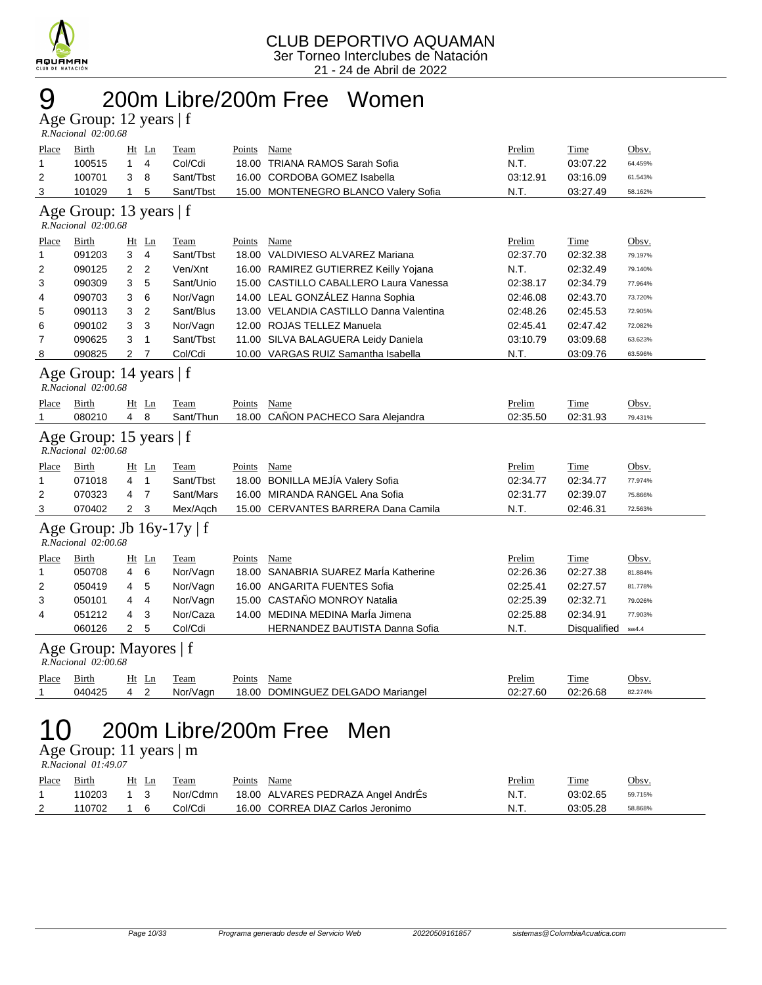

## 9 200m Libre/200m Free Women

Age Group: 12 years | f  *R.Nacional 02:00.68* 

| <b>Place</b>                                                                     | <u>Birth</u>                                     |                | Ht Ln          | <b>Team</b> | <b>Points</b> | <b>Name</b>                             | Prelim   | <b>Time</b>  | Obsv.   |  |  |  |
|----------------------------------------------------------------------------------|--------------------------------------------------|----------------|----------------|-------------|---------------|-----------------------------------------|----------|--------------|---------|--|--|--|
| 1                                                                                | 100515                                           | 1              | 4              | Col/Cdi     |               | 18.00 TRIANA RAMOS Sarah Sofia          | N.T.     | 03:07.22     | 64.459% |  |  |  |
| 2                                                                                | 100701                                           | 3              | 8              | Sant/Tbst   |               | 16.00 CORDOBA GOMEZ Isabella            | 03:12.91 | 03:16.09     | 61.543% |  |  |  |
| 3                                                                                | 101029                                           | $\mathbf{1}$   | 5              | Sant/Tbst   |               | 15.00 MONTENEGRO BLANCO Valery Sofia    | N.T.     | 03:27.49     | 58.162% |  |  |  |
| Age Group: 13 years   f<br>R.Nacional 02:00.68                                   |                                                  |                |                |             |               |                                         |          |              |         |  |  |  |
| Place                                                                            | <b>Birth</b>                                     |                | $Ht$ Ln        | Team        | Points        | Name                                    | Prelim   | Time         | Obsv.   |  |  |  |
| 1                                                                                | 091203                                           | 3              | $\overline{4}$ | Sant/Tbst   |               | 18.00 VALDIVIESO ALVAREZ Mariana        | 02:37.70 | 02:32.38     | 79.197% |  |  |  |
| 2                                                                                | 090125                                           | 2              | 2              | Ven/Xnt     |               | 16.00 RAMIREZ GUTIERREZ Keilly Yojana   | N.T.     | 02:32.49     | 79.140% |  |  |  |
| 3                                                                                | 090309                                           | 3              | 5              | Sant/Unio   |               | 15.00 CASTILLO CABALLERO Laura Vanessa  | 02:38.17 | 02:34.79     | 77.964% |  |  |  |
| 4                                                                                | 090703                                           | 3              | 6              | Nor/Vagn    |               | 14.00 LEAL GONZALEZ Hanna Sophia        | 02:46.08 | 02:43.70     | 73.720% |  |  |  |
| 5                                                                                | 090113                                           | 3              | $\overline{2}$ | Sant/Blus   |               | 13.00 VELANDIA CASTILLO Danna Valentina | 02:48.26 | 02:45.53     | 72.905% |  |  |  |
| 6                                                                                | 090102                                           | 3              | 3              | Nor/Vagn    |               | 12.00 ROJAS TELLEZ Manuela              | 02:45.41 | 02:47.42     | 72.082% |  |  |  |
| 7                                                                                | 090625                                           | 3              | 1              | Sant/Tbst   |               | 11.00 SILVA BALAGUERA Leidy Daniela     | 03:10.79 | 03:09.68     | 63.623% |  |  |  |
| 8                                                                                | 090825                                           | $\overline{2}$ | $\overline{7}$ | Col/Cdi     |               | 10.00 VARGAS RUIZ Samantha Isabella     | N.T.     | 03:09.76     | 63.596% |  |  |  |
|                                                                                  | Age Group: 14 years   f<br>R.Nacional 02:00.68   |                |                |             |               |                                         |          |              |         |  |  |  |
| Place                                                                            | Birth                                            |                | $Ht$ Ln        | Team        | Points        | Name                                    | Prelim   | Time         | Obsv.   |  |  |  |
| 1                                                                                | 080210                                           | 4              | 8              | Sant/Thun   |               | 18.00 CANON PACHECO Sara Alejandra      | 02:35.50 | 02:31.93     | 79.431% |  |  |  |
|                                                                                  | Age Group: 15 years   f<br>R.Nacional 02:00.68   |                |                |             |               |                                         |          |              |         |  |  |  |
| Place                                                                            | Birth                                            |                | $Ht$ Ln        | Team        | Points        | Name                                    | Prelim   | Time         | Obsv.   |  |  |  |
| 1                                                                                | 071018                                           | 4              | $\mathbf{1}$   | Sant/Tbst   |               | 18.00 BONILLA MEJÍA Valery Sofia        | 02:34.77 | 02:34.77     | 77.974% |  |  |  |
| 2                                                                                | 070323                                           | 4              | $\overline{7}$ | Sant/Mars   |               | 16.00 MIRANDA RANGEL Ana Sofia          | 02:31.77 | 02:39.07     | 75.866% |  |  |  |
| 3                                                                                | 070402                                           | $\overline{2}$ | 3              | Mex/Aqch    |               | 15.00 CERVANTES BARRERA Dana Camila     | N.T.     | 02:46.31     | 72.563% |  |  |  |
|                                                                                  | Age Group: Jb 16y-17y   f<br>R.Nacional 02:00.68 |                |                |             |               |                                         |          |              |         |  |  |  |
| Place                                                                            | Birth                                            |                | <u>Ht Ln</u>   | Team        | Points        | Name                                    | Prelim   | Time         | Obsv.   |  |  |  |
| 1                                                                                | 050708                                           | 4              | 6              | Nor/Vagn    |               | 18.00 SANABRIA SUAREZ Marla Katherine   | 02:26.36 | 02:27.38     | 81.884% |  |  |  |
| 2                                                                                | 050419                                           | 4              | 5              | Nor/Vagn    |               | 16.00 ANGARITA FUENTES Sofia            | 02:25.41 | 02:27.57     | 81.778% |  |  |  |
| 3                                                                                | 050101                                           | 4              | $\overline{4}$ | Nor/Vagn    |               | 15.00 CASTAÑO MONROY Natalia            | 02:25.39 | 02:32.71     | 79.026% |  |  |  |
| 4                                                                                | 051212                                           | 4              | 3              | Nor/Caza    |               | 14.00 MEDINA MEDINA Maria Jimena        | 02:25.88 | 02:34.91     | 77.903% |  |  |  |
|                                                                                  | 060126                                           | $\overline{2}$ | 5              | Col/Cdi     |               | HERNANDEZ BAUTISTA Danna Sofia          | N.T.     | Disqualified | sw4.4   |  |  |  |
|                                                                                  | Age Group: Mayores   f<br>R.Nacional 02:00.68    |                |                |             |               |                                         |          |              |         |  |  |  |
| <b>Place</b>                                                                     | <b>Birth</b>                                     |                | $Ht$ Ln        | Team        | Points        | <b>Name</b>                             | Prelim   | <b>Time</b>  | Obsv.   |  |  |  |
|                                                                                  | 040425                                           | 4              | $\overline{2}$ | Nor/Vagn    |               | 18.00 DOMINGUEZ DELGADO Mariangel       | 02:27.60 | 02:26.68     | 82.274% |  |  |  |
| 200m Libre/200m Free Men<br>Age Group: 11 years $\vert$ m<br>R.Nacional 01:49.07 |                                                  |                |                |             |               |                                         |          |              |         |  |  |  |

| Place | <b>Birth</b> | Ht Ln | Team     | Points | Name                               | <b>Prelim</b> | <b>Time</b> | Obsv.   |
|-------|--------------|-------|----------|--------|------------------------------------|---------------|-------------|---------|
|       | 110203       | 1 3   | Nor/Cdmn |        | 18.00 ALVARES PEDRAZA Angel AndrÉs | N.T.          | 03:02.65    | 59.715% |
|       | 110702       | 1 6   | Col/Cdi  |        | 16.00 CORREA DIAZ Carlos Jeronimo  | N.T.          | 03:05.28    | 58.868% |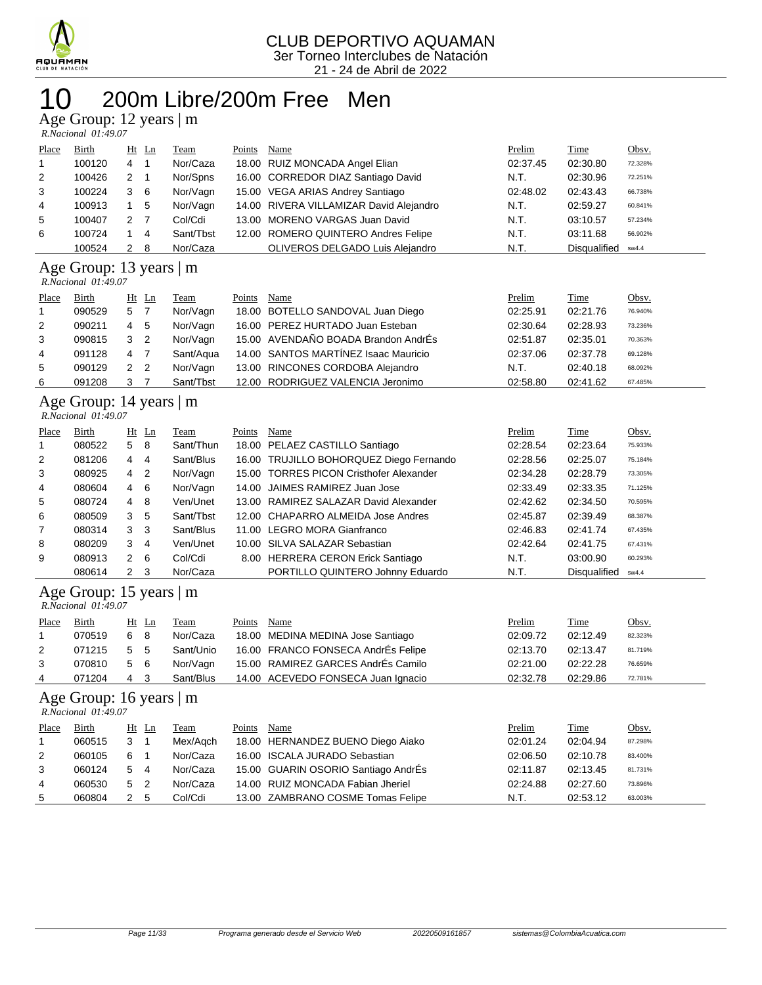

# 200m Libre/200m Free Men

Age Group: 12 years | m

| R.Nacional 01:49.07 |  |
|---------------------|--|

| Place        | <b>Birth</b> | $Ht$ Ln |    | Team      | Points | Name                                    | Prelim   | <b>Time</b>         | Obsv.   |
|--------------|--------------|---------|----|-----------|--------|-----------------------------------------|----------|---------------------|---------|
| $\mathbf{1}$ | 100120       | 4       | 1  | Nor/Caza  |        | 18.00 RUIZ MONCADA Angel Elian          | 02:37.45 | 02:30.80            | 72.328% |
| 2            | 100426       | 2       |    | Nor/Spns  |        | 16.00 CORREDOR DIAZ Santiago David      | N.T.     | 02:30.96            | 72.251% |
| 3            | 100224       | 3       | -6 | Nor/Vagn  |        | 15.00 VEGA ARIAS Andrey Santiago        | 02:48.02 | 02:43.43            | 66.738% |
| 4            | 100913       |         | -5 | Nor/Vagn  |        | 14.00 RIVERA VILLAMIZAR David Alejandro | N.T.     | 02:59.27            | 60.841% |
| 5            | 100407       | 2       |    | Col/Cdi   |        | 13.00 MORENO VARGAS Juan David          | N.T.     | 03:10.57            | 57.234% |
| 6            | 100724       |         | 4  | Sant/Tbst |        | 12.00 ROMERO QUINTERO Andres Felipe     | N.T.     | 03:11.68            | 56.902% |
|              | 100524       | 2       | 8  | Nor/Caza  |        | OLIVEROS DELGADO Luis Alejandro         | N.T.     | <b>Disqualified</b> | sw4.4   |

#### Age Group: 13 years | m  *R.Nacional 01:49.07*

| Place          | Birth  |            | Ht Ln          | Team      | Points | Name                                 | Prelim   | Time     | Obsv.   |
|----------------|--------|------------|----------------|-----------|--------|--------------------------------------|----------|----------|---------|
|                | 090529 | 5          | $\overline{7}$ | Nor/Vagn  |        | 18.00 BOTELLO SANDOVAL Juan Diego    | 02:25.91 | 02:21.76 | 76.940% |
| $\overline{2}$ | 090211 | 4          | - 5            | Nor/Vagn  |        | 16.00 PEREZ HURTADO Juan Esteban     | 02:30.64 | 02:28.93 | 73.236% |
| 3              | 090815 | $3\quad 2$ |                | Nor/Vagn  |        | 15.00 AVENDAÑO BOADA Brandon AndrÉs  | 02:51.87 | 02:35.01 | 70.363% |
| 4              | 091128 | 4          |                | Sant/Aqua |        | 14.00 SANTOS MARTÍNEZ Isaac Mauricio | 02:37.06 | 02:37.78 | 69.128% |
| 5              | 090129 | 2 2        |                | Nor/Vagn  |        | 13.00 RINCONES CORDOBA Alejandro     | N.T.     | 02:40.18 | 68.092% |
| 6              | 091208 |            |                | Sant/Tbst |        | 12.00 RODRIGUEZ VALENCIA Jeronimo    | 02:58.80 | 02:41.62 | 67.485% |

### Age Group: 14 years | m

 *R.Nacional 01:49.07* 

| Place          | <b>Birth</b> |                | $Ht$ Ln        | Team      | Points | Name                                    | Prelim   | <b>Time</b>  | Obsv.   |
|----------------|--------------|----------------|----------------|-----------|--------|-----------------------------------------|----------|--------------|---------|
| -1             | 080522       | 5              | 8              | Sant/Thun |        | 18.00 PELAEZ CASTILLO Santiago          | 02:28.54 | 02:23.64     | 75.933% |
| 2              | 081206       | 4              | 4              | Sant/Blus |        | 16.00 TRUJILLO BOHORQUEZ Diego Fernando | 02:28.56 | 02:25.07     | 75.184% |
| 3              | 080925       | 4              | $\overline{2}$ | Nor/Vagn  |        | 15.00 TORRES PICON Cristhofer Alexander | 02:34.28 | 02:28.79     | 73.305% |
| 4              | 080604       | 4              | - 6            | Nor/Vagn  |        | 14.00 JAIMES RAMIREZ Juan Jose          | 02:33.49 | 02:33.35     | 71.125% |
| 5              | 080724       | 4              | - 8            | Ven/Unet  |        | 13.00 RAMIREZ SALAZAR David Alexander   | 02:42.62 | 02:34.50     | 70.595% |
| 6              | 080509       | 3              | 5              | Sant/Tbst |        | 12.00 CHAPARRO ALMEIDA Jose Andres      | 02:45.87 | 02:39.49     | 68.387% |
| $\overline{7}$ | 080314       | 3 <sub>3</sub> |                | Sant/Blus |        | 11.00 LEGRO MORA Gianfranco             | 02:46.83 | 02:41.74     | 67.435% |
| 8              | 080209       | 3              | -4             | Ven/Unet  |        | 10.00 SILVA SALAZAR Sebastian           | 02:42.64 | 02:41.75     | 67.431% |
| 9              | 080913       | $2\quad 6$     |                | Col/Cdi   |        | 8.00 HERRERA CERON Erick Santiago       | N.T.     | 03:00.90     | 60.293% |
|                | 080614       | 2 <sub>3</sub> |                | Nor/Caza  |        | PORTILLO QUINTERO Johnny Eduardo        | N.T.     | Disqualified | sw4.4   |

Age Group: 15 years | m

| R.Nacional 01:49.07 |  |
|---------------------|--|

| Place          | <b>Birth</b> | Ht Ln | <b>Team</b> | Points Name                        | <b>Prelim</b> | <b>Time</b> | Obsv.   |
|----------------|--------------|-------|-------------|------------------------------------|---------------|-------------|---------|
|                | 070519       | 68    | Nor/Caza    | 18.00 MEDINA MEDINA Jose Santiago  | 02:09.72      | 02:12.49    | 82.323% |
| 2              | 071215       | 55    | Sant/Unio   | 16.00 FRANCO FONSECA AndrÉs Felipe | 02:13.70      | 02:13.47    | 81.719% |
| 3              | 070810       | 56    | Nor/Vagn    | 15.00 RAMIREZ GARCES AndrÉs Camilo | 02:21.00      | 02:22.28    | 76.659% |
| $\overline{4}$ | 071204       | 4 3   | Sant/Blus   | 14.00 ACEVEDO FONSECA Juan Ignacio | 02:32.78      | 02:29.86    | 72.781% |
|                |              |       |             |                                    |               |             |         |

#### Age Group: 16 years | m

 *R.Nacional 01:49.07* 

| Place | Birth  | Ht Ln                           |    | Team     | Points | Name                                | Prelim   | Time     | Obsv.   |
|-------|--------|---------------------------------|----|----------|--------|-------------------------------------|----------|----------|---------|
|       | 060515 | 3                               |    | Mex/Agch |        | 18.00 HERNANDEZ BUENO Diego Aiako   | 02:01.24 | 02:04.94 | 87.298% |
| 2     | 060105 | 6                               |    | Nor/Caza |        | 16.00 ISCALA JURADO Sebastian       | 02:06.50 | 02:10.78 | 83.400% |
| 3     | 060124 | 5 4                             |    | Nor/Caza |        | 15.00 GUARIN OSORIO Santiago AndrÉs | 02:11.87 | 02:13.45 | 81.731% |
| 4     | 060530 | 5<br>$\overline{\phantom{0}}^2$ |    | Nor/Caza |        | 14.00 RUIZ MONCADA Fabian Jheriel   | 02:24.88 | 02:27.60 | 73.896% |
| 5     | 060804 |                                 | -5 | Col/Cdi  |        | 13.00 ZAMBRANO COSME Tomas Felipe   | N.T.     | 02:53.12 | 63.003% |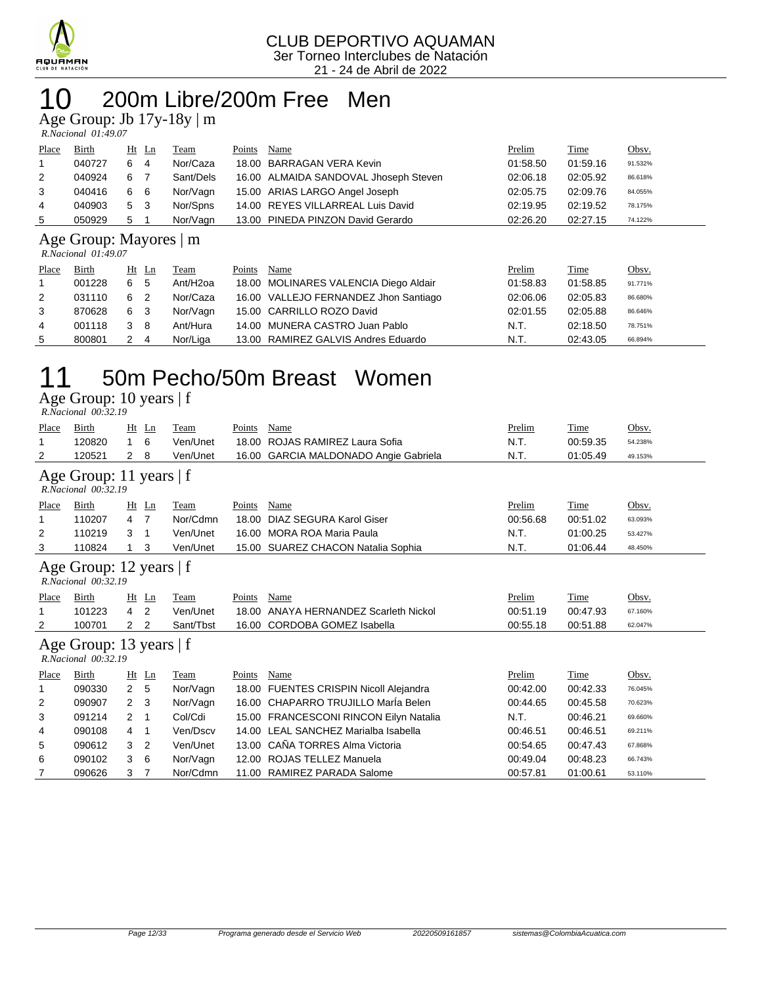

## 10 200m Libre/200m Free Men

Age Group: Jb 17y-18y | m

| R.Nacional 01:49.07 |  |
|---------------------|--|

| Place          | <b>Birth</b> |   | $Ht$ Ln        | <b>Team</b> | Points | Name                                  | <b>Prelim</b> | <b>Time</b> | Obsv.   |
|----------------|--------------|---|----------------|-------------|--------|---------------------------------------|---------------|-------------|---------|
|                | 040727       | 6 | $\overline{4}$ | Nor/Caza    |        | 18.00 BARRAGAN VERA Kevin             | 01:58.50      | 01:59.16    | 91.532% |
| 2              | 040924       | 6 |                | Sant/Dels   |        | 16.00 ALMAIDA SANDOVAL Jhoseph Steven | 02:06.18      | 02:05.92    | 86.618% |
| 3              | 040416       | 6 | - 6            | Nor/Vagn    |        | 15.00 ARIAS LARGO Angel Joseph        | 02:05.75      | 02:09.76    | 84.055% |
| $\overline{4}$ | 040903       | 5 | - 3            | Nor/Spns    |        | 14.00 REYES VILLARREAL Luis David     | 02:19.95      | 02:19.52    | 78.175% |
| 5              | 050929       | 5 |                | Nor/Vagn    |        | 13.00 PINEDA PINZON David Gerardo     | 02:26.20      | 02:27.15    | 74.122% |

#### Age Group: Mayores | m

 *R.Nacional 01:49.07* 

| Place | <b>Birth</b> | Ht Ln          | <u>Team</u>          | Points | Name                                  | Prelim   | <u>Time</u> | Obsv.   |
|-------|--------------|----------------|----------------------|--------|---------------------------------------|----------|-------------|---------|
|       | 001228       | 6<br>- 5       | Ant/H <sub>20a</sub> |        | 18.00 MOLINARES VALENCIA Diego Aldair | 01:58.83 | 01:58.85    | 91.771% |
| 2     | 031110       | 6<br>2         | Nor/Caza             |        | 16.00 VALLEJO FERNANDEZ Jhon Santiago | 02:06.06 | 02:05.83    | 86.680% |
| 3     | 870628       | 6 3            | Nor/Vagn             |        | 15.00 CARRILLO ROZO David             | 02:01.55 | 02:05.88    | 86.646% |
| 4     | 001118       | - 8            | Ant/Hura             |        | 14.00 MUNERA CASTRO Juan Pablo        | N.T.     | 02:18.50    | 78.751% |
| 5     | 800801       | $\overline{4}$ | Nor/Liga             |        | 13.00 RAMIREZ GALVIS Andres Eduardo   | N.T.     | 02:43.05    | 66.894% |

### 11 50m Pecho/50m Breast Women

Age Group: 10 years | f

| R.Nacional 00:32.19                              |                                                |                |                |           |        |                                         |          |             |         |  |  |
|--------------------------------------------------|------------------------------------------------|----------------|----------------|-----------|--------|-----------------------------------------|----------|-------------|---------|--|--|
| Place                                            | Birth                                          | Ht             | Ln             | Team      | Points | Name                                    | Prelim   | <u>Time</u> | Obsv.   |  |  |
| 1                                                | 120820                                         | 1              | 6              | Ven/Unet  | 18.00  | ROJAS RAMIREZ Laura Sofia               | N.T.     | 00:59.35    | 54.238% |  |  |
| 2                                                | 120521                                         | 2              | 8              | Ven/Unet  | 16.00  | GARCIA MALDONADO Angie Gabriela         | N.T.     | 01:05.49    | 49.153% |  |  |
|                                                  | Age Group: 11 years   f<br>R.Nacional 00:32.19 |                |                |           |        |                                         |          |             |         |  |  |
| Place                                            | Birth                                          |                | $Ht$ Ln        | Team      | Points | Name                                    | Prelim   | Time        | Obsv.   |  |  |
| 1                                                | 110207                                         | 4              | $\overline{7}$ | Nor/Cdmn  | 18.00  | DIAZ SEGURA Karol Giser                 | 00:56.68 | 00:51.02    | 63.093% |  |  |
| 2                                                | 110219                                         | 3              | -1             | Ven/Unet  |        | 16.00 MORA ROA Maria Paula              | N.T.     | 01:00.25    | 53.427% |  |  |
| 3                                                | 110824                                         | 1              | 3              | Ven/Unet  |        | 15.00 SUAREZ CHACON Natalia Sophia      | N.T.     | 01:06.44    | 48.450% |  |  |
| Age Group: 12 years $ f $<br>R.Nacional 00:32.19 |                                                |                |                |           |        |                                         |          |             |         |  |  |
| Place                                            | Birth                                          | Ht             | Ln             | Team      | Points | Name                                    | Prelim   | Time        | Obsv.   |  |  |
| 1                                                | 101223                                         | 4              | 2              | Ven/Unet  | 18.00  | ANAYA HERNANDEZ Scarleth Nickol         | 00:51.19 | 00:47.93    | 67.160% |  |  |
| 2                                                | 100701                                         | 2              | $\overline{2}$ | Sant/Tbst | 16.00  | <b>CORDOBA GOMEZ Isabella</b>           | 00:55.18 | 00:51.88    | 62.047% |  |  |
|                                                  | Age Group: 13 years   f<br>R.Nacional 00:32.19 |                |                |           |        |                                         |          |             |         |  |  |
| Place                                            | Birth                                          |                | $Ht$ Ln        | Team      | Points | Name                                    | Prelim   | Time        | Obsv.   |  |  |
| 1                                                | 090330                                         | $\overline{2}$ | 5              | Nor/Vagn  | 18.00  | <b>FUENTES CRISPIN Nicoll Alejandra</b> | 00:42.00 | 00:42.33    | 76.045% |  |  |
| 2                                                | 090907                                         | 2              | 3              | Nor/Vagn  |        | 16.00 CHAPARRO TRUJILLO Maria Belen     | 00:44.65 | 00:45.58    | 70.623% |  |  |
| 3                                                | 091214                                         | 2              | -1             | Col/Cdi   |        | 15.00 FRANCESCONI RINCON Eilyn Natalia  | N.T.     | 00:46.21    | 69.660% |  |  |
| 4                                                | 090108                                         | 4              | -1             | Ven/Dscv  |        | 14.00 LEAL SANCHEZ Marialba Isabella    | 00:46.51 | 00:46.51    | 69.211% |  |  |
| 5                                                | 090612                                         | 3              | 2              | Ven/Unet  | 13.00  | CAÑA TORRES Alma Victoria               | 00:54.65 | 00:47.43    | 67.868% |  |  |
| 6                                                | 090102                                         | 3              | 6              | Nor/Vagn  | 12.00  | <b>ROJAS TELLEZ Manuela</b>             | 00:49.04 | 00:48.23    | 66.743% |  |  |
| 7                                                | 090626                                         | 3              | 7              | Nor/Cdmn  |        | 11.00 RAMIREZ PARADA Salome             | 00:57.81 | 01:00.61    | 53.110% |  |  |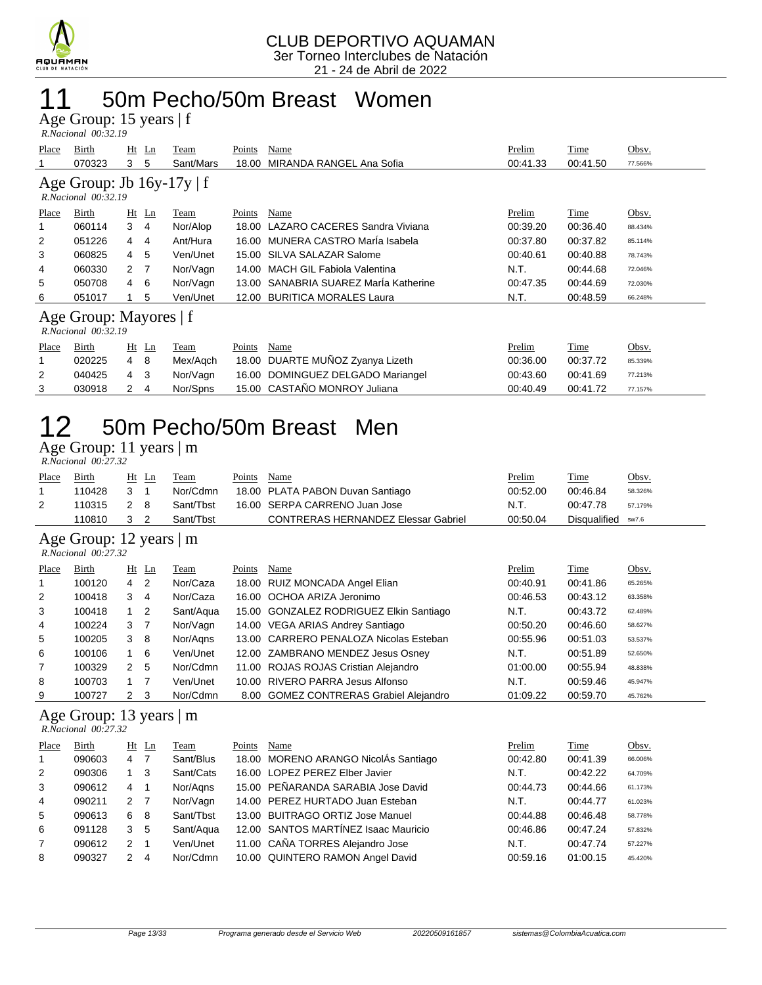

## 11 50m Pecho/50m Breast Women

Age Group: 15 years | f  *R.Nacional 00:32.19* 

|              | 1.1900.101101 00.32.17                        |          |                                |        |                                   |          |             |         |
|--------------|-----------------------------------------------|----------|--------------------------------|--------|-----------------------------------|----------|-------------|---------|
| <b>Place</b> | Birth                                         | $Ht$ Ln  | Team                           | Points | Name                              | Prelim   | Time        | Obsv.   |
|              | 070323                                        | 3<br>5   | Sant/Mars                      | 18.00  | MIRANDA RANGEL Ana Sofia          | 00:41.33 | 00:41.50    | 77.566% |
|              | $R. Nacional$ $00:32.19$                      |          | Age Group: Jb $16y-17y \mid f$ |        |                                   |          |             |         |
| <b>Place</b> | Birth                                         | $Ht$ Ln  | Team                           | Points | Name                              | Prelim   | <b>Time</b> | Obsv.   |
|              | 060114                                        | 3<br>4   | Nor/Alop                       | 18.00  | LAZARO CACERES Sandra Viviana     | 00:39.20 | 00:36.40    | 88.434% |
| 2            | 051226                                        | 4<br>4   | Ant/Hura                       | 16.00  | MUNERA CASTRO María Isabela       | 00:37.80 | 00:37.82    | 85.114% |
| 3            | 060825                                        | 5<br>4   | Ven/Unet                       | 15.00  | SILVA SALAZAR Salome              | 00:40.61 | 00:40.88    | 78.743% |
| 4            | 060330                                        | - 7<br>2 | Nor/Vagn                       | 14.00  | <b>MACH GIL Fabiola Valentina</b> | N.T.     | 00:44.68    | 72.046% |
| 5            | 050708                                        | 6<br>4   | Nor/Vagn                       | 13.00  | SANABRIA SUAREZ Maria Katherine   | 00:47.35 | 00:44.69    | 72.030% |
| 6            | 051017                                        | 5        | Ven/Unet                       | 12.00  | <b>BURITICA MORALES Laura</b>     | N.T.     | 00:48.59    | 66.248% |
|              | Age Group: Mayores   f<br>R.Nacional 00:32.19 |          |                                |        |                                   |          |             |         |
| Place        | Birth                                         | $Ht$ Ln  | Team                           | Points | Name                              | Prelim   | Time        | Obsv.   |
|              | 020225                                        | 4<br>8   | Mex/Agch                       | 18.00  | DUARTE MUÑOZ Zyanya Lizeth        | 00:36.00 | 00:37.72    | 85.339% |
| 2            | 040425                                        | 3<br>4   | Nor/Vagn                       | 16.00  | DOMINGUEZ DELGADO Mariangel       | 00:43.60 | 00:41.69    | 77.213% |
| 3            | 030918                                        | 2<br>4   | Nor/Spns                       |        | 15.00 CASTAÑO MONROY Juliana      | 00:40.49 | 00:41.72    | 77.157% |

# 12 50m Pecho/50m Breast Men

Age Group: 11 years | m

|       | R.Nacional 00:27.32 |              |       |           |        |                                            |          |                    |         |  |  |  |  |  |
|-------|---------------------|--------------|-------|-----------|--------|--------------------------------------------|----------|--------------------|---------|--|--|--|--|--|
| Place | Birth               |              | Ht Ln | Team      | Points | Name                                       | Prelim   | Time               | Obsv.   |  |  |  |  |  |
|       | 110428              | $\mathbf{3}$ |       | Nor/Cdmn  |        | 18.00 PLATA PABON Duvan Santiago           | 00:52.00 | 00:46.84           | 58.326% |  |  |  |  |  |
|       | 110315              | 28           |       | Sant/Thst |        | 16.00 SERPA CARRENO Juan Jose              | N.T.     | 00:47.78           | 57.179% |  |  |  |  |  |
|       | 110810              | 3 2          |       | Sant/Thst |        | <b>CONTRERAS HERNANDEZ Elessar Gabriel</b> | 00:50.04 | Disqualified sw7.6 |         |  |  |  |  |  |

#### Age Group: 12 years | m

|                | R.Nacional 00:27.32 |               |     |           |        |                                         |          |          |         |
|----------------|---------------------|---------------|-----|-----------|--------|-----------------------------------------|----------|----------|---------|
| Place          | Birth               | Ht Ln         |     | Team      | Points | Name                                    | Prelim   | Time     | Obsv.   |
| $\mathbf{1}$   | 100120              | $4\quad 2$    |     | Nor/Caza  |        | 18.00 RUIZ MONCADA Angel Elian          | 00:40.91 | 00:41.86 | 65.265% |
| 2              | 100418              | 3             | 4   | Nor/Caza  |        | 16.00 OCHOA ARIZA Jeronimo              | 00:46.53 | 00:43.12 | 63.358% |
| 3              | 100418              |               | 2   | Sant/Aqua |        | 15.00 GONZALEZ RODRIGUEZ Elkin Santiago | N.T.     | 00:43.72 | 62.489% |
| 4              | 100224              | 3             | - 7 | Nor/Vagn  |        | 14.00 VEGA ARIAS Andrey Santiago        | 00:50.20 | 00:46.60 | 58.627% |
| 5              | 100205              | 3             | -8  | Nor/Agns  |        | 13.00 CARRERO PENALOZA Nicolas Esteban  | 00:55.96 | 00:51.03 | 53.537% |
| 6              | 100106              |               | 6   | Ven/Unet  |        | 12.00 ZAMBRANO MENDEZ Jesus Osney       | N.T.     | 00:51.89 | 52.650% |
| $\overline{7}$ | 100329              | $\mathcal{P}$ | 5   | Nor/Cdmn  |        | 11.00 ROJAS ROJAS Cristian Alejandro    | 01:00.00 | 00:55.94 | 48.838% |
| 8              | 100703              |               |     | Ven/Unet  |        | 10.00 RIVERO PARRA Jesus Alfonso        | N.T.     | 00:59.46 | 45.947% |

#### Age Group: 13 years | m

 *R.Nacional 00:27.32* 

| Place          | <b>Birth</b> |               | $Ht$ Ln | Team      | Points | Name                                 | Prelim   | Time     | Obsv.   |
|----------------|--------------|---------------|---------|-----------|--------|--------------------------------------|----------|----------|---------|
| $\overline{1}$ | 090603       | 4             |         | Sant/Blus |        | 18.00 MORENO ARANGO NicolÁs Santiago | 00:42.80 | 00:41.39 | 66.006% |
| 2              | 090306       |               | 3       | Sant/Cats |        | 16.00 LOPEZ PEREZ Elber Javier       | N.T.     | 00:42.22 | 64.709% |
| 3              | 090612       | 4             |         | Nor/Aans  |        | 15.00 PEÑARANDA SARABIA Jose David   | 00:44.73 | 00:44.66 | 61.173% |
| 4              | 090211       | $\mathcal{P}$ | -7      | Nor/Vagn  |        | 14.00 PEREZ HURTADO Juan Esteban     | N.T.     | 00:44.77 | 61.023% |
| 5              | 090613       | 6             | 8       | Sant/Tbst |        | 13.00 BUITRAGO ORTIZ Jose Manuel     | 00:44.88 | 00:46.48 | 58.778% |
| 6              | 091128       | 3             | 5       | Sant/Aqua |        | 12.00 SANTOS MARTÍNEZ Isaac Mauricio | 00:46.86 | 00:47.24 | 57.832% |
| 7              | 090612       | 2             |         | Ven/Unet  |        | 11.00 CAÑA TORRES Alejandro Jose     | N.T.     | 00:47.74 | 57.227% |
| 8              | 090327       | $\mathcal{P}$ | 4       | Nor/Cdmn  |        | 10.00 QUINTERO RAMON Angel David     | 00:59.16 | 01:00.15 | 45.420% |

9 100727 2 3 Nor/Cdmn 8.00 GOMEZ CONTRERAS Grabiel Alejandro 01:09.22 00:59.70 45.762%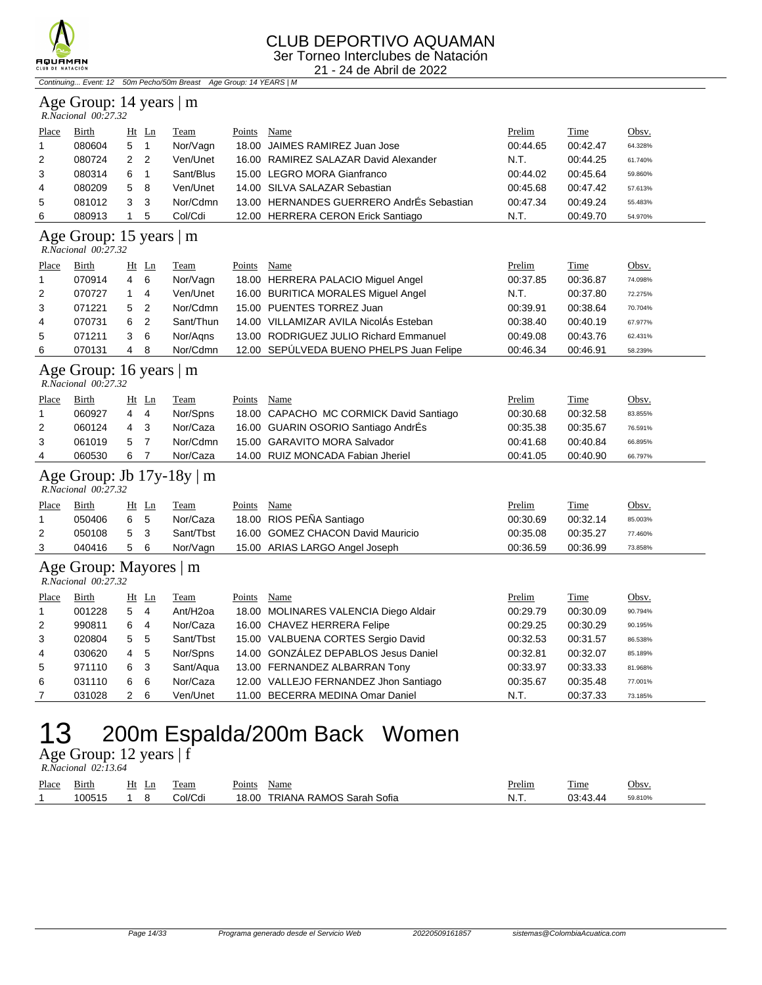

#### CLUB DEPORTIVO AQUAMAN 3er Torneo Interclubes de Natación

21 - 24 de Abril de 2022

Continuing... Event: 12 50m Pecho/50m Breast Age Group: 14 YEARS | M

### Age Group: 14 years | m

|       | R.Nacional 00:27.32 |               |                |           |        |                                           |          |          |         |  |  |  |
|-------|---------------------|---------------|----------------|-----------|--------|-------------------------------------------|----------|----------|---------|--|--|--|
| Place | Birth               | Ht Ln         |                | Team      | Points | Name                                      | Prelim   | Time     | Obsv.   |  |  |  |
|       | 080604              | 5             |                | Nor/Vagn  |        | 18.00 JAIMES RAMIREZ Juan Jose            | 00:44.65 | 00:42.47 | 64.328% |  |  |  |
| 2     | 080724              | $\mathcal{P}$ | $\overline{2}$ | Ven/Unet  |        | 16.00 RAMIREZ SALAZAR David Alexander     | N.T.     | 00:44.25 | 61.740% |  |  |  |
| 3     | 080314              | 6             |                | Sant/Blus |        | 15.00 LEGRO MORA Gianfranco               | 00:44.02 | 00:45.64 | 59.860% |  |  |  |
| 4     | 080209              | 5             | - 8            | Ven/Unet  |        | 14.00 SILVA SALAZAR Sebastian             | 00:45.68 | 00:47.42 | 57.613% |  |  |  |
| 5     | 081012              | 3             | -3             | Nor/Cdmn  |        | 13.00 HERNANDES GUERRERO AndrÉs Sebastian | 00:47.34 | 00:49.24 | 55.483% |  |  |  |
| 6     | 080913              |               | 5              | Col/Cdi   |        | 12.00 HERRERA CERON Erick Santiago        | N.T.     | 00:49.70 | 54.970% |  |  |  |

#### Age Group: 15 years | m

 *R.Nacional 00:27.32* 

| Place | Birth  |    | Ht Ln | Team      | Points | Name                                     | Prelim   | Time     | <u>Obsv.</u> |
|-------|--------|----|-------|-----------|--------|------------------------------------------|----------|----------|--------------|
|       | 070914 | 4  | - 6   | Nor/Vagn  |        | 18.00 HERRERA PALACIO Miguel Angel       | 00:37.85 | 00:36.87 | 74.098%      |
| 2     | 070727 |    | 4     | Ven/Unet  |        | 16.00 BURITICA MORALES Miquel Angel      | N.T.     | 00:37.80 | 72.275%      |
| 3     | 071221 | 5. | - 2   | Nor/Cdmn  |        | 15.00 PUENTES TORREZ Juan                | 00:39.91 | 00:38.64 | 70.704%      |
| 4     | 070731 | 6  | -2    | Sant/Thun |        | 14.00 VILLAMIZAR AVILA NicolÁs Esteban   | 00:38.40 | 00:40.19 | 67.977%      |
| 5     | 071211 |    | - 6   | Nor/Agns  |        | 13.00 RODRIGUEZ JULIO Richard Emmanuel   | 00:49.08 | 00:43.76 | 62.431%      |
| 6     | 070131 | 4  | -8    | Nor/Cdmn  |        | 12.00 SEPÚLVEDA BUENO PHELPS Juan Felipe | 00:46.34 | 00:46.91 | 58.239%      |

### Age Group: 16 years | m<br>R.Nacional 00:27.32

| R.Nacional 00:27.32 |  |
|---------------------|--|

| Place | Birth  | Ht Ln          |     | Team     | Points | Name                                    | Prelim   | Time     | Obsv.   |
|-------|--------|----------------|-----|----------|--------|-----------------------------------------|----------|----------|---------|
|       | 060927 | $\overline{4}$ | -4  | Nor/Spns |        | 18.00 CAPACHO MC CORMICK David Santiago | 00:30.68 | 00:32.58 | 83.855% |
| 2     | 060124 | 4              | - 3 | Nor/Caza |        | 16.00 GUARIN OSORIO Santiago AndrÉs     | 00:35.38 | 00:35.67 | 76.591% |
| 3     | 061019 | 5              |     | Nor/Cdmn |        | 15.00 GARAVITO MORA Salvador            | 00:41.68 | 00:40.84 | 66.895% |
| 4     | 060530 | 6              |     | Nor/Caza |        | 14.00 RUIZ MONCADA Fabian Jheriel       | 00:41.05 | 00:40.90 | 66.797% |

#### Age Group: Jb 17y-18y | m  *R.Nacional 00:27.32*

| Place | Birth  | Ht Ln | Team      | Points | Name                              | <b>Prelim</b> | Time     | Obsv.   |
|-------|--------|-------|-----------|--------|-----------------------------------|---------------|----------|---------|
|       | 050406 | 6 5   | Nor/Caza  |        | 18.00 RIOS PENA Santiago          | 00:30.69      | 00:32.14 | 85.003% |
|       | 050108 | 5 3   | Sant/Tbst |        | 16.00 GOMEZ CHACON David Mauricio | 00:35.08      | 00:35.27 | 77.460% |
|       | 040416 | 5 6   | Nor/Vagn  |        | 15.00 ARIAS LARGO Angel Joseph    | 00:36.59      | 00:36.99 | 73.858% |

### Age Group: Mayores | m

 *R.Nacional 00:27.32* 

| Place          | <b>Birth</b> |                | $Ht$ Ln        | Team                 | Points | Name                                  | Prelim   | Time     | Obsv.   |
|----------------|--------------|----------------|----------------|----------------------|--------|---------------------------------------|----------|----------|---------|
| $\overline{1}$ | 001228       | 5              | $\overline{4}$ | Ant/H <sub>2oa</sub> |        | 18.00 MOLINARES VALENCIA Diego Aldair | 00:29.79 | 00:30.09 | 90.794% |
| 2              | 990811       | 6              | $\overline{4}$ | Nor/Caza             |        | 16.00 CHAVEZ HERRERA Felipe           | 00:29.25 | 00:30.29 | 90.195% |
| 3              | 020804       | 5 <sub>5</sub> |                | Sant/Tbst            |        | 15.00 VALBUENA CORTES Sergio David    | 00:32.53 | 00:31.57 | 86.538% |
| 4              | 030620       | 4              | -5             | Nor/Spns             |        | 14.00 GONZÁLEZ DEPABLOS Jesus Daniel  | 00:32.81 | 00:32.07 | 85.189% |
| 5              | 971110       | 6              | - 3            | Sant/Aqua            |        | 13.00 FERNANDEZ ALBARRAN Tony         | 00:33.97 | 00:33.33 | 81.968% |
| 6              | 031110       | 6              | - 6            | Nor/Caza             |        | 12.00 VALLEJO FERNANDEZ Jhon Santiago | 00:35.67 | 00:35.48 | 77.001% |
|                | 031028       | 2              | - 6            | Ven/Unet             |        | 11.00 BECERRA MEDINA Omar Daniel      | N.T.     | 00:37.33 | 73.185% |

### 13 200m Espalda/200m Back Women

Age Group: 12 years | f  *R.Nacional 02:13.64* 

| Place | 31rth  | Ht<br>ப | eam     | Points | Name                           | Prelim | m.<br>1 ime | Obsv.   |
|-------|--------|---------|---------|--------|--------------------------------|--------|-------------|---------|
|       | 100515 |         | `ol/Co. | 18.00  | RAMOS Sarah<br>TRIANA<br>Sofia | - N. L | UJ 77<br>ັບ | 59.810% |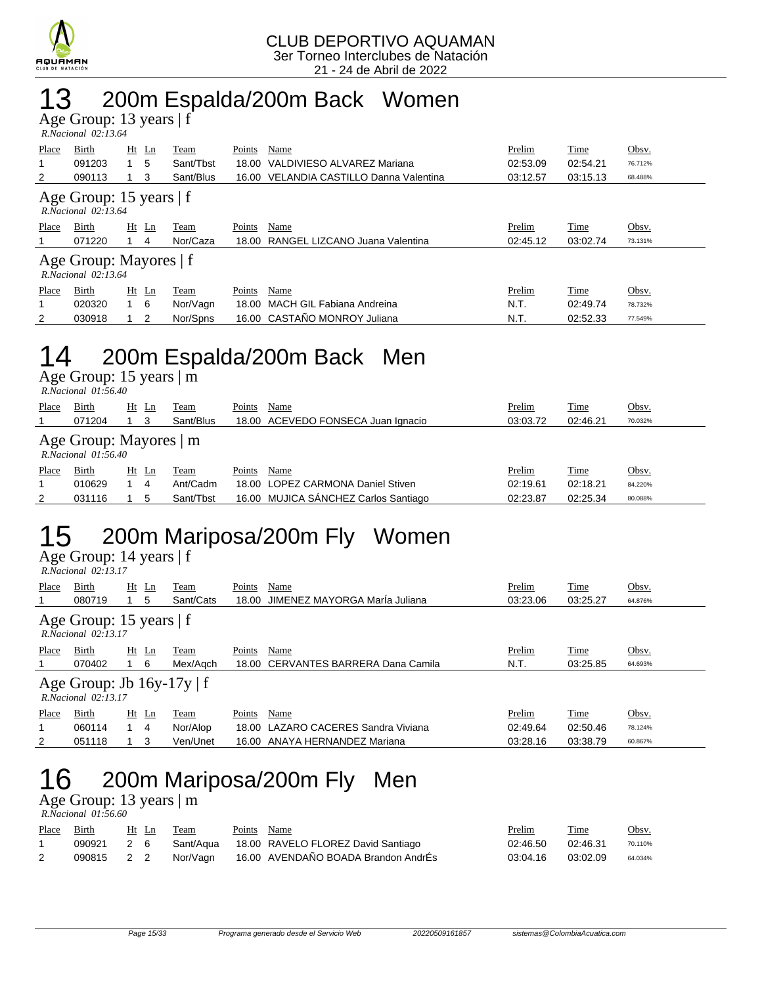

## 13 200m Espalda/200m Back Women

Age Group: 13 years | f

|                                                     | $R. Nacional$ 02:13.64 |         |     |           |        |                                         |          |          |         |
|-----------------------------------------------------|------------------------|---------|-----|-----------|--------|-----------------------------------------|----------|----------|---------|
| Place                                               | Birth                  | $Ht$ Ln |     | Team      | Points | Name                                    | Prelim   | Time     | Obsv.   |
|                                                     | 091203                 |         | 5   | Sant/Tbst | 18.00  | VALDIVIESO ALVAREZ Mariana              | 02:53.09 | 02:54.21 | 76.712% |
| 2                                                   | 090113                 |         | 3   | Sant/Blus |        | 16.00 VELANDIA CASTILLO Danna Valentina | 03:12.57 | 03:15.13 | 68.488% |
| Age Group: 15 years $ f $<br>$R. Nacional$ 02:13.64 |                        |         |     |           |        |                                         |          |          |         |
| Place                                               | Birth                  | $Ht$ Ln |     | Team      | Points | Name                                    | Prelim   | Time     | Obsv.   |
|                                                     | 071220                 |         | 4   | Nor/Caza  | 18.00  | RANGEL LIZCANO Juana Valentina          | 02:45.12 | 03:02.74 | 73.131% |
| Age Group: Mayores   f<br>$R. Nacional$ 02:13.64    |                        |         |     |           |        |                                         |          |          |         |
| Place                                               | Birth                  | $Ht$ Ln |     | Team      | Points | Name                                    | Prelim   | Time     | Obsv.   |
|                                                     | 020320                 |         | - 6 | Nor/Vagn  | 18.00  | MACH GIL Fabiana Andreina               | N.T.     | 02:49.74 | 78.732% |
| 2                                                   | 030918                 |         | 2   | Nor/Spns  |        | 16.00 CASTAÑO MONROY Juliana            | N.T.     | 02:52.33 | 77.549% |

## 14 200m Espalda/200m Back Men

Age Group: 15 years | m  *R.Nacional 01:56.40* 

|       | R.Nacional 01:50.40                              |                 |           |        |                                    |          |          |              |
|-------|--------------------------------------------------|-----------------|-----------|--------|------------------------------------|----------|----------|--------------|
| Place | Birth                                            | Ht<br>Ln        | Team      | Points | Name                               | Prelim   | Time     | <u>Obsv.</u> |
|       | 071204                                           |                 | Sant/Blus |        | 18.00 ACEVEDO FONSECA Juan Ignacio | 03:03.72 | 02:46.21 | 70.032%      |
|       | Age Group: Mayores   m<br>$R. Nacional$ 01:56.40 |                 |           |        |                                    |          |          |              |
| Place | Birth                                            | <u>Ht</u><br>Ln | l'eam     | Points | Name                               | Prelim   | Time     | Obsv.        |

| Place    | Birth  | Ht | Ln | Team      | <b>Points</b><br>Name                | Prelim   | Time     | Obsv.   |
|----------|--------|----|----|-----------|--------------------------------------|----------|----------|---------|
|          | 010629 |    |    | Ant/Cadm  | 18.00 LOPEZ CARMONA Daniel Stiven    | 02:19.61 | 02:18.21 | 84.220% |
| <u>_</u> | 031116 |    |    | Sant/Tbst | 16.00 MUJICA SANCHEZ Carlos Santiago | 02:23.87 | 02:25.34 | 80.088% |
|          |        |    |    |           |                                      |          |          |         |

# 15 200m Mariposa/200m Fly Women

Age Group: 14 years | f  *R.Nacional 02:13.17* 

| Place                                                    | Birth<br>080719 |       | Ht Ln<br>5 | Team<br>Sant/Cats | Points | Name<br>18.00 JIMENEZ MAYORGA Maria Juliana | Prelim<br>03:23.06 | Time<br>03:25.27 | Obsv.<br>64.876% |
|----------------------------------------------------------|-----------------|-------|------------|-------------------|--------|---------------------------------------------|--------------------|------------------|------------------|
| Age Group: 15 years $ f $<br>$R. Nacional$ 02:13.17      |                 |       |            |                   |        |                                             |                    |                  |                  |
| Place                                                    | Birth<br>070402 | Ht Ln | - 6        | Team<br>Mex/Agch  | Points | Name<br>18.00 CERVANTES BARRERA Dana Camila | Prelim<br>N.T.     | Time<br>03:25.85 | Obsv.<br>64.693% |
| Age Group: Jb $16y-17y \mid f$<br>$R. Nacional$ 02:13.17 |                 |       |            |                   |        |                                             |                    |                  |                  |

| Place | Birth  | Ht<br>- Ln | Team     | Points<br>Name                      | Prelim   | Time     | Obsv.   |
|-------|--------|------------|----------|-------------------------------------|----------|----------|---------|
|       | 060114 |            | Nor/Alop | 18.00 LAZARO CACERES Sandra Viviana | 02:49.64 | 02:50.46 | 78.124% |
|       | 051118 |            | Ven/Unet | 16.00 ANAYA HERNANDEZ Mariana       | 03:28.16 | 03:38.79 | 60.867% |

# 16 200m Mariposa/200m Fly Men

Age Group: 13 years | m

| R.Nacional 01:56.60 |  |
|---------------------|--|
|                     |  |

| Place | <b>Birth</b> | Ht Ln | Team | Points Name |                                                         | <u>Prelim</u> | Time     | Obsv.   |
|-------|--------------|-------|------|-------------|---------------------------------------------------------|---------------|----------|---------|
|       |              |       |      |             | 090921 2 6 Sant/Aqua 18.00 RAVELO FLOREZ David Santiago | 02:46.50      | 02:46.31 | 70.110% |
|       | 090815       | 2 2   |      |             | Nor/Vagn 16.00 AVENDAÑO BOADA Brandon AndrÉs            | 03:04.16      | 03:02.09 | 64.034% |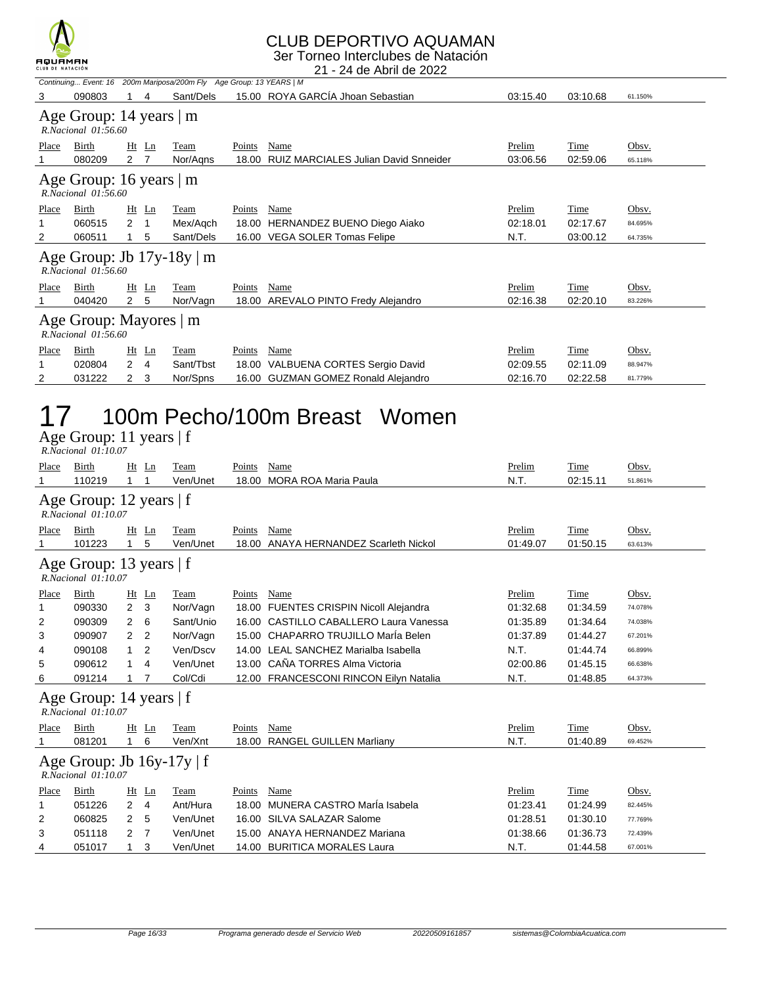

### CLUB DEPORTIVO AQUAMAN

3er Torneo Interclubes de Natación

|                                                    | пфопили<br>CLUB DE NATACIÓN<br>21 - 24 de Abril de 2022 |                |         |                                                                     |        |                                             |          |             |         |  |  |
|----------------------------------------------------|---------------------------------------------------------|----------------|---------|---------------------------------------------------------------------|--------|---------------------------------------------|----------|-------------|---------|--|--|
|                                                    |                                                         |                |         | Continuing Event: 16 200m Mariposa/200m Fly Age Group: 13 YEARS   M |        |                                             |          |             |         |  |  |
| 3                                                  | 090803                                                  |                | 4       | Sant/Dels                                                           |        | 15.00 ROYA GARCÍA Jhoan Sebastian           | 03:15.40 | 03:10.68    | 61.150% |  |  |
|                                                    | Age Group: 14 years   m<br>R.Nacional 01:56.60          |                |         |                                                                     |        |                                             |          |             |         |  |  |
| Place                                              | Birth                                                   |                | Ht Ln   | Team                                                                | Points | Name                                        | Prelim   | Time        | Obsv.   |  |  |
|                                                    | 080209                                                  | 2 <sub>7</sub> |         | Nor/Agns                                                            | 18.00  | <b>RUIZ MARCIALES Julian David Snneider</b> | 03:06.56 | 02:59.06    | 65.118% |  |  |
|                                                    | Age Group: 16 years   m<br>$R. Nacional$ $01:56.60$     |                |         |                                                                     |        |                                             |          |             |         |  |  |
| Place                                              | Birth                                                   |                | $Ht$ Ln | Team                                                                | Points | Name                                        | Prelim   | Time        | Obsv.   |  |  |
|                                                    | 060515                                                  | $2 \quad 1$    |         | Mex/Agch                                                            |        | 18.00 HERNANDEZ BUENO Diego Aiako           | 02:18.01 | 02:17.67    | 84.695% |  |  |
| 2                                                  | 060511                                                  |                | 5       | Sant/Dels                                                           |        | 16.00 VEGA SOLER Tomas Felipe               | N.T.     | 03:00.12    | 64.735% |  |  |
|                                                    | $R. Nacional$ $01:56.60$                                |                |         | Age Group: Jb $17y-18y \mid m$                                      |        |                                             |          |             |         |  |  |
| Place                                              | Birth                                                   |                | $Ht$ Ln | Team                                                                | Points | Name                                        | Prelim   | Time        | Obsv.   |  |  |
|                                                    | 040420                                                  | 2 5            |         | Nor/Vagn                                                            |        | 18.00 AREVALO PINTO Fredy Alejandro         | 02:16.38 | 02:20.10    | 83.226% |  |  |
| Age Group: Mayores   m<br>$R. Nacional$ $01:56.60$ |                                                         |                |         |                                                                     |        |                                             |          |             |         |  |  |
| <b>Place</b>                                       | Birth                                                   | Ht             | Ln      | <b>Team</b>                                                         | Points | <b>Name</b>                                 | Prelim   | <b>Time</b> | Obsv.   |  |  |
|                                                    | 020804                                                  | 2              | 4       | Sant/Tbst                                                           |        | 18.00 VALBUENA CORTES Sergio David          | 02:09.55 | 02:11.09    | 88.947% |  |  |

2 031222 2 3 Nor/Spns 16.00 GUZMAN GOMEZ Ronald Alejandro 02:16.70 02:22.58 81.779%

## 17 100m Pecho/100m Breast Women

Age Group: 11 years | f  *R.Nacional 01:10.07* 

| Place | <b>Birth</b>                                               | Ht             | Ln             | Team      | Points | Name                                   | Prelim   | Time     | Obsv.   |
|-------|------------------------------------------------------------|----------------|----------------|-----------|--------|----------------------------------------|----------|----------|---------|
|       | 110219                                                     |                |                | Ven/Unet  | 18.00  | <b>MORA ROA Maria Paula</b>            | N.T.     | 02:15.11 | 51.861% |
|       | Age Group: 12 years $ f $<br>R.Nacional 01:10.07           |                |                |           |        |                                        |          |          |         |
| Place | Birth                                                      | Ht             | Ln             | Team      | Points | Name                                   | Prelim   | Time     | Obsv.   |
|       | 101223                                                     | 1              | 5              | Ven/Unet  | 18.00  | ANAYA HERNANDEZ Scarleth Nickol        | 01:49.07 | 01:50.15 | 63.613% |
|       | Age Group: 13 years $ f $<br>$R. Nacional$ $01:10.07$      |                |                |           |        |                                        |          |          |         |
| Place | Birth                                                      | Ht             | Ln             | Team      | Points | Name                                   | Prelim   | Time     | Obsv.   |
|       | 090330                                                     | $\overline{2}$ | 3              | Nor/Vagn  |        | 18.00 FUENTES CRISPIN Nicoll Alejandra | 01:32.68 | 01:34.59 | 74.078% |
| 2     | 090309                                                     | $\overline{2}$ | 6              | Sant/Unio |        | 16.00 CASTILLO CABALLERO Laura Vanessa | 01:35.89 | 01:34.64 | 74.038% |
| 3     | 090907                                                     | 2              | -2             | Nor/Vagn  |        | 15.00 CHAPARRO TRUJILLO MarÍa Belen    | 01:37.89 | 01:44.27 | 67.201% |
| 4     | 090108                                                     | 1.             | $\overline{2}$ | Ven/Dscv  | 14.00  | LEAL SANCHEZ Marialba Isabella         | N.T.     | 01:44.74 | 66.899% |
| 5     | 090612                                                     | 1              | 4              | Ven/Unet  | 13.00  | CAÑA TORRES Alma Victoria              | 02:00.86 | 01:45.15 | 66.638% |
| 6     | 091214                                                     |                |                | Col/Cdi   |        | 12.00 FRANCESCONI RINCON Eilyn Natalia | N.T.     | 01:48.85 | 64.373% |
|       | Age Group: 14 years   f<br>$R. Nacional$ $01:10.07$        |                |                |           |        |                                        |          |          |         |
| Place | Birth                                                      |                | $Ht$ Ln        | Team      | Points | Name                                   | Prelim   | Time     | Obsv.   |
|       | 081201                                                     | 1.             | 6              | Ven/Xnt   | 18.00  | <b>RANGEL GUILLEN Marliany</b>         | N.T.     | 01:40.89 | 69.452% |
|       | Age Group: Jb $16y-17y \mid f$<br>$R. Nacional$ $01:10.07$ |                |                |           |        |                                        |          |          |         |
| Place | Birth                                                      | Ht             | $\mathbf{Ln}$  | Team      | Points | Name                                   | Prelim   | Time     | Obsv.   |
|       | 051226                                                     | $\overline{2}$ | $\overline{4}$ | Ant/Hura  | 18.00  | MUNERA CASTRO María Isabela            | 01:23.41 | 01:24.99 | 82.445% |
| 2     | 060825                                                     | 2              | 5              | Ven/Unet  | 16.00  | SILVA SALAZAR Salome                   | 01:28.51 | 01:30.10 | 77.769% |
| 3     | 051118                                                     | 2              | - 7            | Ven/Unet  | 15.00  | ANAYA HERNANDEZ Mariana                | 01:38.66 | 01:36.73 | 72.439% |
| 4     | 051017                                                     | 1              | 3              | Ven/Unet  | 14.00  | <b>BURITICA MORALES Laura</b>          | N.T.     | 01:44.58 | 67.001% |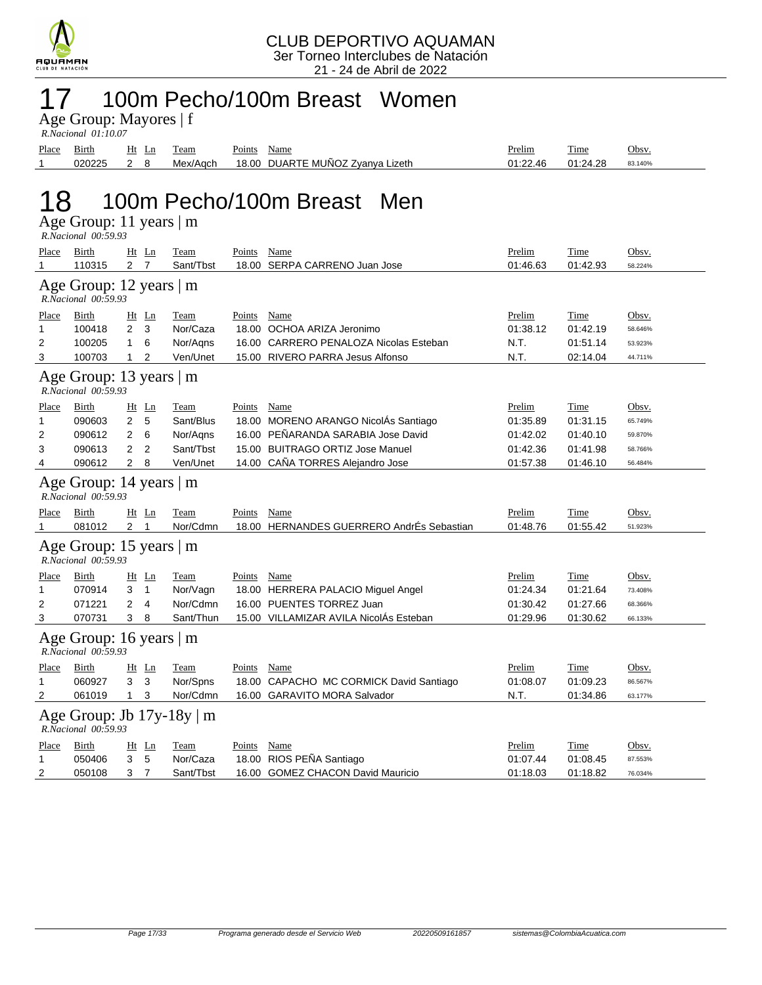

### 17 100m Pecho/100m Breast Women

Age Group: Mayores | f  *R.Nacional 01:10.07* 

Place Birth Ht Ln Team Points Name **Prelim** Prelim Time Obsv. 1 020225 2 8 Mex/Aqch 18.00 DUARTE MUÑOZ Zyanya Lizeth 01:22.46 01:24.28 83.140%

# 18 100m Pecho/100m Breast Men

| Age Group: 11 years   m |  |
|-------------------------|--|
| R.Nacional 00:59.93     |  |

| Place                                          | Birth                                                 |                | $Ht$ Ln        | Team        | Points        | Name                                      | Prelim   | Time     | Obsv.   |
|------------------------------------------------|-------------------------------------------------------|----------------|----------------|-------------|---------------|-------------------------------------------|----------|----------|---------|
| 1                                              | 110315                                                | 2 <sub>7</sub> |                | Sant/Tbst   |               | 18.00 SERPA CARRENO Juan Jose             | 01:46.63 | 01:42.93 | 58.224% |
|                                                | Age Group: 12 years   m<br>R.Nacional 00:59.93        |                |                |             |               |                                           |          |          |         |
| Place                                          | Birth                                                 |                | Ht Ln          | Team        | Points        | Name                                      | Prelim   | Time     | Obsv.   |
| 1                                              | 100418                                                | $\overline{2}$ | 3              | Nor/Caza    |               | 18.00 OCHOA ARIZA Jeronimo                | 01:38.12 | 01:42.19 | 58.646% |
| 2                                              | 100205                                                | $\mathbf{1}$   | 6              | Nor/Agns    |               | 16.00 CARRERO PENALOZA Nicolas Esteban    | N.T.     | 01:51.14 | 53.923% |
| 3                                              | 100703                                                | $\mathbf{1}$   | $\overline{2}$ | Ven/Unet    |               | 15.00 RIVERO PARRA Jesus Alfonso          | N.T.     | 02:14.04 | 44.711% |
|                                                | Age Group: 13 years   m<br>R.Nacional 00:59.93        |                |                |             |               |                                           |          |          |         |
| Place                                          | Birth                                                 |                | $Ht$ Ln        | Team        | Points Name   |                                           | Prelim   | Time     | Obsv.   |
| 1                                              | 090603                                                | $\overline{2}$ | 5              | Sant/Blus   |               | 18.00 MORENO ARANGO NicolÁs Santiago      | 01:35.89 | 01:31.15 | 65.749% |
| 2                                              | 090612                                                | $\overline{2}$ | 6              | Nor/Agns    |               | 16.00 PEÑARANDA SARABIA Jose David        | 01:42.02 | 01:40.10 | 59.870% |
| 3                                              | 090613                                                | $\overline{2}$ | $\overline{2}$ | Sant/Tbst   |               | 15.00 BUITRAGO ORTIZ Jose Manuel          | 01:42.36 | 01:41.98 | 58.766% |
| 4                                              | 090612                                                | $\overline{2}$ | 8              | Ven/Unet    |               | 14.00 CAÑA TORRES Alejandro Jose          | 01:57.38 | 01:46.10 | 56.484% |
| Age Group: 14 years   m<br>R.Nacional 00:59.93 |                                                       |                |                |             |               |                                           |          |          |         |
| <u>Place</u>                                   | Birth                                                 |                | $Ht$ Ln        | Team        | Points        | Name                                      | Prelim   | Time     | Obsv.   |
| 1                                              | 081012                                                | 2 <sub>1</sub> |                | Nor/Cdmn    |               | 18.00 HERNANDES GUERRERO AndrÉs Sebastian | 01:48.76 | 01:55.42 | 51.923% |
|                                                | Age Group: 15 years   m<br>R.Nacional 00:59.93        |                |                |             |               |                                           |          |          |         |
| <u>Place</u>                                   | Birth                                                 | Ht Ln          |                | <b>Team</b> | Points Name   |                                           | Prelim   | Time     | Obsv.   |
| 1                                              | 070914                                                | 3              | $\overline{1}$ | Nor/Vagn    |               | 18.00 HERRERA PALACIO Miguel Angel        | 01:24.34 | 01:21.64 | 73.408% |
| 2                                              | 071221                                                | $\overline{2}$ | 4              | Nor/Cdmn    |               | 16.00 PUENTES TORREZ Juan                 | 01:30.42 | 01:27.66 | 68.366% |
| 3                                              | 070731                                                | 3              | 8              | Sant/Thun   |               | 15.00 VILLAMIZAR AVILA NicolÁs Esteban    | 01:29.96 | 01:30.62 | 66.133% |
|                                                | Age Group: 16 years   m<br>R.Nacional 00:59.93        |                |                |             |               |                                           |          |          |         |
| Place                                          | Birth                                                 |                | $Ht$ Ln        | Team        | Points        | Name                                      | Prelim   | Time     | Obsv.   |
| 1                                              | 060927                                                | 3              | 3              | Nor/Spns    |               | 18.00 CAPACHO MC CORMICK David Santiago   | 01:08.07 | 01:09.23 | 86.567% |
| 2                                              | 061019                                                | $\mathbf{1}$   | 3              | Nor/Cdmn    |               | 16.00 GARAVITO MORA Salvador              | N.T.     | 01:34.86 | 63.177% |
|                                                | Age Group: Jb $17y-18y \mid m$<br>R.Nacional 00:59.93 |                |                |             |               |                                           |          |          |         |
| <u>Place</u>                                   | Birth                                                 | Ht             | Ln             | Team        | <b>Points</b> | <b>Name</b>                               | Prelim   | Time     | Obsv.   |
| 1                                              | 050406                                                | 3              | 5              | Nor/Caza    |               | 18.00 RIOS PEÑA Santiago                  | 01:07.44 | 01:08.45 | 87.553% |
| 2                                              | 050108                                                | 3              | $\overline{7}$ | Sant/Tbst   |               | 16.00 GOMEZ CHACON David Mauricio         | 01:18.03 | 01:18.82 | 76.034% |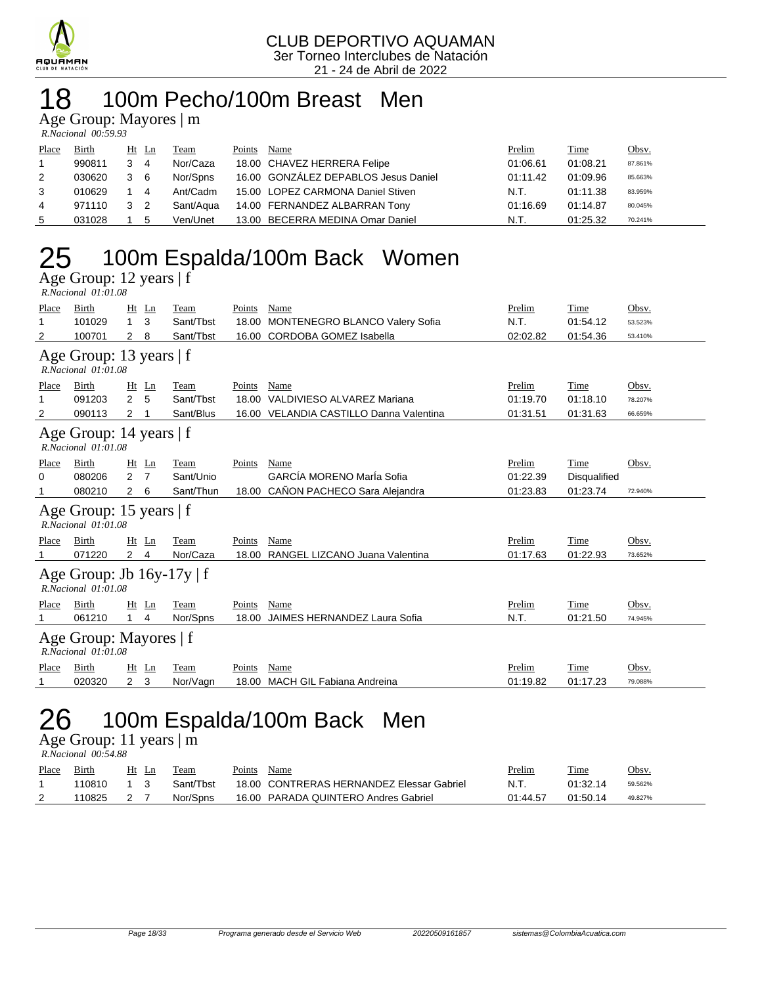

## 18 100m Pecho/100m Breast Men

Age Group: Mayores | m

| R.Nacional 00:59.93 |  |
|---------------------|--|

| Place | Birth  | $Ht$ Ln |                | Team      | Points | Name                                 | Prelim   | Time     | Obsv.   |
|-------|--------|---------|----------------|-----------|--------|--------------------------------------|----------|----------|---------|
|       | 990811 | 3       | $\overline{4}$ | Nor/Caza  |        | 18.00 CHAVEZ HERRERA Felipe          | 01:06.61 | 01:08.21 | 87.861% |
| 2     | 030620 | 3       | - 6            | Nor/Spns  |        | 16.00 GONZÁLEZ DEPABLOS Jesus Daniel | 01:11.42 | 01:09.96 | 85.663% |
| 3     | 010629 |         | $\overline{4}$ | Ant/Cadm  |        | 15.00 LOPEZ CARMONA Daniel Stiven    | N.T.     | 01:11.38 | 83.959% |
| 4     | 971110 | 3 2     |                | Sant/Aqua |        | 14.00 FERNANDEZ ALBARRAN Tony        | 01:16.69 | 01:14.87 | 80.045% |
| 5     | 031028 |         | -5             | Ven/Unet  |        | 13.00 BECERRA MEDINA Omar Daniel     | N.T.     | 01:25.32 | 70.241% |

# 25 100m Espalda/100m Back Women

Age Group: 12 years | f  *R.Nacional 01:01.08* 

| Place | Birth                                                      | Ht             | Ln | Team      | Points | Name                                  | Prelim   | Time                | Obsv.   |  |  |
|-------|------------------------------------------------------------|----------------|----|-----------|--------|---------------------------------------|----------|---------------------|---------|--|--|
| 1     | 101029                                                     | 1              | 3  | Sant/Tbst | 18.00  | <b>MONTENEGRO BLANCO Valery Sofia</b> | N.T.     | 01:54.12            | 53.523% |  |  |
| 2     | 100701                                                     | 2              | 8  | Sant/Tbst | 16.00  | <b>CORDOBA GOMEZ Isabella</b>         | 02:02.82 | 01:54.36            | 53.410% |  |  |
|       | Age Group: 13 years $ f $<br>R.Nacional 01:01.08           |                |    |           |        |                                       |          |                     |         |  |  |
| Place | Birth                                                      | Ht             | Ln | Team      | Points | Name                                  | Prelim   | Time                | Obsv.   |  |  |
| 1     | 091203                                                     | $\overline{2}$ | 5  | Sant/Tbst | 18.00  | VALDIVIESO ALVAREZ Mariana            | 01:19.70 | 01:18.10            | 78.207% |  |  |
| 2     | 090113                                                     | 2              |    | Sant/Blus | 16.00  | VELANDIA CASTILLO Danna Valentina     | 01:31.51 | 01:31.63            | 66.659% |  |  |
|       | Age Group: 14 years   f<br>R.Nacional 01:01.08             |                |    |           |        |                                       |          |                     |         |  |  |
| Place | Birth                                                      | Ht             | Ln | Team      | Points | Name                                  | Prelim   | Time                | Obsv.   |  |  |
| 0     | 080206                                                     | $\overline{2}$ | 7  | Sant/Unio |        | GARCÍA MORENO MarÍa Sofia             | 01:22.39 | <b>Disqualified</b> |         |  |  |
| 1     | 080210                                                     | $\mathbf{2}$   | 6  | Sant/Thun | 18.00  | CAÑON PACHECO Sara Alejandra          | 01:23.83 | 01:23.74            | 72.940% |  |  |
|       | Age Group: 15 years   f<br>R.Nacional 01:01.08             |                |    |           |        |                                       |          |                     |         |  |  |
| Place | Birth                                                      | Ht             | Ln | Team      | Points | Name                                  | Prelim   | Time                | Obsv.   |  |  |
|       | 071220                                                     | $2 \quad 4$    |    | Nor/Caza  |        | 18.00 RANGEL LIZCANO Juana Valentina  | 01:17.63 | 01:22.93            | 73.652% |  |  |
|       | Age Group: Jb $16y-17y \mid f$<br>$R. Nacional$ $01:01.08$ |                |    |           |        |                                       |          |                     |         |  |  |
| Place | Birth                                                      | $Ht$ Ln        |    | Team      | Points | Name                                  | Prelim   | Time                | Obsv.   |  |  |
|       | 061210                                                     |                | 4  | Nor/Spns  | 18.00  | JAIMES HERNANDEZ Laura Sofia          | N.T.     | 01:21.50            | 74.945% |  |  |
|       | Age Group: Mayores   f<br>R.Nacional 01:01.08              |                |    |           |        |                                       |          |                     |         |  |  |
| Place | Birth                                                      | Ht             | Ln | Team      | Points | Name                                  | Prelim   | Time                | Obsv.   |  |  |
| 1     | 020320                                                     | $\overline{2}$ | 3  | Nor/Vagn  | 18.00  | <b>MACH GIL Fabiana Andreina</b>      | 01:19.82 | 01:17.23            | 79.088% |  |  |
|       |                                                            |                |    |           |        |                                       |          |                     |         |  |  |

## 26 100m Espalda/100m Back Men

Age Group: 11 years  $\overline{\mathsf{m}}$  *R.Nacional 00:54.88* 

| Place | Birth  | Ht Ln | Team      | Points | Name                                      | Prelim   | Time     | Obsv.   |
|-------|--------|-------|-----------|--------|-------------------------------------------|----------|----------|---------|
|       | 110810 |       | Sant/Thst |        | 18.00 CONTRERAS HERNANDEZ Elessar Gabriel | N.T      | 01:32.14 | 59.562% |
| 2     | 110825 |       | Nor/Spns  |        | 16.00 PARADA QUINTERO Andres Gabriel      | 01:44.57 | 01:50.14 | 49.827% |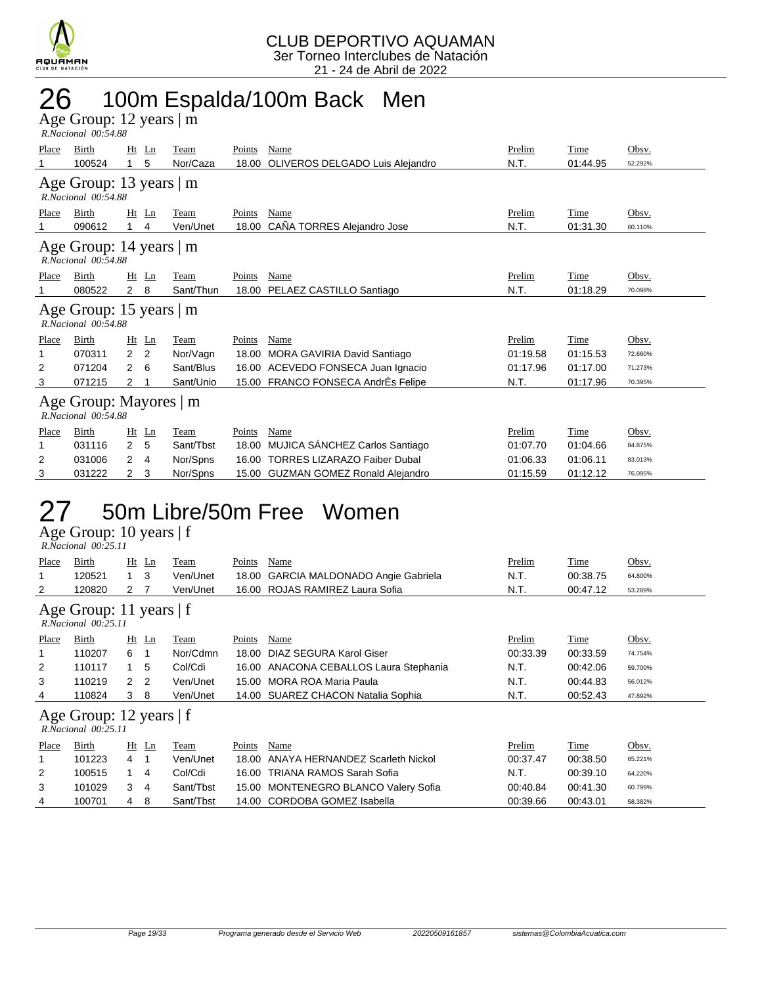

## 26 100m Espalda/100m Back Men

Age Group: 12 years | m  *R.Nacional 00:54.88* 

| Place | Birth                                                | $Ht$ Ln                          | Team      | Points | Name                                 | Prelim   | Time     | Obsv.   |  |  |  |  |  |
|-------|------------------------------------------------------|----------------------------------|-----------|--------|--------------------------------------|----------|----------|---------|--|--|--|--|--|
|       | 100524                                               | 5<br>1                           | Nor/Caza  | 18.00  | OLIVEROS DELGADO Luis Alejandro      | N.T.     | 01:44.95 | 52.292% |  |  |  |  |  |
|       | Age Group: 13 years $ m $<br>$R. Nacional$ 00:54.88  |                                  |           |        |                                      |          |          |         |  |  |  |  |  |
| Place | Birth                                                | Ht<br>Ln                         | Team      | Points | Name                                 | Prelim   | Time     | Obsv.   |  |  |  |  |  |
|       | 090612                                               | 4                                | Ven/Unet  | 18.00  | CAÑA TORRES Alejandro Jose           | N.T.     | 01:31.30 | 60.110% |  |  |  |  |  |
|       | Age Group: 14 years $ m $<br>R.Nacional 00:54.88     |                                  |           |        |                                      |          |          |         |  |  |  |  |  |
| Place | Birth                                                | Ht<br>Ln                         | Team      | Points | Name                                 | Prelim   | Time     | Obsv.   |  |  |  |  |  |
|       | 080522                                               | $\mathbf{2}$<br>8                | Sant/Thun | 18.00  | PELAEZ CASTILLO Santiago             | N.T.     | 01:18.29 | 70.098% |  |  |  |  |  |
|       | Age Group: 15 years $\vert$ m<br>R.Nacional 00:54.88 |                                  |           |        |                                      |          |          |         |  |  |  |  |  |
| Place | Birth                                                | Ht<br>Ln                         | Team      | Points | Name                                 | Prelim   | Time     | Obsv.   |  |  |  |  |  |
|       | 070311                                               | $\overline{2}$<br>$\overline{2}$ | Nor/Vagn  |        | 18.00 MORA GAVIRIA David Santiago    | 01:19.58 | 01:15.53 | 72.660% |  |  |  |  |  |
| 2     | 071204                                               | 2<br>6                           | Sant/Blus |        | 16.00 ACEVEDO FONSECA Juan Ignacio   | 01:17.96 | 01:17.00 | 71.273% |  |  |  |  |  |
| 3     | 071215                                               | 2                                | Sant/Unio | 15.00  | FRANCO FONSECA AndrÉs Felipe         | N.T.     | 01:17.96 | 70.395% |  |  |  |  |  |
|       | Age Group: Mayores   m<br>R.Nacional 00:54.88        |                                  |           |        |                                      |          |          |         |  |  |  |  |  |
| Place | Birth                                                | Ht<br>Ln                         | Team      | Points | Name                                 | Prelim   | Time     | Obsv.   |  |  |  |  |  |
|       | 031116                                               | $\overline{2}$<br>5              | Sant/Tbst | 18.00  | MUJICA SÁNCHEZ Carlos Santiago       | 01:07.70 | 01:04.66 | 84.875% |  |  |  |  |  |
| 2     | 031006                                               | 2<br>4                           | Nor/Spns  | 16.00  | <b>TORRES LIZARAZO Faiber Dubal</b>  | 01:06.33 | 01:06.11 | 83.013% |  |  |  |  |  |
| 3     | 031222                                               | 3<br>2                           | Nor/Spns  | 15.00  | <b>GUZMAN GOMEZ Ronald Alejandro</b> | 01:15.59 | 01:12.12 | 76.095% |  |  |  |  |  |

## 27 50m Libre/50m Free Women

Age Group: 10 years | f

| R.Nacional 00:25.11 |  |
|---------------------|--|

| Place                                            | Birth                                          | Ht           | Ln             | Team      | Points | Name                                   | Prelim   | Time     | Obsv.   |  |  |
|--------------------------------------------------|------------------------------------------------|--------------|----------------|-----------|--------|----------------------------------------|----------|----------|---------|--|--|
| 1                                                | 120521                                         |              | 3              | Ven/Unet  | 18.00  | GARCIA MALDONADO Angie Gabriela        | N.T.     | 00:38.75 | 64.800% |  |  |
| 2                                                | 120820                                         | 2            |                | Ven/Unet  |        | 16.00 ROJAS RAMIREZ Laura Sofia        | N.T.     | 00:47.12 | 53.289% |  |  |
| Age Group: 11 years $ f $<br>R.Nacional 00:25.11 |                                                |              |                |           |        |                                        |          |          |         |  |  |
| Place                                            | Birth                                          |              | $Ht$ Ln        | Team      | Points | Name                                   | Prelim   | Time     | Obsv.   |  |  |
|                                                  | 110207                                         | 6            |                | Nor/Cdmn  | 18.00  | DIAZ SEGURA Karol Giser                | 00:33.39 | 00:33.59 | 74.754% |  |  |
| 2                                                | 110117                                         | 1            | -5             | Col/Cdi   |        | 16.00 ANACONA CEBALLOS Laura Stephania | N.T.     | 00:42.06 | 59.700% |  |  |
| 3                                                | 110219                                         | $\mathbf{2}$ | $\overline{2}$ | Ven/Unet  |        | 15.00 MORA ROA Maria Paula             | N.T.     | 00:44.83 | 56.012% |  |  |
| 4                                                | 110824                                         | 3            | 8              | Ven/Unet  |        | 14.00 SUAREZ CHACON Natalia Sophia     | N.T.     | 00:52.43 | 47.892% |  |  |
|                                                  | Age Group: 12 years   f<br>R.Nacional 00:25.11 |              |                |           |        |                                        |          |          |         |  |  |
| Place                                            | Birth                                          |              | $Ht$ Ln        | Team      | Points | Name                                   | Prelim   | Time     | Obsv.   |  |  |
|                                                  | 101223                                         | 4            |                | Ven/Unet  | 18.00  | ANAYA HERNANDEZ Scarleth Nickol        | 00:37.47 | 00:38.50 | 65.221% |  |  |
| $\overline{2}$                                   | 100515                                         | 1            | 4              | Col/Cdi   |        | 16.00 TRIANA RAMOS Sarah Sofia         | N.T.     | 00:39.10 | 64.220% |  |  |
| 3                                                | 101029                                         | 3            | $\overline{4}$ | Sant/Tbst |        | 15.00 MONTENEGRO BLANCO Valery Sofia   | 00:40.84 | 00:41.30 | 60.799% |  |  |
| 4                                                | 100701                                         | 4            | 8              | Sant/Tbst |        | 14.00 CORDOBA GOMEZ Isabella           | 00:39.66 | 00:43.01 | 58.382% |  |  |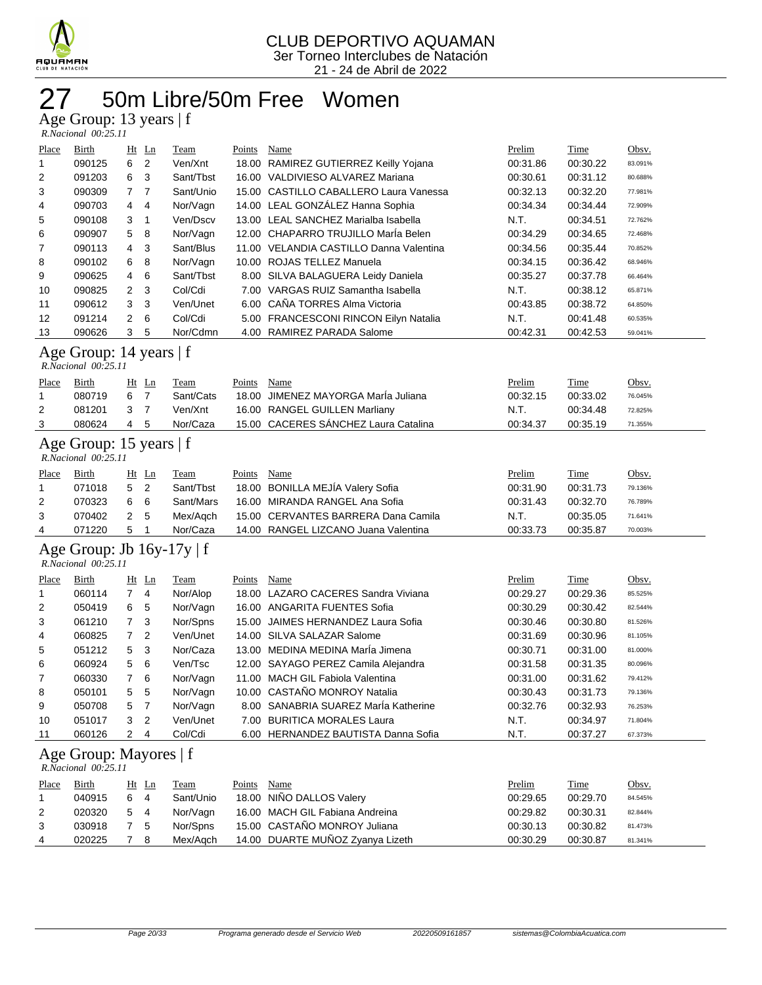

## 50m Libre/50m Free Women

Age Group: 13 years | f

| R.Nacional 00:25.11 |  |
|---------------------|--|

| Place                                          | Birth                                                 |                | $Ht$ Ln        | Team      | Points | Name                                    | Prelim   | Time        | Obsv.   |
|------------------------------------------------|-------------------------------------------------------|----------------|----------------|-----------|--------|-----------------------------------------|----------|-------------|---------|
| 1                                              | 090125                                                | 6              | $\overline{2}$ | Ven/Xnt   |        | 18.00 RAMIREZ GUTIERREZ Keilly Yojana   | 00:31.86 | 00:30.22    | 83.091% |
| 2                                              | 091203                                                | 6              | 3              | Sant/Tbst |        | 16.00 VALDIVIESO ALVAREZ Mariana        | 00:30.61 | 00:31.12    | 80.688% |
| 3                                              | 090309                                                | 7              | $\overline{7}$ | Sant/Unio |        | 15.00 CASTILLO CABALLERO Laura Vanessa  | 00:32.13 | 00:32.20    | 77.981% |
| 4                                              | 090703                                                | 4              | 4              | Nor/Vagn  |        | 14.00 LEAL GONZÁLEZ Hanna Sophia        | 00:34.34 | 00:34.44    | 72.909% |
| 5                                              | 090108                                                | 3              | 1              | Ven/Dscv  |        | 13.00 LEAL SANCHEZ Marialba Isabella    | N.T.     | 00:34.51    | 72.762% |
| 6                                              | 090907                                                | 5              | 8              | Nor/Vagn  |        | 12.00 CHAPARRO TRUJILLO MarÍa Belen     | 00:34.29 | 00:34.65    | 72.468% |
| 7                                              | 090113                                                | 4              | 3              | Sant/Blus |        | 11.00 VELANDIA CASTILLO Danna Valentina | 00:34.56 | 00:35.44    | 70.852% |
| 8                                              | 090102                                                | 6              | 8              | Nor/Vagn  |        | 10.00 ROJAS TELLEZ Manuela              | 00:34.15 | 00:36.42    | 68.946% |
| 9                                              | 090625                                                | 4              | 6              | Sant/Tbst |        | 8.00 SILVA BALAGUERA Leidy Daniela      | 00:35.27 | 00:37.78    | 66.464% |
| 10                                             | 090825                                                | 2              | 3              | Col/Cdi   |        | 7.00 VARGAS RUIZ Samantha Isabella      | N.T.     | 00:38.12    | 65.871% |
| 11                                             | 090612                                                | 3              | 3              | Ven/Unet  |        | 6.00 CAÑA TORRES Alma Victoria          | 00:43.85 | 00:38.72    | 64.850% |
| 12                                             | 091214                                                | 2              | 6              | Col/Cdi   |        | 5.00 FRANCESCONI RINCON Eilyn Natalia   | N.T.     | 00:41.48    | 60.535% |
| 13                                             | 090626                                                | 3              | 5              | Nor/Cdmn  |        | 4.00 RAMIREZ PARADA Salome              | 00:42.31 | 00:42.53    | 59.041% |
| Age Group: 14 years   f<br>R.Nacional 00:25.11 |                                                       |                |                |           |        |                                         |          |             |         |
| Place                                          | Birth                                                 | $Ht$ Ln        |                | Team      | Points | Name                                    | Prelim   | <b>Time</b> | Obsv.   |
| 1                                              | 080719                                                | 6              | $\overline{7}$ | Sant/Cats | 18.00  | JIMENEZ MAYORGA Marla Juliana           | 00:32.15 | 00:33.02    | 76.045% |
| 2                                              | 081201                                                | 3              | $\overline{7}$ | Ven/Xnt   |        | 16.00 RANGEL GUILLEN Marliany           | N.T.     | 00:34.48    | 72.825% |
| 3                                              | 080624                                                | $\overline{4}$ | 5              | Nor/Caza  |        | 15.00 CACERES SÁNCHEZ Laura Catalina    | 00:34.37 | 00:35.19    | 71.355% |
|                                                | Age Group: 15 years   f<br>R.Nacional 00:25.11        |                |                |           |        |                                         |          |             |         |
| Place                                          | Birth                                                 | Ht Ln          |                | Team      | Points | Name                                    | Prelim   | Time        | Obsv.   |
| 1                                              | 071018                                                | 5              | 2              | Sant/Tbst |        | 18.00 BONILLA MEJÍA Valery Sofia        | 00:31.90 | 00:31.73    | 79.136% |
| 2                                              | 070323                                                | 6              | 6              | Sant/Mars |        | 16.00 MIRANDA RANGEL Ana Sofia          | 00:31.43 | 00:32.70    | 76.789% |
| 3                                              | 070402                                                | 2              | 5              | Mex/Aqch  |        | 15.00 CERVANTES BARRERA Dana Camila     | N.T.     | 00:35.05    | 71.641% |
| 4                                              | 071220                                                | 5              |                | Nor/Caza  |        | 14.00 RANGEL LIZCANO Juana Valentina    | 00:33.73 | 00:35.87    | 70.003% |
|                                                | Age Group: Jb $16y-17y \mid f$<br>R.Nacional 00:25.11 |                |                |           |        |                                         |          |             |         |
| Place                                          | Birth                                                 | $Ht$ Ln        |                | Team      | Points | Name                                    | Prelim   | Time        | Obsv.   |
| 1                                              | 060114                                                | $\overline{7}$ | 4              | Nor/Alop  | 18.00  | LAZARO CACERES Sandra Viviana           | 00:29.27 | 00:29.36    | 85.525% |
| 2                                              | 050419                                                | 6              | 5              | Nor/Vagn  |        | 16.00 ANGARITA FUENTES Sofia            | 00:30.29 | 00:30.42    | 82.544% |
| 3                                              | 061210                                                | 7              | 3              | Nor/Spns  |        | 15.00 JAIMES HERNANDEZ Laura Sofia      | 00:30.46 | 00:30.80    | 81.526% |

| 5  | 051212                           |     | 5 <sub>3</sub> | Nor/Caza |  | 13.00 MEDINA MEDINA María Jimena     | 00:30.71 | 00:31.00 | 81.000% |  |  |
|----|----------------------------------|-----|----------------|----------|--|--------------------------------------|----------|----------|---------|--|--|
| 6  | 060924                           |     | $5\quad 6$     | Ven/Tsc  |  | 12.00 SAYAGO PEREZ Camila Alejandra  | 00:31.58 | 00:31.35 | 80.096% |  |  |
| 7  | 060330                           |     | 7 6            | Nor/Vagn |  | 11.00 MACH GIL Fabiola Valentina     | 00:31.00 | 00:31.62 | 79.412% |  |  |
| 8  | 050101                           |     | 5 5            | Nor/Vagn |  | 10.00 CASTAÑO MONROY Natalia         | 00:30.43 | 00:31.73 | 79.136% |  |  |
| 9  | 050708                           | 5 7 |                | Nor/Vagn |  | 8.00 SANABRIA SUAREZ MarÍa Katherine | 00:32.76 | 00:32.93 | 76.253% |  |  |
| 10 | 051017                           |     | 3 <sup>2</sup> | Ven/Unet |  | 7.00 BURITICA MORALES Laura          | N.T.     | 00:34.97 | 71.804% |  |  |
| 11 | 060126                           | 2   | -4             | Col/Cdi  |  | 6.00 HERNANDEZ BAUTISTA Danna Sofia  | N.T.     | 00:37.27 | 67.373% |  |  |
|    | $\Lambda$ as Croup: $M$ ovores f |     |                |          |  |                                      |          |          |         |  |  |

#### Age Group: Mayores | f

|       | R.Nacional 00:25.11 |       |                |           |        |                                  |  |          |          |         |  |  |  |
|-------|---------------------|-------|----------------|-----------|--------|----------------------------------|--|----------|----------|---------|--|--|--|
| Place | Birth               | Ht Ln |                | Team      | Points | Name                             |  | Prelim   | Time     | Obsv.   |  |  |  |
|       | 040915              | 6     | $\overline{4}$ | Sant/Unio |        | 18.00 NIÑO DALLOS Valery         |  | 00:29.65 | 00:29.70 | 84.545% |  |  |  |
| 2     | 020320              | 5 4   |                | Nor/Vagn  |        | 16.00 MACH GIL Fabiana Andreina  |  | 00:29.82 | 00:30.31 | 82.844% |  |  |  |
| 3     | 030918              | - 5   |                | Nor/Spns  |        | 15.00 CASTAÑO MONROY Juliana     |  | 00:30.13 | 00:30.82 | 81.473% |  |  |  |
| 4     | 020225              |       | 8              | Mex/Aach  |        | 14.00 DUARTE MUÑOZ Zvanya Lizeth |  | 00:30.29 | 00:30.87 | 81.341% |  |  |  |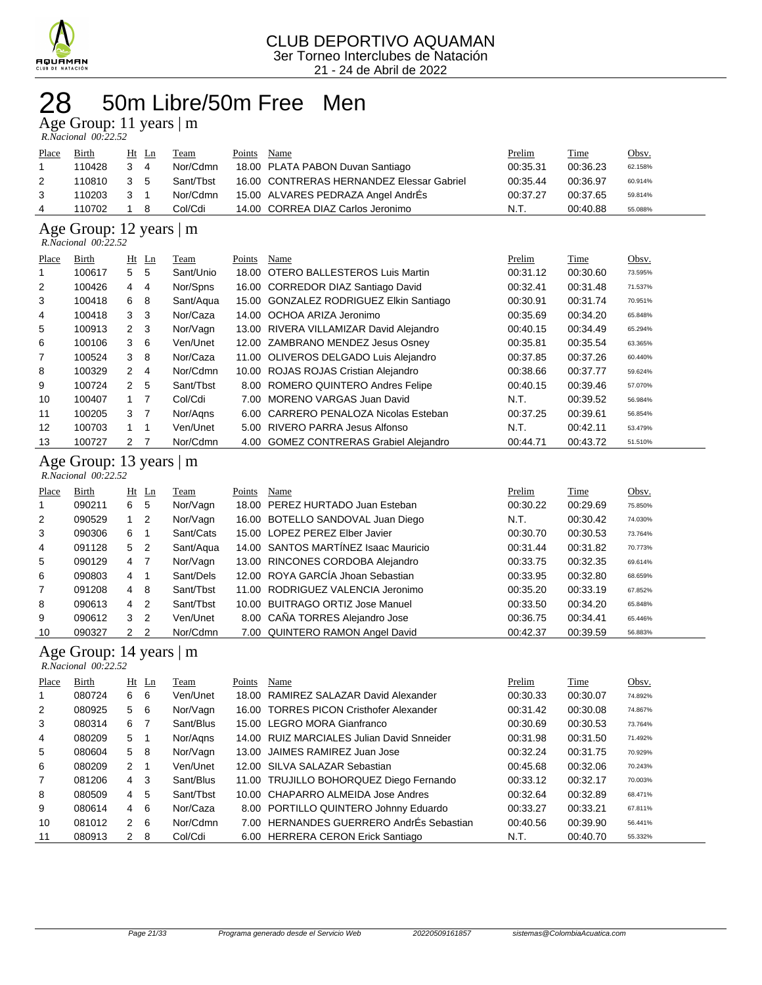

### 50m Libre/50m Free Men 28 50m Libre<br>Age Group: 11 years | m

| R.Nacional 00:22.52 |  |
|---------------------|--|

| Place | Birth  | Ht Ln |                | Team      | Points | Name                                      | Prelim   | Time     | <u>Obsv.</u> |
|-------|--------|-------|----------------|-----------|--------|-------------------------------------------|----------|----------|--------------|
|       | 110428 | 3     | $\overline{4}$ | Nor/Cdmn  |        | 18.00 PLATA PABON Duvan Santiago          | 00:35.31 | 00:36.23 | 62.158%      |
| 2     | 110810 | 3     | - 5            | Sant/Tbst |        | 16.00 CONTRERAS HERNANDEZ Elessar Gabriel | 00:35.44 | 00:36.97 | 60.914%      |
| 3     | 110203 | 3     |                | Nor/Cdmn  |        | 15.00 ALVARES PEDRAZA Angel AndrÉs        | 00:37.27 | 00:37.65 | 59.814%      |
|       | 110702 |       | 8              | Col/Cdi   |        | 14.00 CORREA DIAZ Carlos Jeronimo         | N.T.     | 00:40.88 | 55.088%      |
|       |        |       |                |           |        |                                           |          |          |              |

### Age Group: 12 years | m

| $R. Nacional$ 00:22.52 |  |
|------------------------|--|
|------------------------|--|

| Place | Birth  |                | $Ht$ Ln        | Team      | Points | Name                                    | Prelim   | Time     | Obsv.   |
|-------|--------|----------------|----------------|-----------|--------|-----------------------------------------|----------|----------|---------|
| 1     | 100617 | 5              | 5              | Sant/Unio | 18.00  | OTERO BALLESTEROS Luis Martin           | 00:31.12 | 00:30.60 | 73.595% |
| 2     | 100426 | 4              | 4              | Nor/Spns  |        | 16.00 CORREDOR DIAZ Santiago David      | 00:32.41 | 00:31.48 | 71.537% |
| 3     | 100418 | 6              | 8              | Sant/Aqua |        | 15.00 GONZALEZ RODRIGUEZ Elkin Santiago | 00:30.91 | 00:31.74 | 70.951% |
| 4     | 100418 | 3              | -3             | Nor/Caza  |        | 14.00 OCHOA ARIZA Jeronimo              | 00:35.69 | 00:34.20 | 65.848% |
| 5     | 100913 | $2 \quad 3$    |                | Nor/Vagn  |        | 13.00 RIVERA VILLAMIZAR David Alejandro | 00:40.15 | 00:34.49 | 65.294% |
| 6     | 100106 | 3              | - 6            | Ven/Unet  |        | 12.00 ZAMBRANO MENDEZ Jesus Osney       | 00:35.81 | 00:35.54 | 63.365% |
| 7     | 100524 | 3              | 8              | Nor/Caza  |        | 11.00 OLIVEROS DELGADO Luis Alejandro   | 00:37.85 | 00:37.26 | 60.440% |
| 8     | 100329 | $\mathbf{2}$   | $\overline{4}$ | Nor/Cdmn  |        | 10.00 ROJAS ROJAS Cristian Alejandro    | 00:38.66 | 00:37.77 | 59.624% |
| 9     | 100724 | 2              | -5             | Sant/Tbst |        | 8.00 ROMERO QUINTERO Andres Felipe      | 00:40.15 | 00:39.46 | 57.070% |
| 10    | 100407 | $1 \quad 7$    |                | Col/Cdi   |        | 7.00 MORENO VARGAS Juan David           | N.T.     | 00:39.52 | 56.984% |
| 11    | 100205 | 3              | $\overline{7}$ | Nor/Agns  | 6.00   | CARRERO PENALOZA Nicolas Esteban        | 00:37.25 | 00:39.61 | 56.854% |
| 12    | 100703 |                |                | Ven/Unet  |        | 5.00 RIVERO PARRA Jesus Alfonso         | N.T.     | 00:42.11 | 53.479% |
| 13    | 100727 | $\overline{2}$ |                | Nor/Cdmn  |        | 4.00 GOMEZ CONTRERAS Grabiel Alejandro  | 00:44.71 | 00:43.72 | 51.510% |

#### Age Group: 13 years | m

| $R. Nacional$ $00:22.52$ |        |     |                |           |        |                                      |  |          |          |         |
|--------------------------|--------|-----|----------------|-----------|--------|--------------------------------------|--|----------|----------|---------|
| Place                    | Birth  | Ht  | Ln             | Team      | Points | Name                                 |  | Prelim   | Time     | Obsv.   |
|                          | 090211 | 6   | 5              | Nor/Vagn  |        | 18.00 PEREZ HURTADO Juan Esteban     |  | 00:30.22 | 00:29.69 | 75.850% |
| 2                        | 090529 | 1   | 2              | Nor/Vagn  |        | 16.00 BOTELLO SANDOVAL Juan Diego    |  | N.T.     | 00:30.42 | 74.030% |
| 3                        | 090306 | 6.  |                | Sant/Cats |        | 15.00 LOPEZ PEREZ Elber Javier       |  | 00:30.70 | 00:30.53 | 73.764% |
| 4                        | 091128 | 5   | $\overline{2}$ | Sant/Aqua |        | 14.00 SANTOS MARTINEZ Isaac Mauricio |  | 00:31.44 | 00:31.82 | 70.773% |
| 5                        | 090129 | 4 7 |                | Nor/Vagn  |        | 13.00 RINCONES CORDOBA Alejandro     |  | 00:33.75 | 00:32.35 | 69.614% |
| 6                        | 090803 | 4   |                | Sant/Dels |        | 12.00 ROYA GARCÍA Jhoan Sebastian    |  | 00:33.95 | 00:32.80 | 68.659% |
| $\overline{7}$           | 091208 | 4   | 8              | Sant/Tbst |        | 11.00 RODRIGUEZ VALENCIA Jeronimo    |  | 00:35.20 | 00:33.19 | 67.852% |
| 8                        | 090613 | 4   | -2             | Sant/Tbst |        | 10.00 BUITRAGO ORTIZ Jose Manuel     |  | 00:33.50 | 00:34.20 | 65.848% |
| 9                        | 090612 |     | 3 <sub>2</sub> | Ven/Unet  |        | 8.00 CAÑA TORRES Alejandro Jose      |  | 00:36.75 | 00:34.41 | 65.446% |
| 10                       | 090327 |     | 2 <sub>2</sub> | Nor/Cdmn  |        | 7.00 QUINTERO RAMON Angel David      |  | 00:42.37 | 00:39.59 | 56.883% |

#### Age Group: 14 years | m

 *R.Nacional 00:22.52* 

| Place          | Birth  |                | $Ht$ Ln | Team      | Points | Name                                       | Prelim   | Time     | Obsv.   |
|----------------|--------|----------------|---------|-----------|--------|--------------------------------------------|----------|----------|---------|
| 1              | 080724 | 6 6            |         | Ven/Unet  | 18.00  | RAMIREZ SALAZAR David Alexander            | 00:30.33 | 00:30.07 | 74.892% |
| 2              | 080925 | 5              | 6       | Nor/Vagn  |        | 16.00 TORRES PICON Cristhofer Alexander    | 00:31.42 | 00:30.08 | 74.867% |
| 3              | 080314 | 6 7            |         | Sant/Blus |        | 15.00 LEGRO MORA Gianfranco                | 00:30.69 | 00:30.53 | 73.764% |
| 4              | 080209 | 5 <sub>1</sub> |         | Nor/Agns  |        | 14.00 RUIZ MARCIALES Julian David Snneider | 00:31.98 | 00:31.50 | 71.492% |
| 5              | 080604 | 5 8            |         | Nor/Vagn  |        | 13.00 JAIMES RAMIREZ Juan Jose             | 00:32.24 | 00:31.75 | 70.929% |
| 6              | 080209 | 2 1            |         | Ven/Unet  |        | 12.00 SILVA SALAZAR Sebastian              | 00:45.68 | 00:32.06 | 70.243% |
| $\overline{7}$ | 081206 | $4 \quad 3$    |         | Sant/Blus |        | 11.00 TRUJILLO BOHORQUEZ Diego Fernando    | 00:33.12 | 00:32.17 | 70.003% |
| 8              | 080509 | $4\quad 5$     |         | Sant/Tbst |        | 10.00 CHAPARRO ALMEIDA Jose Andres         | 00:32.64 | 00:32.89 | 68.471% |
| 9              | 080614 | $4\quad 6$     |         | Nor/Caza  |        | 8.00 PORTILLO QUINTERO Johnny Eduardo      | 00:33.27 | 00:33.21 | 67.811% |
| 10             | 081012 | $\mathcal{P}$  | - 6     | Nor/Cdmn  |        | 7.00 HERNANDES GUERRERO AndrÉs Sebastian   | 00:40.56 | 00:39.90 | 56.441% |
| 11             | 080913 | $\mathbf{2}$   | 8       | Col/Cdi   |        | 6.00 HERRERA CERON Erick Santiago          | N.T.     | 00:40.70 | 55.332% |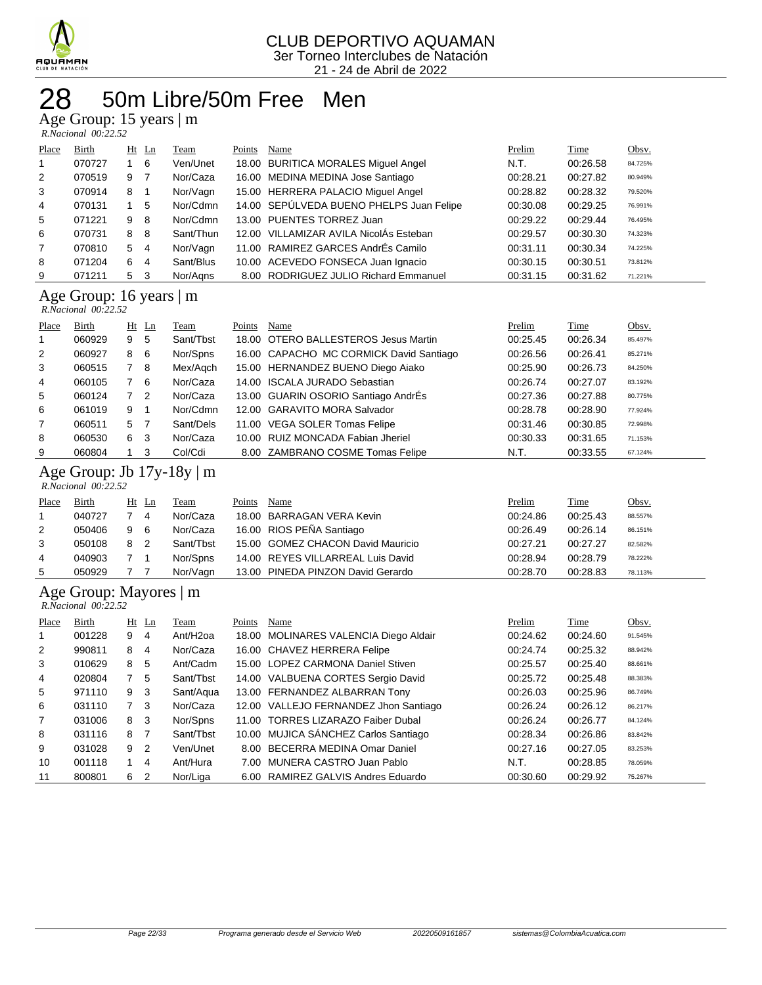

## 50m Libre/50m Free Men

Age Group: 15 years | m

| R.Nacional 00:22.52 |  |
|---------------------|--|

| Place          | <b>Birth</b> | Ht | Ln             | <b>Team</b> | Points | Name                                     | Prelim   | <b>Time</b> | Obsv.   |
|----------------|--------------|----|----------------|-------------|--------|------------------------------------------|----------|-------------|---------|
| $\mathbf{1}$   | 070727       |    | 6              | Ven/Unet    |        | 18.00 BURITICA MORALES Miguel Angel      | N.T.     | 00:26.58    | 84.725% |
| 2              | 070519       | 9  | $\overline{7}$ | Nor/Caza    |        | 16.00 MEDINA MEDINA Jose Santiago        | 00:28.21 | 00:27.82    | 80.949% |
| 3              | 070914       | 8  | -1             | Nor/Vagn    |        | 15.00 HERRERA PALACIO Miguel Angel       | 00:28.82 | 00:28.32    | 79.520% |
| 4              | 070131       |    | 5              | Nor/Cdmn    |        | 14.00 SEPÚLVEDA BUENO PHELPS Juan Felipe | 00:30.08 | 00:29.25    | 76.991% |
| 5              | 071221       | 9  | -8             | Nor/Cdmn    |        | 13.00 PUENTES TORREZ Juan                | 00:29.22 | 00:29.44    | 76.495% |
| 6              | 070731       | 8  | 8              | Sant/Thun   |        | 12.00 VILLAMIZAR AVILA NicolAs Esteban   | 00:29.57 | 00:30.30    | 74.323% |
| $\overline{7}$ | 070810       | 5  | 4              | Nor/Vagn    |        | 11.00 RAMIREZ GARCES AndrÉs Camilo       | 00:31.11 | 00:30.34    | 74.225% |
| 8              | 071204       | 6  | $\overline{4}$ | Sant/Blus   |        | 10.00 ACEVEDO FONSECA Juan Ignacio       | 00:30.15 | 00:30.51    | 73.812% |
| 9              | 071211       | 5  | 3              | Nor/Aans    |        | 8.00 RODRIGUEZ JULIO Richard Emmanuel    | 00:31.15 | 00:31.62    | 71.221% |

#### Age Group: 16 years | m

| R.Nacional 00:22.52 |  |
|---------------------|--|

|       | 1.1.1946.101141 00.22.92 |     |                |           |        |                                         |          |             |         |  |  |  |
|-------|--------------------------|-----|----------------|-----------|--------|-----------------------------------------|----------|-------------|---------|--|--|--|
| Place | Birth                    |     | $Ht$ Ln        | Team      | Points | Name                                    | Prelim   | <b>Time</b> | Obsv.   |  |  |  |
| 1     | 060929                   | 9   | 5              | Sant/Tbst |        | 18.00 OTERO BALLESTEROS Jesus Martin    | 00:25.45 | 00:26.34    | 85.497% |  |  |  |
| 2     | 060927                   | 8   | - 6            | Nor/Spns  |        | 16.00 CAPACHO MC CORMICK David Santiago | 00:26.56 | 00:26.41    | 85.271% |  |  |  |
| 3     | 060515                   | 7 8 |                | Mex/Agch  |        | 15.00 HERNANDEZ BUENO Diego Aiako       | 00:25.90 | 00:26.73    | 84.250% |  |  |  |
| 4     | 060105                   |     | - 6            | Nor/Caza  |        | 14.00 ISCALA JURADO Sebastian           | 00:26.74 | 00:27.07    | 83.192% |  |  |  |
| 5     | 060124                   |     | $\overline{2}$ | Nor/Caza  |        | 13.00 GUARIN OSORIO Santiago AndrÉs     | 00:27.36 | 00:27.88    | 80.775% |  |  |  |
| 6     | 061019                   | 9   |                | Nor/Cdmn  |        | 12.00 GARAVITO MORA Salvador            | 00:28.78 | 00:28.90    | 77.924% |  |  |  |
| 7     | 060511                   | 5 7 |                | Sant/Dels |        | 11.00 VEGA SOLER Tomas Felipe           | 00:31.46 | 00:30.85    | 72.998% |  |  |  |
| 8     | 060530                   | 6   | -3             | Nor/Caza  |        | 10.00 RUIZ MONCADA Fabian Jheriel       | 00:30.33 | 00:31.65    | 71.153% |  |  |  |
| 9     | 060804                   |     | -3             | Col/Cdi   |        | 8.00 ZAMBRANO COSME Tomas Felipe        | N.T.     | 00:33.55    | 67.124% |  |  |  |

#### Age Group: Jb 17y-18y | m  *R.Nacional 00:22.52*

| Place | <b>Birth</b> | $Ht$ Ln |     | <b>Team</b> | Points | Name                              | <b>Prelim</b> | <u>Time</u> | Obsv.   |
|-------|--------------|---------|-----|-------------|--------|-----------------------------------|---------------|-------------|---------|
|       | 040727       |         | 4   | Nor/Caza    |        | 18.00 BARRAGAN VERA Kevin         | 00:24.86      | 00:25.43    | 88.557% |
| 2     | 050406       | -9      | - 6 | Nor/Caza    |        | 16.00 RIOS PEÑA Santiago          | 00:26.49      | 00:26.14    | 86.151% |
| 3     | 050108       | 8       | -2  | Sant/Tbst   |        | 15.00 GOMEZ CHACON David Mauricio | 00:27.21      | 00:27.27    | 82.582% |
| 4     | 040903       | 7 1     |     | Nor/Spns    |        | 14.00 REYES VILLARREAL Luis David | 00:28.94      | 00:28.79    | 78.222% |
| 5     | 050929       |         |     | Nor/Vagn    |        | 13.00 PINEDA PINZON David Gerardo | 00:28.70      | 00:28.83    | 78.113% |

#### Age Group: Mayores | m

 *R.Nacional 00:22.52* 

| Place          | Birth  |    | $Ht$ Ln        | Team                 | Points | Name                                  | Prelim   | <b>Time</b> | Obsv.   |
|----------------|--------|----|----------------|----------------------|--------|---------------------------------------|----------|-------------|---------|
| 1              | 001228 | 9  | 4              | Ant/H <sub>20a</sub> |        | 18.00 MOLINARES VALENCIA Diego Aldair | 00:24.62 | 00:24.60    | 91.545% |
| 2              | 990811 | 8  | 4              | Nor/Caza             |        | 16.00 CHAVEZ HERRERA Felipe           | 00:24.74 | 00:25.32    | 88.942% |
| 3              | 010629 | 8  | 5              | Ant/Cadm             |        | 15.00 LOPEZ CARMONA Daniel Stiven     | 00:25.57 | 00:25.40    | 88.661% |
| 4              | 020804 |    | 5              | Sant/Tbst            |        | 14.00 VALBUENA CORTES Sergio David    | 00:25.72 | 00:25.48    | 88.383% |
| 5              | 971110 | 9  | -3             | Sant/Aqua            |        | 13.00 FERNANDEZ ALBARRAN Tony         | 00:26.03 | 00:25.96    | 86.749% |
| 6              | 031110 |    | 7 <sup>3</sup> | Nor/Caza             |        | 12.00 VALLEJO FERNANDEZ Jhon Santiago | 00:26.24 | 00:26.12    | 86.217% |
| $\overline{7}$ | 031006 | 8  | - 3            | Nor/Spns             |        | 11.00 TORRES LIZARAZO Faiber Dubal    | 00:26.24 | 00:26.77    | 84.124% |
| 8              | 031116 | 8  | $\overline{7}$ | Sant/Tbst            |        | 10.00 MUJICA SÁNCHEZ Carlos Santiago  | 00:28.34 | 00:26.86    | 83.842% |
| 9              | 031028 | 9  | $\overline{2}$ | Ven/Unet             |        | 8.00 BECERRA MEDINA Omar Daniel       | 00:27.16 | 00:27.05    | 83.253% |
| 10             | 001118 | 1. | 4              | Ant/Hura             |        | 7.00 MUNERA CASTRO Juan Pablo         | N.T.     | 00:28.85    | 78.059% |
| 11             | 800801 | 6  | $\overline{2}$ | Nor/Liga             |        | 6.00 RAMIREZ GALVIS Andres Eduardo    | 00:30.60 | 00:29.92    | 75.267% |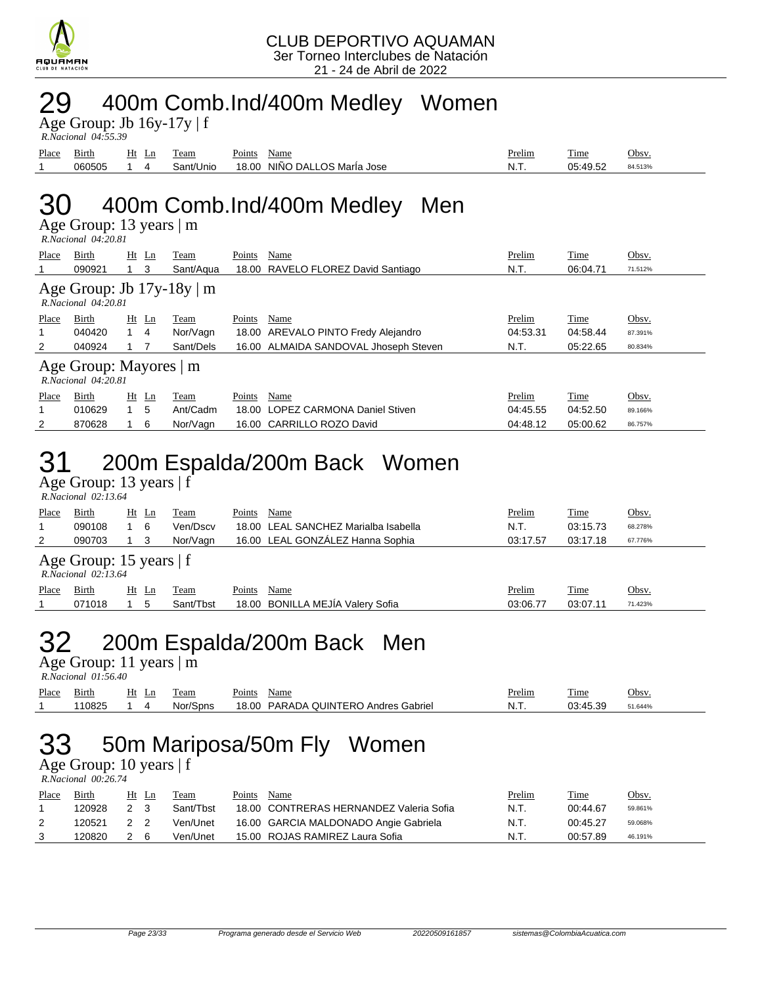

### 29 400m Comb.Ind/400m Medley Women

Age Group: Jb  $16y-17y \mid f$  *R.Nacional 04:55.39* 

|       | 1.1110.001001 0 <del>1</del> .33.33 |          |           |                                 |        |                  |         |  |
|-------|-------------------------------------|----------|-----------|---------------------------------|--------|------------------|---------|--|
| Place | $\mathbf{r}$<br>Birth               | Ht<br>Ln | l'eam     | Points<br>Name                  | Prelim | m.<br>l'ime      | Obsv.   |  |
|       | 060505                              |          | Sant/Unio | NIÑO DALLOS MarÍa Jose<br>18.00 | N.T.   | 05.4052<br>+ສ.ບ∠ | 84.513% |  |
|       |                                     |          |           |                                 |        |                  |         |  |

## 30 400m Comb.Ind/400m Medley Men

Age Group: 13 years | m  *R.Nacional 04:20.81* 

| Place                                              | Birth                                                      |             | $Ht$ Ln | Team      | Points | Name                                  | Prelim   | Time     | Obsv.   |  |  |
|----------------------------------------------------|------------------------------------------------------------|-------------|---------|-----------|--------|---------------------------------------|----------|----------|---------|--|--|
|                                                    | 090921                                                     |             | 3       | Sant/Agua |        | 18.00 RAVELO FLOREZ David Santiago    | N.T.     | 06:04.71 | 71.512% |  |  |
|                                                    | Age Group: Jb $17y-18y \mid m$<br>$R. Nacional$ $04:20.81$ |             |         |           |        |                                       |          |          |         |  |  |
| Place                                              | Birth                                                      |             | $Ht$ Ln | Team      | Points | Name                                  | Prelim   | Time     | Obsv.   |  |  |
|                                                    | 040420                                                     | $1 \quad 4$ |         | Nor/Vagn  |        | 18.00 AREVALO PINTO Fredy Alejandro   | 04:53.31 | 04:58.44 | 87.391% |  |  |
| 2                                                  | 040924                                                     |             |         | Sant/Dels |        | 16.00 ALMAIDA SANDOVAL Jhoseph Steven | N.T.     | 05:22.65 | 80.834% |  |  |
| Age Group: Mayores   m<br>$R. Nacional$ $04:20.81$ |                                                            |             |         |           |        |                                       |          |          |         |  |  |
| Place                                              | Birth                                                      | Ht          | Ln      | Team      | Points | Name                                  | Prelim   | Time     | Obsv.   |  |  |
|                                                    | 010629                                                     | 1           | 5       | Ant/Cadm  |        | 18.00 LOPEZ CARMONA Daniel Stiven     | 04:45.55 | 04:52.50 | 89.166% |  |  |
| 2                                                  | 870628                                                     |             | 6       | Nor/Vagn  |        | 16.00 CARRILLO ROZO David             | 04:48.12 | 05:00.62 | 86.757% |  |  |

## 31 200m Espalda/200m Back Women

Age Group: 13 years  $|f|$ 

|       | $R. Nacional$ 02:13.64                              |         |           |                                      |          |          |         |  |
|-------|-----------------------------------------------------|---------|-----------|--------------------------------------|----------|----------|---------|--|
| Place | Birth                                               | Ht Ln   | Team      | Name<br>Points                       | Prelim   | Time     | Obsv.   |  |
|       | 090108                                              | 6       | Ven/Dscv  | 18.00 LEAL SANCHEZ Marialba Isabella | N.T.     | 03:15.73 | 68.278% |  |
|       | 090703                                              | 3       | Nor/Vagn  | 16.00 LEAL GONZÁLEZ Hanna Sophia     | 03:17.57 | 03:17.18 | 67.776% |  |
|       | Age Group: 15 years $ f $<br>$R. Nacional$ 02:13.64 |         |           |                                      |          |          |         |  |
| Place | Birth                                               | $Ht$ Ln | Team      | Name<br>Points                       | Prelim   | Time     | Obsv.   |  |
|       | 071018                                              | 5       | Sant/Tbst | 18.00 BONILLA MEJÍA Valery Sofia     | 03:06.77 | 03:07.11 | 71.423% |  |

# 32 200m Espalda/200m Back Men

Age Group: 11 years | m  *R.Nacional 01:56.40* 

| Place | Birth  | Ht<br>Ln | `eam     | Points | Name                                 | Prelim | <b>Time</b> | Obsv.   |
|-------|--------|----------|----------|--------|--------------------------------------|--------|-------------|---------|
|       | 110825 |          | Nor/Spns |        | 18.00 PARADA QUINTERO Andres Gabriel |        | 03:45.39    | 51.644% |

# 33 50m Mariposa/50m Fly Women

Age Group: 10 years | f  *R.Nacional 00:26.74* 

| Place | Birth  | Ht Ln | Team      | Name<br>Points                          | Prelim | Time     | Obsv.   |
|-------|--------|-------|-----------|-----------------------------------------|--------|----------|---------|
|       | 120928 |       | Sant/Tbst | 18.00 CONTRERAS HERNANDEZ Valeria Sofia | N.T.   | 00:44.67 | 59.861% |
|       | 120521 |       | Ven/Unet  | 16.00 GARCIA MALDONADO Angie Gabriela   | N.T.   | 00:45.27 | 59.068% |
|       | 120820 | - 6   | Ven/Unet  | 15.00 ROJAS RAMIREZ Laura Sofia         | N.T.   | 00:57.89 | 46.191% |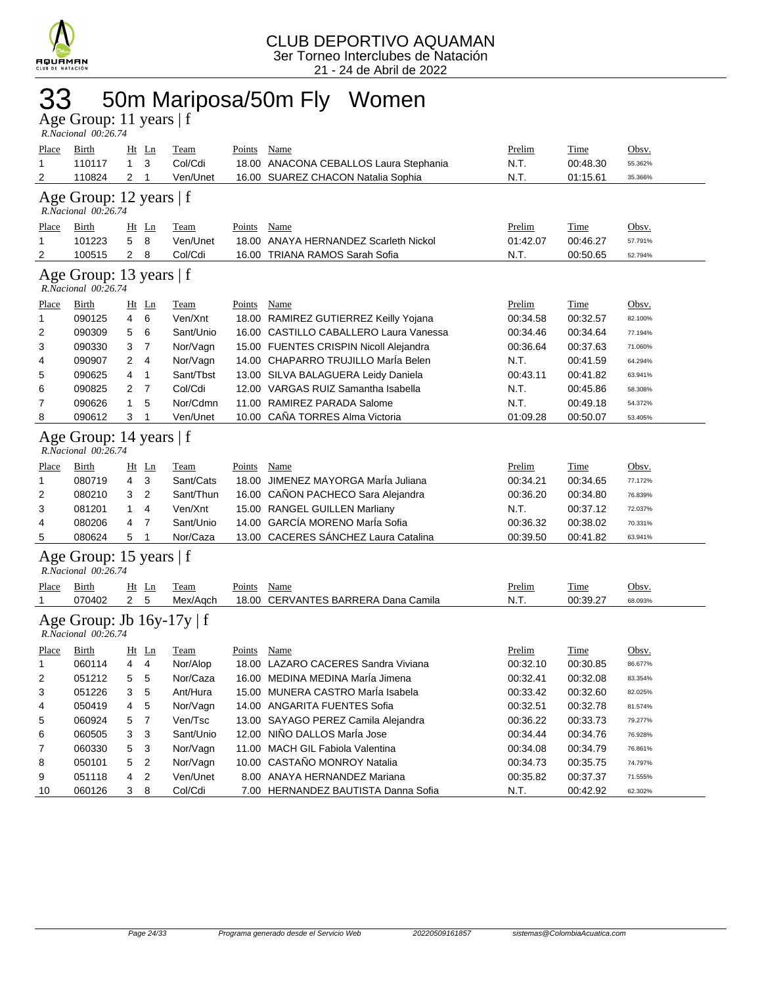

## 33 50m Mariposa/50m Fly Women

| Age Group: 11 years   f |  |
|-------------------------|--|
| R.Nacional 00:26.74     |  |

| <b>Place</b><br>1                                   | <b>Birth</b><br>110117                         | $\mathbf{1}$   | $Ht$ Ln<br>3   | <b>Team</b><br>Col/Cdi | <b>Points</b> | <b>Name</b><br>18.00 ANACONA CEBALLOS Laura Stephania | <b>Prelim</b><br>N.T. | <b>Time</b><br>00:48.30 | Obsv.<br>55.362% |
|-----------------------------------------------------|------------------------------------------------|----------------|----------------|------------------------|---------------|-------------------------------------------------------|-----------------------|-------------------------|------------------|
| 2                                                   | 110824                                         | $\overline{2}$ | 1              | Ven/Unet               |               | 16.00 SUAREZ CHACON Natalia Sophia                    | N.T.                  | 01:15.61                | 35.366%          |
|                                                     | Age Group: 12 years   f<br>R.Nacional 00:26.74 |                |                |                        |               |                                                       |                       |                         |                  |
| <u>Place</u>                                        | Birth                                          |                | Ht Ln          | <b>Team</b>            | Points        | Name                                                  | Prelim                | <b>Time</b>             | Obsv.            |
| 1                                                   | 101223                                         | 5              | 8              | Ven/Unet               |               | 18.00 ANAYA HERNANDEZ Scarleth Nickol                 | 01:42.07              | 00:46.27                | 57.791%          |
| 2                                                   | 100515                                         | $\overline{2}$ | 8              | Col/Cdi                |               | 16.00 TRIANA RAMOS Sarah Sofia                        | N.T.                  | 00:50.65                | 52.794%          |
|                                                     | Age Group: 13 years   f<br>R.Nacional 00:26.74 |                |                |                        |               |                                                       |                       |                         |                  |
| Place                                               | Birth                                          | Ht Ln          |                | Team                   | Points        | Name                                                  | Prelim                | Time                    | Obsv.            |
| 1                                                   | 090125                                         | 4              | 6              | Ven/Xnt                |               | 18.00 RAMIREZ GUTIERREZ Keilly Yojana                 | 00:34.58              | 00:32.57                | 82.100%          |
| 2                                                   | 090309                                         | 5              | 6              | Sant/Unio              |               | 16.00 CASTILLO CABALLERO Laura Vanessa                | 00:34.46              | 00:34.64                | 77.194%          |
| 3                                                   | 090330                                         | 3              | 7              | Nor/Vagn               |               | 15.00 FUENTES CRISPIN Nicoll Alejandra                | 00:36.64              | 00:37.63                | 71.060%          |
| 4                                                   | 090907                                         | 2              | 4              | Nor/Vagn               |               | 14.00 CHAPARRO TRUJILLO Marla Belen                   | N.T.                  | 00:41.59                | 64.294%          |
| 5                                                   | 090625                                         | 4              | 1              | Sant/Tbst              |               | 13.00 SILVA BALAGUERA Leidy Daniela                   | 00:43.11              | 00:41.82                | 63.941%          |
| 6                                                   | 090825                                         | 2              | 7              | Col/Cdi                |               | 12.00 VARGAS RUIZ Samantha Isabella                   | N.T.                  | 00:45.86                | 58.308%          |
| 7                                                   | 090626                                         | $\mathbf{1}$   | 5              | Nor/Cdmn               | 11.00         | RAMIREZ PARADA Salome                                 | N.T.                  | 00:49.18                | 54.372%          |
| 8                                                   | 090612                                         | 3              | 1              | Ven/Unet               |               | 10.00 CAÑA TORRES Alma Victoria                       | 01:09.28              | 00:50.07                | 53.405%          |
| Age Group: 14 years   f<br>$R$ .Nacional $00.26.74$ |                                                |                |                |                        |               |                                                       |                       |                         |                  |
| <u>Place</u>                                        | Birth                                          |                | <u>Ht</u> Ln   | Team                   | Points        | Name                                                  | Prelim                | <b>Time</b>             | Obsv.            |
| 1                                                   | 080719                                         | 4              | 3              | Sant/Cats              |               | 18.00 JIMENEZ MAYORGA Marla Juliana                   | 00:34.21              | 00:34.65                | 77.172%          |
| 2                                                   | 080210                                         | 3              | 2              | Sant/Thun              |               | 16.00 CAÑON PACHECO Sara Alejandra                    | 00:36.20              | 00:34.80                | 76.839%          |
| 3                                                   | 081201                                         | $\mathbf{1}$   | 4              | Ven/Xnt                |               | 15.00 RANGEL GUILLEN Marliany                         | N.T.                  | 00:37.12                | 72.037%          |
| 4                                                   | 080206                                         | 4              | 7              | Sant/Unio              |               | 14.00 GARCÍA MORENO MarÍa Sofia                       | 00:36.32              | 00:38.02                | 70.331%          |
| 5                                                   | 080624                                         | 5              | 1              | Nor/Caza               |               | 13.00 CACERES SÁNCHEZ Laura Catalina                  | 00:39.50              | 00:41.82                | 63.941%          |
|                                                     | Age Group: 15 years   f<br>R.Nacional 00:26.74 |                |                |                        |               |                                                       |                       |                         |                  |
| Place                                               | Birth                                          |                | $Ht$ Ln        | Team                   | Points        | Name                                                  | Prelim                | Time                    | Obsv.            |
| 1                                                   | 070402                                         | $2^{\circ}$    | 5              | Mex/Aqch               |               | 18.00 CERVANTES BARRERA Dana Camila                   | N.T.                  | 00:39.27                | 68.093%          |
| Age Group: Jb 16y-17y   f<br>R.Nacional 00:26.74    |                                                |                |                |                        |               |                                                       |                       |                         |                  |
| Place                                               | Birth                                          |                | <u>Ht</u> Ln   | Team                   | Points        | Name                                                  | Prelim                | Time                    | Obsv.            |
| 1                                                   | 060114                                         | 4              | 4              | Nor/Alop               |               | 18.00 LAZARO CACERES Sandra Viviana                   | 00:32.10              | 00:30.85                | 86.677%          |
| 2                                                   | 051212                                         | 5              | 5              | Nor/Caza               |               | 16.00 MEDINA MEDINA MarÍa Jimena                      | 00:32.41              | 00:32.08                | 83.354%          |
| 3                                                   | 051226                                         | 3              | 5              | Ant/Hura               |               | 15.00 MUNERA CASTRO MarÍa Isabela                     | 00:33.42              | 00:32.60                | 82.025%          |
| 4                                                   | 050419                                         | 4              | 5              | Nor/Vagn               |               | 14.00 ANGARITA FUENTES Sofia                          | 00:32.51              | 00:32.78                | 81.574%          |
| 5                                                   | 060924                                         | 5              | 7              | Ven/Tsc                |               | 13.00 SAYAGO PEREZ Camila Alejandra                   | 00:36.22              | 00:33.73                | 79.277%          |
| 6                                                   | 060505                                         | 3              | 3              | Sant/Unio              |               | 12.00 NIÑO DALLOS MarÍa Jose                          | 00:34.44              | 00:34.76                | 76.928%          |
| 7                                                   | 060330                                         | 5              | 3              | Nor/Vagn               |               | 11.00 MACH GIL Fabiola Valentina                      | 00:34.08              | 00:34.79                | 76.861%          |
| 8                                                   | 050101                                         | 5              | $\overline{2}$ | Nor/Vagn               |               | 10.00 CASTAÑO MONROY Natalia                          | 00:34.73              | 00:35.75                | 74.797%          |
| 9                                                   | 051118                                         | 4              | $\overline{2}$ | Ven/Unet               |               | 8.00 ANAYA HERNANDEZ Mariana                          | 00:35.82              | 00:37.37                | 71.555%          |
| 10                                                  | 060126                                         | 38             |                | Col/Cdi                |               | 7.00 HERNANDEZ BAUTISTA Danna Sofia                   | N.T.                  | 00:42.92                | 62.302%          |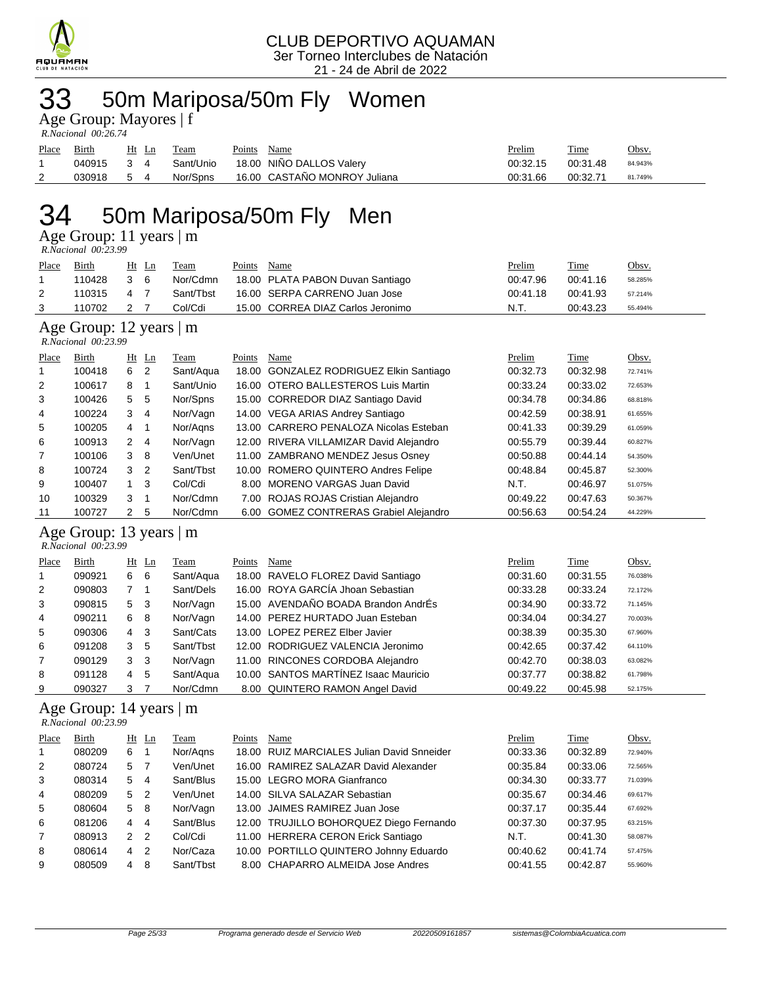

## 33 50m Mariposa/50m Fly Women

|  | Age Group: Mayores   f |  |
|--|------------------------|--|
|  |                        |  |

| R.Nacional 00:26.74 |  |  |  |  |  |
|---------------------|--|--|--|--|--|

| Place | <b>Birth</b> | Ht Ln | Team      | Points | Name                         | <u>Prelim</u> | <b>Time</b> | Obsv.   |
|-------|--------------|-------|-----------|--------|------------------------------|---------------|-------------|---------|
|       | 040915 3 4   |       | Sant/Unio |        | 18.00 NIÑO DALLOS Valery     | 00:32.15      | 00:31.48    | 84.943% |
|       | 030918 5 4   |       | Nor/Spns  |        | 16.00 CASTAÑO MONROY Juliana | 00:31.66      | 00:32.71    | 81.749% |

## 34 50m Mariposa/50m Fly Men

Age Group: 11 years | m

 *R.Nacional 00:23.99* 

| Place | <b>Birth</b>             | Ht | Ln             | Team      | Points | Name                                    | Prelim   | Time     | Obsv.   |
|-------|--------------------------|----|----------------|-----------|--------|-----------------------------------------|----------|----------|---------|
| 1     | 110428                   | 3  | 6              | Nor/Cdmn  | 18.00  | PLATA PABON Duvan Santiago              | 00:47.96 | 00:41.16 | 58.285% |
| 2     | 110315                   | 4  | $\overline{7}$ | Sant/Tbst |        | 16.00 SERPA CARRENO Juan Jose           | 00:41.18 | 00:41.93 | 57.214% |
| 3     | 110702                   | 2  | 7              | Col/Cdi   |        | 15.00 CORREA DIAZ Carlos Jeronimo       | N.T.     | 00:43.23 | 55.494% |
|       | Age Group: 12 years   m  |    |                |           |        |                                         |          |          |         |
|       | R.Nacional 00:23.99      |    |                |           |        |                                         |          |          |         |
| Place | Birth                    | Ht | Ln             | Team      | Points | Name                                    | Prelim   | Time     | Obsv.   |
| 1     | 100418                   | 6  | 2              | Sant/Aqua |        | 18.00 GONZALEZ RODRIGUEZ Elkin Santiago | 00:32.73 | 00:32.98 | 72.741% |
| 2     | 100617                   | 8  | 1              | Sant/Unio |        | 16.00 OTERO BALLESTEROS Luis Martin     | 00:33.24 | 00:33.02 | 72.653% |
| 3     | 100426                   | 5  | 5              | Nor/Spns  |        | 15.00 CORREDOR DIAZ Santiago David      | 00:34.78 | 00:34.86 | 68.818% |
| 4     | 100224                   | 3  | 4              | Nor/Vagn  |        | 14.00 VEGA ARIAS Andrey Santiago        | 00:42.59 | 00:38.91 | 61.655% |
| 5     | 100205                   | 4  | 1              | Nor/Agns  |        | 13.00 CARRERO PENALOZA Nicolas Esteban  | 00:41.33 | 00:39.29 | 61.059% |
| 6     | 100913                   | 2  | 4              | Nor/Vagn  |        | 12.00 RIVERA VILLAMIZAR David Alejandro | 00:55.79 | 00:39.44 | 60.827% |
| 7     | 100106                   | 3  | 8              | Ven/Unet  |        | 11.00 ZAMBRANO MENDEZ Jesus Osney       | 00:50.88 | 00:44.14 | 54.350% |
| 8     | 100724                   | 3  | 2              | Sant/Tbst | 10.00  | ROMERO QUINTERO Andres Felipe           | 00:48.84 | 00:45.87 | 52.300% |
| 9     | 100407                   | 1  | 3              | Col/Cdi   |        | 8.00 MORENO VARGAS Juan David           | N.T.     | 00:46.97 | 51.075% |
| 10    | 100329                   | 3  | 1              | Nor/Cdmn  |        | 7.00 ROJAS ROJAS Cristian Alejandro     | 00:49.22 | 00:47.63 | 50.367% |
| 11    | 100727                   | 2  | 5              | Nor/Cdmn  |        | 6.00 GOMEZ CONTRERAS Grabiel Alejandro  | 00:56.63 | 00:54.24 | 44.229% |
|       | Age Group: 13 years   m  |    |                |           |        |                                         |          |          |         |
|       | R.Nacional 00:23.99      |    |                |           |        |                                         |          |          |         |
| Place | <b>Birth</b>             |    | Ht Ln          | Team      | Points | Name                                    | Prelim   | Time     | Obsv.   |
| 1     | 090921                   | 6  | 6              | Sant/Aqua |        | 18.00 RAVELO FLOREZ David Santiago      | 00:31.60 | 00:31.55 | 76.038% |
| 2     | 090803                   | 7  | 1              | Sant/Dels |        | 16.00 ROYA GARCÍA Jhoan Sebastian       | 00:33.28 | 00:33.24 | 72.172% |
| 3     | 090815                   | 5  | 3              | Nor/Vagn  |        | 15.00 AVENDAÑO BOADA Brandon AndrÉs     | 00:34.90 | 00:33.72 | 71.145% |
| 4     | 090211                   | 6  | 8              | Nor/Vagn  |        | 14.00 PEREZ HURTADO Juan Esteban        | 00:34.04 | 00:34.27 | 70.003% |
| 5     | 090306                   | 4  | 3              | Sant/Cats |        | 13.00 LOPEZ PEREZ Elber Javier          | 00:38.39 | 00:35.30 | 67.960% |
| 6     | 091208                   | 3  | 5              | Sant/Tbst | 12.00  | RODRIGUEZ VALENCIA Jeronimo             | 00:42.65 | 00:37.42 | 64.110% |
| 7     | 090129                   | 3  | 3              | Nor/Vagn  |        | 11.00 RINCONES CORDOBA Alejandro        | 00:42.70 | 00:38.03 | 63.082% |
| 8     | 091128                   | 4  | 5              | Sant/Aqua |        | 10.00 SANTOS MARTÍNEZ Isaac Mauricio    | 00:37.77 | 00:38.82 | 61.798% |
| 9     | 090327                   | 3  | 7              | Nor/Cdmn  |        | 8.00 QUINTERO RAMON Angel David         | 00:49.22 | 00:45.98 | 52.175% |
|       | Age Group: 14 years $ m$ |    |                |           |        |                                         |          |          |         |
|       | R.Nacional 00:23.99      |    |                |           |        |                                         |          |          |         |
| Place | <b>Birth</b>             |    | Ht Ln          | Team      | Points | Name                                    | Prelim   | Time     | Obsv.   |

| <b>Place</b> | <b>DILII</b> |            | пы ын | теаш      | <b>POIIIIS</b> | <b>Name</b>                                | <b>FIGHIII</b> | тине     | $\overline{\text{UDSV}}$ . |
|--------------|--------------|------------|-------|-----------|----------------|--------------------------------------------|----------------|----------|----------------------------|
| $\mathbf{1}$ | 080209       | 6          |       | Nor/Agns  |                | 18.00 RUIZ MARCIALES Julian David Snneider | 00:33.36       | 00:32.89 | 72.940%                    |
| 2            | 080724       | 5          |       | Ven/Unet  |                | 16.00 RAMIREZ SALAZAR David Alexander      | 00:35.84       | 00:33.06 | 72.565%                    |
| 3            | 080314       | 5 4        |       | Sant/Blus |                | 15.00 LEGRO MORA Gianfranco                | 00:34.30       | 00:33.77 | 71.039%                    |
| 4            | 080209       | 5          | 2     | Ven/Unet  |                | 14.00 SILVA SALAZAR Sebastian              | 00:35.67       | 00:34.46 | 69.617%                    |
| 5            | 080604       | 5 8        |       | Nor/Vagn  |                | 13.00 JAIMES RAMIREZ Juan Jose             | 00:37.17       | 00:35.44 | 67.692%                    |
| 6            | 081206       | $4\quad 4$ |       | Sant/Blus |                | 12.00 TRUJILLO BOHORQUEZ Diego Fernando    | 00:37.30       | 00:37.95 | 63.215%                    |
| 7            | 080913       | 2          | -2    | Col/Cdi   |                | 11.00 HERRERA CERON Erick Santiago         | N.T.           | 00:41.30 | 58.087%                    |
| 8            | 080614       | 4          | - 2   | Nor/Caza  |                | 10.00 PORTILLO QUINTERO Johnny Eduardo     | 00:40.62       | 00:41.74 | 57.475%                    |
| 9            | 080509       | 4          | 8     | Sant/Tbst |                | 8.00 CHAPARRO ALMEIDA Jose Andres          | 00:41.55       | 00:42.87 | 55.960%                    |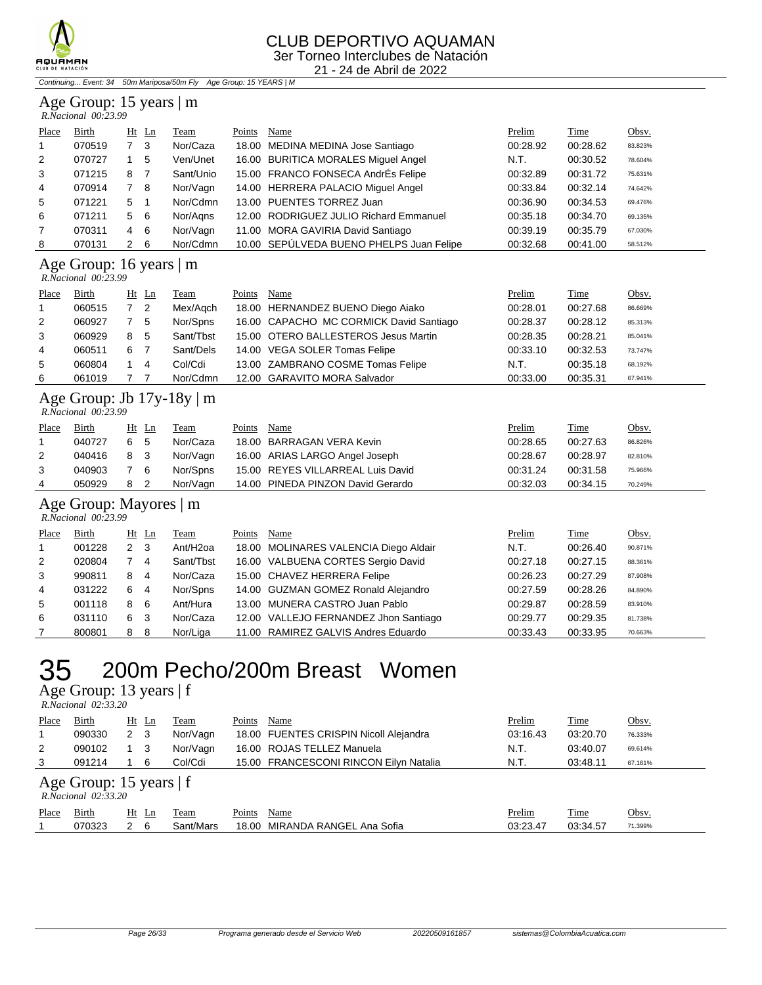

#### CLUB DEPORTIVO AQUAMAN 3er Torneo Interclubes de Natación

21 - 24 de Abril de 2022

Continuing... Event: 34 50m Mariposa/50m Fly Age Group: 15 YEARS | M

### Age Group: 15 years | m

|                | R.Nacional 00:23.99 |     |         |           |        |                                          |          |          |         |
|----------------|---------------------|-----|---------|-----------|--------|------------------------------------------|----------|----------|---------|
| Place          | Birth               |     | $Ht$ Ln | Team      | Points | Name                                     | Prelim   | Time     | Obsv.   |
| $\mathbf{1}$   | 070519              |     | - 3     | Nor/Caza  |        | 18.00 MEDINA MEDINA Jose Santiago        | 00:28.92 | 00:28.62 | 83.823% |
| 2              | 070727              |     | 5       | Ven/Unet  |        | 16.00 BURITICA MORALES Miguel Angel      | N.T.     | 00:30.52 | 78.604% |
| 3              | 071215              | 8   | 7       | Sant/Unio |        | 15.00 FRANCO FONSECA AndrÉs Felipe       | 00:32.89 | 00:31.72 | 75.631% |
| 4              | 070914              | 7 8 |         | Nor/Vagn  |        | 14.00 HERRERA PALACIO Miguel Angel       | 00:33.84 | 00:32.14 | 74.642% |
| 5              | 071221              | 5   |         | Nor/Cdmn  |        | 13.00 PUENTES TORREZ Juan                | 00:36.90 | 00:34.53 | 69.476% |
| 6              | 071211              | 5   | - 6     | Nor/Agns  |        | 12.00 RODRIGUEZ JULIO Richard Emmanuel   | 00:35.18 | 00:34.70 | 69.135% |
| $\overline{7}$ | 070311              | 4   | - 6     | Nor/Vagn  |        | 11.00 MORA GAVIRIA David Santiago        | 00:39.19 | 00:35.79 | 67.030% |
| 8              | 070131              | 2   | -6      | Nor/Cdmn  |        | 10.00 SEPÚLVEDA BUENO PHELPS Juan Felipe | 00:32.68 | 00:41.00 | 58.512% |

Age Group: 16 years  $|m \nvert$ 

| R.Nacional 00:23.99 |
|---------------------|
|                     |

| Place          | <b>Birth</b> |     | $Ht$ Ln                    | <b>Team</b> | Points | Name                                    | Prelim   | <b>Time</b> | Obsv.   |
|----------------|--------------|-----|----------------------------|-------------|--------|-----------------------------------------|----------|-------------|---------|
| $\overline{1}$ | 060515       |     | $\overline{\phantom{0}}^2$ | Mex/Agch    |        | 18.00 HERNANDEZ BUENO Diego Aiako       | 00:28.01 | 00:27.68    | 86.669% |
| 2              | 060927       | 7 5 |                            | Nor/Spns    |        | 16.00 CAPACHO MC CORMICK David Santiago | 00:28.37 | 00:28.12    | 85.313% |
| 3              | 060929       | 8   | - 5                        | Sant/Tbst   |        | 15.00 OTERO BALLESTEROS Jesus Martin    | 00:28.35 | 00:28.21    | 85.041% |
| $\overline{4}$ | 060511       | 6   |                            | Sant/Dels   |        | 14.00 VEGA SOLER Tomas Felipe           | 00:33.10 | 00:32.53    | 73.747% |
| 5              | 060804       |     | $\overline{4}$             | Col/Cdi     |        | 13.00 ZAMBRANO COSME Tomas Felipe       | N.T.     | 00:35.18    | 68.192% |
| 6              | 061019       |     |                            | Nor/Cdmn    |        | 12.00 GARAVITO MORA Salvador            | 00:33.00 | 00:35.31    | 67.941% |

#### Age Group: Jb 17y-18y | m  *R.Nacional 00:23.99*

| Place | Birth  | Ht<br>Ln | Team     | Points | Name                              | Prelim   | Time     | Obsv.   |
|-------|--------|----------|----------|--------|-----------------------------------|----------|----------|---------|
|       | 040727 | 6 5      | Nor/Caza |        | 18.00 BARRAGAN VERA Kevin         | 00:28.65 | 00:27.63 | 86.826% |
|       | 040416 | 8 3      | Nor/Vagn |        | 16.00 ARIAS LARGO Angel Joseph    | 00:28.67 | 00:28.97 | 82.810% |
|       | 040903 | 76       | Nor/Spns |        | 15.00 REYES VILLARREAL Luis David | 00:31.24 | 00:31.58 | 75.966% |
|       | 050929 |          | Nor/Vagn |        | 14.00 PINEDA PINZON David Gerardo | 00:32.03 | 00:34.15 | 70.249% |

### Age Group: Mayores | m

| R.Nacional 00:23.99 |  |
|---------------------|--|

| Place          | <b>Birth</b> |                | $Ht$ Ln        | <b>Team</b>          | Points | Name                                  | Prelim   | <b>Time</b> | Obsv.   |
|----------------|--------------|----------------|----------------|----------------------|--------|---------------------------------------|----------|-------------|---------|
| $\mathbf{1}$   | 001228       | $\overline{2}$ | - 3            | Ant/H <sub>20a</sub> |        | 18.00 MOLINARES VALENCIA Diego Aldair | N.T.     | 00:26.40    | 90.871% |
| 2              | 020804       |                | $\overline{4}$ | Sant/Tbst            |        | 16.00 VALBUENA CORTES Sergio David    | 00:27.18 | 00:27.15    | 88.361% |
| 3              | 990811       | 8              | 4              | Nor/Caza             |        | 15.00 CHAVEZ HERRERA Felipe           | 00:26.23 | 00:27.29    | 87.908% |
| $\overline{4}$ | 031222       | 6              | 4              | Nor/Spns             |        | 14.00 GUZMAN GOMEZ Ronald Alejandro   | 00:27.59 | 00:28.26    | 84.890% |
| 5              | 001118       | 8              | -6             | Ant/Hura             |        | 13.00 MUNERA CASTRO Juan Pablo        | 00:29.87 | 00:28.59    | 83.910% |
| 6              | 031110       | 6              | -3             | Nor/Caza             |        | 12.00 VALLEJO FERNANDEZ Jhon Santiago | 00:29.77 | 00:29.35    | 81.738% |
|                | 800801       | 8              | - 8            | Nor/Liga             |        | 11.00 RAMIREZ GALVIS Andres Eduardo   | 00:33.43 | 00:33.95    | 70.663% |

### 35 200m Pecho/200m Breast Women

Age Group: 13 years | f  $R.\tilde{N}$ 

| $\text{Age}$ Oroup. To years   I<br>R. Nacional 02:33.20 |        |             |    |           |        |                                        |          |          |         |  |  |  |
|----------------------------------------------------------|--------|-------------|----|-----------|--------|----------------------------------------|----------|----------|---------|--|--|--|
| Place                                                    | Birth  | Ht Ln       |    | Team      | Points | Name                                   | Prelim   | Time     | Obsv.   |  |  |  |
|                                                          | 090330 | 2 3         |    | Nor/Vagn  |        | 18.00 FUENTES CRISPIN Nicoll Alejandra | 03:16.43 | 03:20.70 | 76.333% |  |  |  |
| $\overline{2}$                                           | 090102 | $1 \quad 3$ |    | Nor/Vagn  |        | 16.00 ROJAS TELLEZ Manuela             | N.T.     | 03:40.07 | 69.614% |  |  |  |
| 3                                                        | 091214 |             | -6 | Col/Cdi   |        | 15.00 FRANCESCONI RINCON Eilyn Natalia | N.T.     | 03:48.11 | 67.161% |  |  |  |
| Age Group: 15 years $ f $<br>R. Nacional 02:33.20        |        |             |    |           |        |                                        |          |          |         |  |  |  |
| Place                                                    | Birth  | $Ht$ Ln     |    | Team      | Points | Name                                   | Prelim   | Time     | Obsv.   |  |  |  |
|                                                          | 070323 | 2 6         |    | Sant/Mars | 18.00  | MIRANDA RANGEL Ana Sofia               | 03:23.47 | 03:34.57 | 71.399% |  |  |  |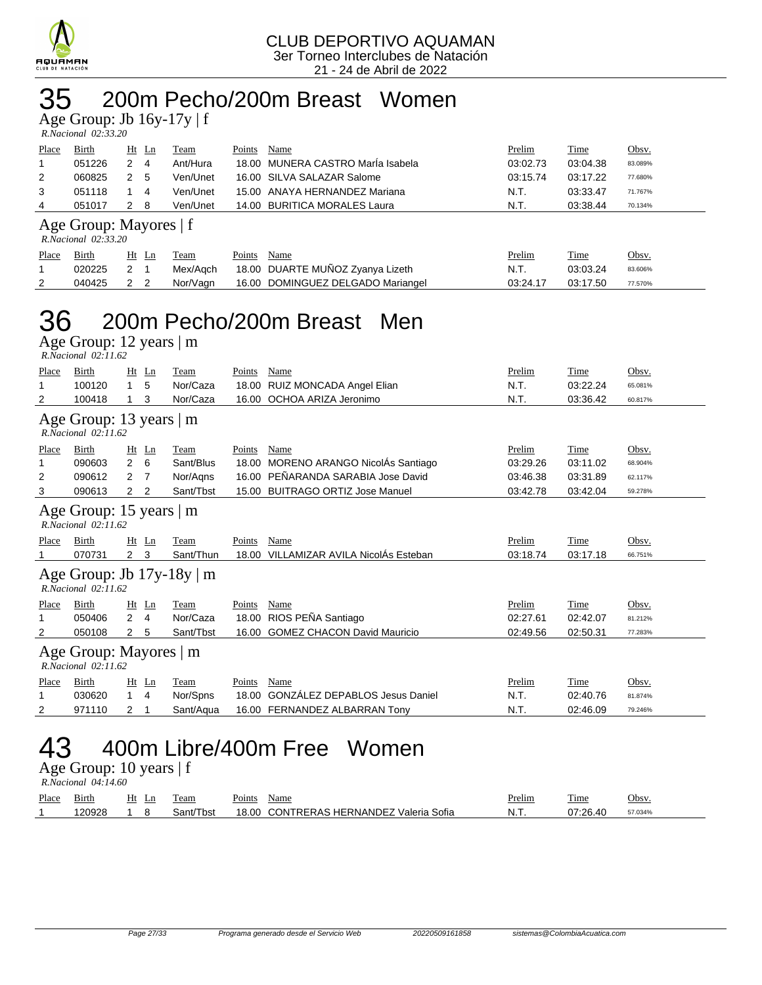

### 35 200m Pecho/200m Breast Women

Age Group: Jb 16y-17y | f

| R.Nacional 02:33.20 |  |
|---------------------|--|

| Place | Birth                                   | Ht Ln | Team     | Name<br>Points                    | Prelim   | Time     | Obsv.   |  |  |  |  |  |  |  |
|-------|-----------------------------------------|-------|----------|-----------------------------------|----------|----------|---------|--|--|--|--|--|--|--|
|       | 051226                                  | 4     | Ant/Hura | 18.00 MUNERA CASTRO Maria Isabela | 03:02.73 | 03:04.38 | 83.089% |  |  |  |  |  |  |  |
| 2     | 060825                                  | 2 5   | Ven/Unet | 16.00 SILVA SALAZAR Salome        | 03:15.74 | 03:17.22 | 77.680% |  |  |  |  |  |  |  |
| 3     | 051118                                  | -4    | Ven/Unet | 15.00 ANAYA HERNANDEZ Mariana     | N.T.     | 03:33.47 | 71.767% |  |  |  |  |  |  |  |
| 4     | 051017                                  | - 8   | Ven/Unet | 14.00 BURITICA MORALES Laura      | N.T.     | 03:38.44 | 70.134% |  |  |  |  |  |  |  |
|       | $\Lambda$ as $\Gamma$ count Morrages of |       |          |                                   |          |          |         |  |  |  |  |  |  |  |

#### Age Group: Mayores | f

| R.Nacional 02:33.20 |  |
|---------------------|--|
|                     |  |

| Place | Birth  | Ht Ln | Team     | Points | Name                                      | Prelim   | Time     | Obsv.   |
|-------|--------|-------|----------|--------|-------------------------------------------|----------|----------|---------|
|       | 020225 |       |          |        | Mex/Aqch 18.00 DUARTE MUÑOZ Zyanya Lizeth | N.T.     | 03:03.24 | 83.606% |
| 2     | 040425 |       | Nor/Vagn |        | 16.00 DOMINGUEZ DELGADO Mariangel         | 03:24.17 | 03:17.50 | 77.570% |

### 36 200m Pecho/200m Breast Men

Age Group: 12 years | m  *R.Nacional 02:11.62* 

| Place                                                | Birth                                              | Ht<br>Ln                         | Team                           | Points | Name                                   | Prelim   | Time     | Obsv.   |  |  |  |  |  |
|------------------------------------------------------|----------------------------------------------------|----------------------------------|--------------------------------|--------|----------------------------------------|----------|----------|---------|--|--|--|--|--|
| 1                                                    | 100120                                             | 5                                | Nor/Caza                       |        | 18.00 RUIZ MONCADA Angel Elian         | N.T.     | 03:22.24 | 65.081% |  |  |  |  |  |
| 2                                                    | 100418                                             | 3                                | Nor/Caza                       | 16.00  | OCHOA ARIZA Jeronimo                   | N.T.     | 03:36.42 | 60.817% |  |  |  |  |  |
|                                                      | Age Group: 13 years   m<br>$R.Nacional$ $02:11.62$ |                                  |                                |        |                                        |          |          |         |  |  |  |  |  |
| Place                                                | Birth                                              | $Ht$ Ln                          | Team                           | Points | Name                                   | Prelim   | Time     | Obsv.   |  |  |  |  |  |
| 1                                                    | 090603                                             | $\overline{2}$<br>6              | Sant/Blus                      |        | 18.00 MORENO ARANGO NicolAs Santiago   | 03:29.26 | 03:11.02 | 68.904% |  |  |  |  |  |
| 2                                                    | 090612                                             | 2<br>-7                          | Nor/Agns                       | 16.00  | PEÑARANDA SARABIA Jose David           | 03:46.38 | 03:31.89 | 62.117% |  |  |  |  |  |
| 3                                                    | 090613                                             | 2 <sub>2</sub>                   | Sant/Tbst                      |        | 15.00 BUITRAGO ORTIZ Jose Manuel       | 03:42.78 | 03:42.04 | 59.278% |  |  |  |  |  |
| Age Group: 15 years $ m$<br>$R. Nacional$ $02:11.62$ |                                                    |                                  |                                |        |                                        |          |          |         |  |  |  |  |  |
| Place                                                | Birth                                              | Ht Ln                            | <b>Team</b>                    | Points | Name                                   | Prelim   | Time     | Obsv.   |  |  |  |  |  |
|                                                      | 070731                                             | 2 <sub>3</sub>                   | Sant/Thun                      |        | 18.00 VILLAMIZAR AVILA NicolÁs Esteban | 03:18.74 | 03:17.18 | 66.751% |  |  |  |  |  |
|                                                      | $R. Nacional$ $02:11.62$                           |                                  | Age Group: Jb $17y-18y \mid m$ |        |                                        |          |          |         |  |  |  |  |  |
| <b>Place</b>                                         | Birth                                              | $Ht$ Ln                          | Team                           | Points | Name                                   | Prelim   | Time     | Obsv.   |  |  |  |  |  |
| 1                                                    | 050406                                             | $\overline{2}$<br>$\overline{4}$ | Nor/Caza                       |        | 18.00 RIOS PEÑA Santiago               | 02:27.61 | 02:42.07 | 81.212% |  |  |  |  |  |
| 2                                                    | 050108                                             | 2<br>5                           | Sant/Tbst                      | 16.00  | <b>GOMEZ CHACON David Mauricio</b>     | 02:49.56 | 02:50.31 | 77.283% |  |  |  |  |  |
|                                                      | Age Group: Mayores   m<br>$R. Nacional$ $02:11.62$ |                                  |                                |        |                                        |          |          |         |  |  |  |  |  |
| Place                                                | Birth                                              | Ht<br>Ln                         | Team                           | Points | Name                                   | Prelim   | Time     | Obsv.   |  |  |  |  |  |
| 1                                                    | 030620                                             | $\mathbf{1}$<br>4                | Nor/Spns                       | 18.00  | <b>GONZÁLEZ DEPABLOS Jesus Daniel</b>  | N.T.     | 02:40.76 | 81.874% |  |  |  |  |  |
| 2                                                    | 971110                                             | $\overline{2}$<br>1              | Sant/Aqua                      |        | 16.00 FERNANDEZ ALBARRAN Tony          | N.T.     | 02:46.09 | 79.246% |  |  |  |  |  |
|                                                      | 400m Libre/400m Free<br>Women                      |                                  |                                |        |                                        |          |          |         |  |  |  |  |  |

Age Group: 10 years | f

 *R.Nacional 04:14.60* 

| Place | 31rth | Ht<br>Ln | eam       | Points | Name                                          | Prelim | l'ime  | Jbsv    |
|-------|-------|----------|-----------|--------|-----------------------------------------------|--------|--------|---------|
|       | 20928 |          | 3ant/Tbst | 18.00  | <b>CONTRERAS HERNANDEZ Valeria 9</b><br>Sofia | - N.T. | ገ7 26. | -7.034% |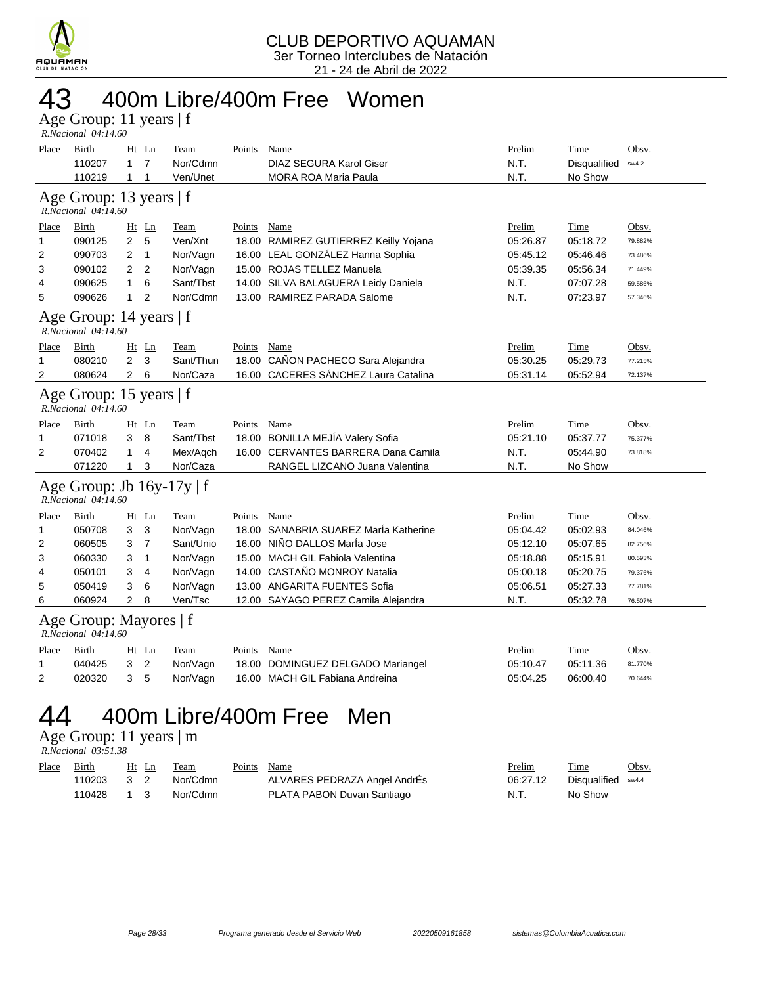

# 43 400m Libre/400m Free Women

Age Group: 11 years | f  *R.Nacional 04:14.60* 

| Place                                          | <b>Birth</b><br>110207<br>110219                      | $\mathbf{1}$<br>1 | Ht Ln<br>$\overline{7}$<br>$\mathbf{1}$ | <b>Team</b><br>Nor/Cdmn<br>Ven/Unet | <b>Points</b> | Name<br>DIAZ SEGURA Karol Giser<br><b>MORA ROA Maria Paula</b> | Prelim<br>N.T.<br>N.T. | Time<br>Disqualified<br>No Show | Obsv.<br>sw4.2 |  |  |  |
|------------------------------------------------|-------------------------------------------------------|-------------------|-----------------------------------------|-------------------------------------|---------------|----------------------------------------------------------------|------------------------|---------------------------------|----------------|--|--|--|
|                                                | Age Group: 13 years   f<br>R.Nacional 04:14.60        |                   |                                         |                                     |               |                                                                |                        |                                 |                |  |  |  |
| Place                                          | Birth                                                 |                   | Ht Ln                                   | Team                                | Points        | Name                                                           | Prelim                 | Time                            | Obsv.          |  |  |  |
| $\mathbf{1}$                                   | 090125                                                | $\overline{2}$    | 5                                       | Ven/Xnt                             |               | 18.00 RAMIREZ GUTIERREZ Keilly Yojana                          | 05:26.87               | 05:18.72                        | 79.882%        |  |  |  |
| 2                                              | 090703                                                | 2                 | $\mathbf{1}$                            | Nor/Vagn                            |               | 16.00 LEAL GONZÁLEZ Hanna Sophia                               | 05:45.12               | 05:46.46                        | 73.486%        |  |  |  |
| 3                                              | 090102                                                | $\overline{2}$    | 2                                       | Nor/Vagn                            |               | 15.00 ROJAS TELLEZ Manuela                                     | 05:39.35               | 05:56.34                        | 71.449%        |  |  |  |
| 4                                              | 090625                                                | 1                 | 6                                       | Sant/Tbst                           |               | 14.00 SILVA BALAGUERA Leidy Daniela                            | N.T.                   | 07:07.28                        | 59.586%        |  |  |  |
| 5                                              | 090626                                                | 1                 | 2                                       | Nor/Cdmn                            |               | 13.00 RAMIREZ PARADA Salome                                    | N.T.                   | 07:23.97                        | 57.346%        |  |  |  |
| Age Group: 14 years   f<br>R.Nacional 04:14.60 |                                                       |                   |                                         |                                     |               |                                                                |                        |                                 |                |  |  |  |
| Place                                          | Birth                                                 |                   | $Ht$ Ln                                 | Team                                | Points        | Name                                                           | Prelim                 | Time                            | Obsv.          |  |  |  |
| 1                                              | 080210                                                | $\overline{2}$    | 3                                       | Sant/Thun                           | 18.00         | CAÑON PACHECO Sara Alejandra                                   | 05:30.25               | 05:29.73                        | 77.215%        |  |  |  |
| 2                                              | 080624                                                | $\overline{2}$    | 6                                       | Nor/Caza                            |               | 16.00 CACERES SÁNCHEZ Laura Catalina                           | 05:31.14               | 05:52.94                        | 72.137%        |  |  |  |
| Age Group: 15 years   f<br>R.Nacional 04:14.60 |                                                       |                   |                                         |                                     |               |                                                                |                        |                                 |                |  |  |  |
| Place                                          | Birth                                                 |                   | $Ht$ Ln                                 | Team                                | Points        | Name                                                           | Prelim                 | Time                            | Obsv.          |  |  |  |
| 1                                              | 071018                                                | 3                 | 8                                       | Sant/Tbst                           |               | 18.00 BONILLA MEJÍA Valery Sofia                               | 05:21.10               | 05:37.77                        | 75.377%        |  |  |  |
| 2                                              | 070402                                                | 1                 | 4                                       | Mex/Aqch                            |               | 16.00 CERVANTES BARRERA Dana Camila                            | N.T.                   | 05:44.90                        | 73.818%        |  |  |  |
|                                                | 071220                                                | $\mathbf{1}$      | 3                                       | Nor/Caza                            |               | RANGEL LIZCANO Juana Valentina                                 | N.T.                   | No Show                         |                |  |  |  |
|                                                | Age Group: Jb $16y-17y \mid f$<br>R.Nacional 04:14.60 |                   |                                         |                                     |               |                                                                |                        |                                 |                |  |  |  |
| Place                                          | Birth                                                 |                   | $Ht$ Ln                                 | Team                                | Points        | Name                                                           | Prelim                 | Time                            | Obsv.          |  |  |  |
| 1                                              | 050708                                                | 3                 | 3                                       | Nor/Vagn                            |               | 18.00 SANABRIA SUAREZ Marla Katherine                          | 05:04.42               | 05:02.93                        | 84.046%        |  |  |  |
| 2                                              | 060505                                                | 3                 | $\overline{7}$                          | Sant/Unio                           |               | 16.00 NIÑO DALLOS Maria Jose                                   | 05:12.10               | 05:07.65                        | 82.756%        |  |  |  |
| 3                                              | 060330                                                | 3                 | 1                                       | Nor/Vagn                            |               | 15.00 MACH GIL Fabiola Valentina                               | 05:18.88               | 05:15.91                        | 80.593%        |  |  |  |
| 4                                              | 050101                                                | 3                 | $\overline{4}$                          | Nor/Vagn                            | 14.00         | CASTAÑO MONROY Natalia                                         | 05:00.18               | 05:20.75                        | 79.376%        |  |  |  |
| 5                                              | 050419                                                | 3                 | 6                                       | Nor/Vagn                            |               | 13.00 ANGARITA FUENTES Sofia                                   | 05:06.51               | 05:27.33                        | 77.781%        |  |  |  |
| 6                                              | 060924                                                | $\overline{2}$    | 8                                       | Ven/Tsc                             |               | 12.00 SAYAGO PEREZ Camila Alejandra                            | N.T.                   | 05:32.78                        | 76.507%        |  |  |  |
|                                                | Age Group: Mayores   f<br>R.Nacional 04:14.60         |                   |                                         |                                     |               |                                                                |                        |                                 |                |  |  |  |
| Place                                          | Birth                                                 |                   | <u>Ht Ln</u>                            | Team                                | Points        | Name                                                           | Prelim                 | Time                            | Obsv.          |  |  |  |
| 1                                              | 040425                                                | 3                 | $\overline{2}$                          | Nor/Vagn                            | 18.00         | DOMINGUEZ DELGADO Mariangel                                    | 05:10.47               | 05:11.36                        | 81.770%        |  |  |  |
| 2                                              | 020320                                                | 3                 | 5                                       | Nor/Vagn                            |               | 16.00 MACH GIL Fabiana Andreina                                | 05:04.25               | 06:00.40                        | 70.644%        |  |  |  |
| $\bm{\varDelta}\bm{\varDelta}$                 | 400m Libre/400m Free<br>Men                           |                   |                                         |                                     |               |                                                                |                        |                                 |                |  |  |  |

#### 44 400M LIDIC/400M FICC MCN Age Group: 11 years | m

 *R.Nacional 03:51.38* 

| Place | Birth      | Ht Ln | Team     | Points Name |                              | Prelim   | <b>Time</b>        | Obsv. |
|-------|------------|-------|----------|-------------|------------------------------|----------|--------------------|-------|
|       | 110203 3 2 |       | Nor/Cdmn |             | ALVARES PEDRAZA Angel AndrEs | 06:27.12 | Disqualified sw4.4 |       |
|       | 110428 1 3 |       | Nor/Cdmn |             | PLATA PABON Duvan Santiago   | N.T.     | No Show            |       |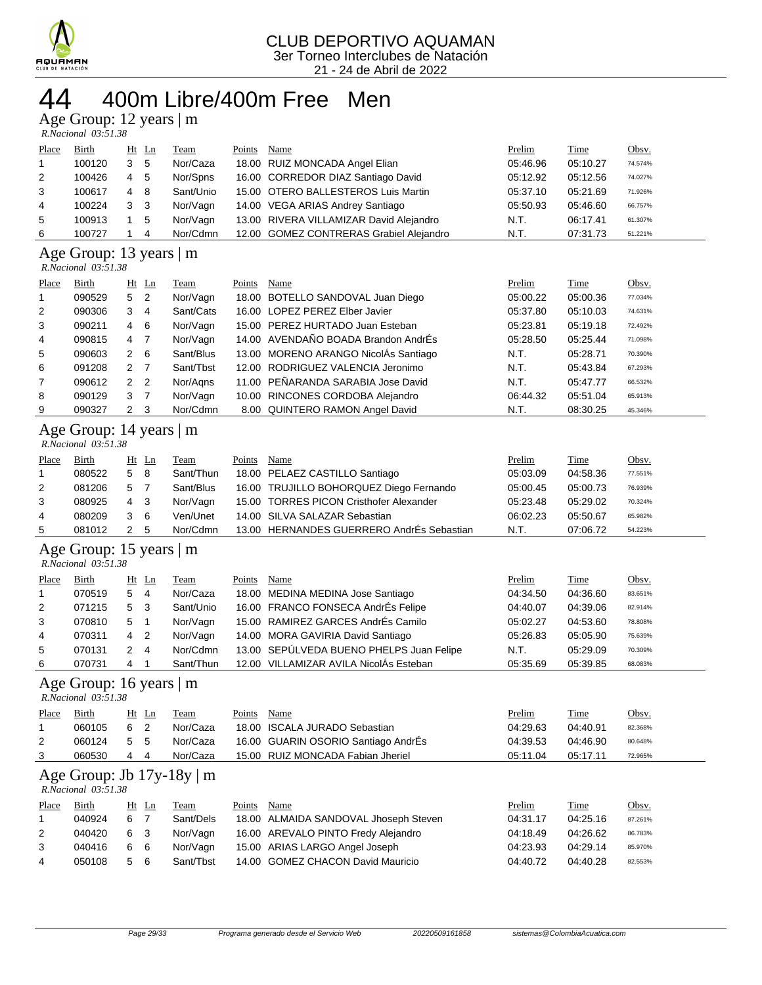

### 400m Libre/400m Free Men

Age Group: 12 years | m

| Place          | <b>Birth</b>               |   | $Ht$ Ln | <b>Team</b> | Points | Name                                    | Prelim   | <b>Time</b> | Obsv.   |  |
|----------------|----------------------------|---|---------|-------------|--------|-----------------------------------------|----------|-------------|---------|--|
| $\overline{1}$ | 100120                     | 3 | 5       | Nor/Caza    |        | 18.00 RUIZ MONCADA Angel Elian          | 05:46.96 | 05:10.27    | 74.574% |  |
| 2              | 100426                     | 4 | -5      | Nor/Spns    |        | 16.00 CORREDOR DIAZ Santiago David      | 05:12.92 | 05:12.56    | 74.027% |  |
| 3              | 100617                     | 4 | -8      | Sant/Unio   |        | 15.00 OTERO BALLESTEROS Luis Martin     | 05:37.10 | 05:21.69    | 71.926% |  |
| 4              | 100224                     | 3 | - 3     | Nor/Vagn    |        | 14.00 VEGA ARIAS Andrey Santiago        | 05:50.93 | 05:46.60    | 66.757% |  |
| 5              | 100913                     |   | -5      | Nor/Vagn    |        | 13.00 RIVERA VILLAMIZAR David Alejandro | N.T.     | 06:17.41    | 61.307% |  |
| 6              | 100727                     |   | 4       | Nor/Cdmn    |        | 12.00 GOMEZ CONTRERAS Grabiel Alejandro | N.T.     | 07:31.73    | 51.221% |  |
|                | Age Group: 13 years  <br>m |   |         |             |        |                                         |          |             |         |  |

#### *R.Nacional 03:51.38*

| Place          | Birth  |                | $Ht$ Ln        | Team      | Points | Name                                 | Prelim   | Time     | Obsv.   |
|----------------|--------|----------------|----------------|-----------|--------|--------------------------------------|----------|----------|---------|
| 1              | 090529 | 5 <sub>2</sub> |                | Nor/Vagn  |        | 18.00 BOTELLO SANDOVAL Juan Diego    | 05:00.22 | 05:00.36 | 77.034% |
| 2              | 090306 | 3              | -4             | Sant/Cats |        | 16.00 LOPEZ PEREZ Elber Javier       | 05:37.80 | 05:10.03 | 74.631% |
| 3              | 090211 | 4              | - 6            | Nor/Vagn  |        | 15.00 PEREZ HURTADO Juan Esteban     | 05:23.81 | 05:19.18 | 72.492% |
| 4              | 090815 | 4              | - 7            | Nor/Vagn  |        | 14.00 AVENDAÑO BOADA Brandon AndrÉs  | 05:28.50 | 05:25.44 | 71.098% |
| 5              | 090603 | $2 \quad 6$    |                | Sant/Blus |        | 13.00 MORENO ARANGO NicolÁs Santiago | N.T.     | 05:28.71 | 70.390% |
| 6              | 091208 | 2              | $\overline{7}$ | Sant/Tbst |        | 12.00 RODRIGUEZ VALENCIA Jeronimo    | N.T.     | 05:43.84 | 67.293% |
| $\overline{7}$ | 090612 | 2 <sub>2</sub> |                | Nor/Agns  |        | 11.00 PEÑARANDA SARABIA Jose David   | N.T.     | 05:47.77 | 66.532% |
| 8              | 090129 | 3              | $\overline{7}$ | Nor/Vagn  |        | 10.00 RINCONES CORDOBA Alejandro     | 06:44.32 | 05:51.04 | 65.913% |
| 9              | 090327 | 2              | - 3            | Nor/Cdmn  |        | 8.00 QUINTERO RAMON Angel David      | N.T.     | 08:30.25 | 45.346% |

### Age Group: 14 years | m

| Place | Birth  |     | $Ht$ Ln | Team      | Points | Name                                      | Prelim   | Time     | <u>Obsv.</u> |
|-------|--------|-----|---------|-----------|--------|-------------------------------------------|----------|----------|--------------|
|       | 080522 | 5   | - 8     | Sant/Thun |        | 18.00 PELAEZ CASTILLO Santiago            | 05:03.09 | 04:58.36 | 77.551%      |
| 2     | 081206 | 5   |         | Sant/Blus |        | 16.00 TRUJILLO BOHORQUEZ Diego Fernando   | 05:00.45 | 05:00.73 | 76.939%      |
| 3     | 080925 | 4   | - 3     | Nor/Vagn  |        | 15.00 TORRES PICON Cristhofer Alexander   | 05:23.48 | 05:29.02 | 70.324%      |
| 4     | 080209 | 3 6 |         | Ven/Unet  |        | 14.00 SILVA SALAZAR Sebastian             | 06:02.23 | 05:50.67 | 65.982%      |
| 5     | 081012 |     | -5      | Nor/Cdmn  |        | 13.00 HERNANDES GUERRERO AndrÉs Sebastian | N.T.     | 07:06.72 | 54.223%      |

#### Age Group: 15 years | m

| R.Nacional 03:51.38 |  |
|---------------------|--|

| Place          | Birth  |     | Ht Ln          | Team      | Points | Name                                     | Prelim   | Time     | Obsv.   |
|----------------|--------|-----|----------------|-----------|--------|------------------------------------------|----------|----------|---------|
| $\overline{1}$ | 070519 | 5   | -4             | Nor/Caza  |        | 18.00 MEDINA MEDINA Jose Santiago        | 04:34.50 | 04:36.60 | 83.651% |
| $\overline{2}$ | 071215 | 5   | - 3            | Sant/Unio |        | 16.00 FRANCO FONSECA AndrÉs Felipe       | 04:40.07 | 04:39.06 | 82.914% |
| 3              | 070810 | 5   |                | Nor/Vagn  |        | 15.00 RAMIREZ GARCES AndrÉs Camilo       | 05:02.27 | 04:53.60 | 78.808% |
| 4              | 070311 | 4 2 |                | Nor/Vagn  |        | 14.00 MORA GAVIRIA David Santiago        | 05:26.83 | 05:05.90 | 75.639% |
| 5              | 070131 | 2   | $\overline{4}$ | Nor/Cdmn  |        | 13.00 SEPÚLVEDA BUENO PHELPS Juan Felipe | N.T.     | 05:29.09 | 70.309% |
| 6              | 070731 | 4   |                | Sant/Thun |        | 12.00 VILLAMIZAR AVILA NicolÁs Esteban   | 05:35.69 | 05:39.85 | 68.083% |

#### Age Group: 16 years | m

| ຼ                   |  |
|---------------------|--|
| R.Nacional 03:51.38 |  |

| Place | Birth  | Ht Ln    | Team     | Points | Name                                | Prelim   | Time     | <u>Obsv.</u> |
|-------|--------|----------|----------|--------|-------------------------------------|----------|----------|--------------|
|       | 060105 | - 2<br>6 | Nor/Caza |        | 18.00 ISCALA JURADO Sebastian       | 04:29.63 | 04:40.91 | 82.368%      |
|       | 060124 | 5 5      | Nor/Caza |        | 16.00 GUARIN OSORIO Santiago AndrÉs | 04:39.53 | 04:46.90 | 80.648%      |
| -3    | 060530 | 4<br>4   | Nor/Caza |        | 15.00 RUIZ MONCADA Fabian Jheriel   | 05:11.04 | 05:17.11 | 72.965%      |

#### Age Group: Jb 17y-18y | m

| R.Nacional 03:51.38 |  |
|---------------------|--|

| Place | Birth  | Ht Ln |    | Team      | Points | Name                                  | Prelim   | <b>Time</b> | Obsv.   |
|-------|--------|-------|----|-----------|--------|---------------------------------------|----------|-------------|---------|
|       | 040924 | 6     |    | Sant/Dels |        | 18.00 ALMAIDA SANDOVAL Jhoseph Steven | 04:31.17 | 04:25.16    | 87.261% |
|       | 040420 | 6 3   |    | Nor/Vagn  |        | 16.00 AREVALO PINTO Fredy Alejandro   | 04:18.49 | 04:26.62    | 86.783% |
|       | 040416 | 66    |    | Nor/Vagn  |        | 15.00 ARIAS LARGO Angel Joseph        | 04:23.93 | 04:29.14    | 85.970% |
| 4     | 050108 | .5    | -6 | Sant/Tbst |        | 14.00 GOMEZ CHACON David Mauricio     | 04:40.72 | 04:40.28    | 82.553% |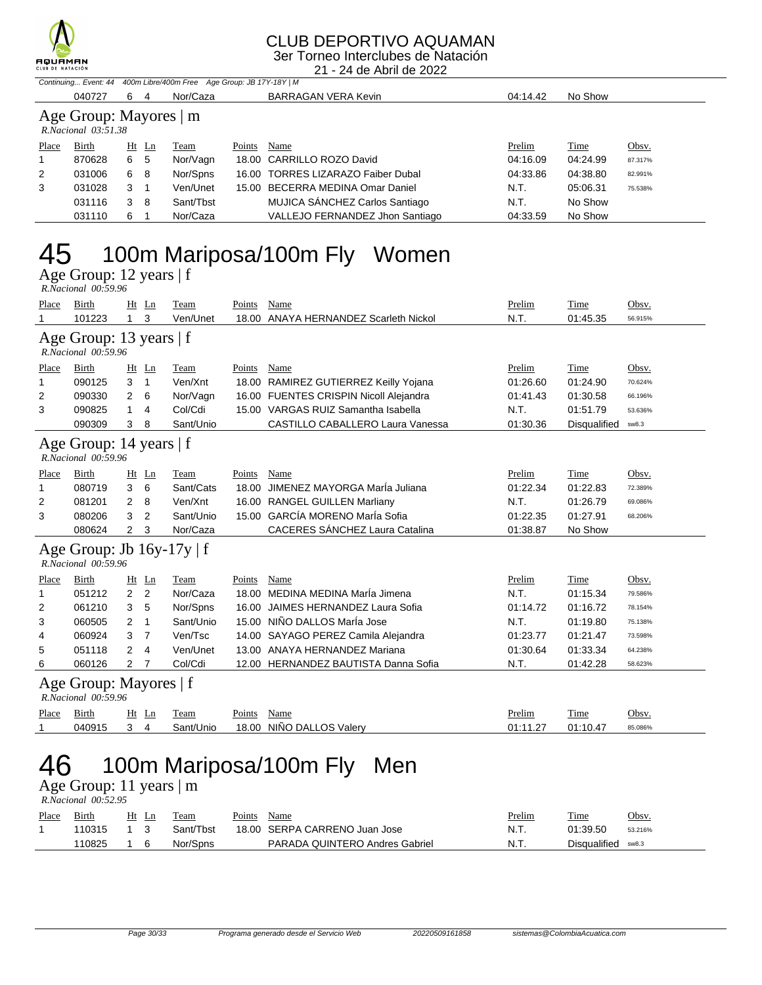

### CLUB DEPORTIVO AQUAMAN

3er Torneo Interclubes de Natación

21 - 24 de Abril de 2022

|       | Continuing Event: 44 400m Libre/400m Free Age Group: JB 17Y-18Y   M |     |         |           |        |                                    |          |  |          |         |  |  |
|-------|---------------------------------------------------------------------|-----|---------|-----------|--------|------------------------------------|----------|--|----------|---------|--|--|
|       | 040727                                                              | 6   | 4       | Nor/Caza  |        | <b>BARRAGAN VERA Kevin</b>         | 04:14.42 |  | No Show  |         |  |  |
|       | Age Group: Mayores   m<br>$R. Nacional$ $03:51.38$                  |     |         |           |        |                                    |          |  |          |         |  |  |
| Place | Birth                                                               |     | $Ht$ Ln | Team      | Points | Name                               | Prelim   |  | Time     | Obsv.   |  |  |
|       | 870628                                                              | 6 5 |         | Nor/Vagn  |        | 18.00 CARRILLO ROZO David          | 04:16.09 |  | 04:24.99 | 87.317% |  |  |
| 2     | 031006                                                              | 6   | -8      | Nor/Spns  |        | 16.00 TORRES LIZARAZO Faiber Dubal | 04:33.86 |  | 04:38.80 | 82.991% |  |  |
| 3     | 031028                                                              | 3   |         | Ven/Unet  |        | 15.00 BECERRA MEDINA Omar Daniel   | N.T.     |  | 05:06.31 | 75.538% |  |  |
|       | 031116                                                              | 3   | 8       | Sant/Tbst |        | MUJICA SÁNCHEZ Carlos Santiago     | N.T.     |  | No Show  |         |  |  |
|       | 031110                                                              | 6   |         | Nor/Caza  |        | VALLEJO FERNANDEZ Jhon Santiago    | 04:33.59 |  | No Show  |         |  |  |

# 45 100m Mariposa/100m Fly Women

Age Group: 12 years | f

|       | R.Nacional 00:59.96                                   |                                  |    |           |        |                                         |          |              |         |  |
|-------|-------------------------------------------------------|----------------------------------|----|-----------|--------|-----------------------------------------|----------|--------------|---------|--|
| Place | Birth                                                 | Ht                               | Ln | Team      | Points | Name                                    | Prelim   | Time         | Obsv.   |  |
| 1     | 101223                                                | 3<br>$\mathbf 1$                 |    | Ven/Unet  |        | 18.00 ANAYA HERNANDEZ Scarleth Nickol   | N.T.     | 01:45.35     | 56.915% |  |
|       | Age Group: 13 years $ f $<br>R.Nacional 00:59.96      |                                  |    |           |        |                                         |          |              |         |  |
| Place | Birth                                                 | Ht Ln                            |    | Team      | Points | Name                                    | Prelim   | Time         | Obsv.   |  |
| 1     | 090125                                                | 3<br>$\mathbf{1}$                |    | Ven/Xnt   |        | 18.00 RAMIREZ GUTIERREZ Keilly Yojana   | 01:26.60 | 01:24.90     | 70.624% |  |
| 2     | 090330                                                | 2<br>6                           |    | Nor/Vagn  |        | 16.00 FUENTES CRISPIN Nicoll Alejandra  | 01:41.43 | 01:30.58     | 66.196% |  |
| 3     | 090825                                                | 1<br>4                           |    | Col/Cdi   |        | 15.00 VARGAS RUIZ Samantha Isabella     | N.T.     | 01:51.79     | 53.636% |  |
|       | 090309                                                | 3<br>8                           |    | Sant/Unio |        | <b>CASTILLO CABALLERO Laura Vanessa</b> | 01:30.36 | Disqualified | sw8.3   |  |
|       | Age Group: 14 years   f<br>R.Nacional 00:59.96        |                                  |    |           |        |                                         |          |              |         |  |
| Place | Birth                                                 | $Ht$ Ln                          |    | Team      | Points | Name                                    | Prelim   | Time         | Obsv.   |  |
| 1     | 080719                                                | 3<br>6                           |    | Sant/Cats | 18.00  | JIMENEZ MAYORGA MarÍa Juliana           | 01:22.34 | 01:22.83     | 72.389% |  |
| 2     | 081201                                                | 2<br>8                           |    | Ven/Xnt   |        | 16.00 RANGEL GUILLEN Marliany           | N.T.     | 01:26.79     | 69.086% |  |
| 3     | 080206                                                | 3<br>$\overline{2}$              |    | Sant/Unio |        | 15.00 GARCÍA MORENO MarÍa Sofia         | 01:22.35 | 01:27.91     | 68.206% |  |
|       | 080624                                                | 2<br>3                           |    | Nor/Caza  |        | <b>CACERES SÁNCHEZ Laura Catalina</b>   | 01:38.87 | No Show      |         |  |
|       | Age Group: Jb $16y-17y \mid f$<br>R.Nacional 00:59.96 |                                  |    |           |        |                                         |          |              |         |  |
| Place | Birth                                                 | Ht Ln                            |    | Team      | Points | Name                                    | Prelim   | Time         | Obsv.   |  |
| 1     | 051212                                                | $\overline{2}$<br>2              |    | Nor/Caza  |        | 18.00 MEDINA MEDINA María Jimena        | N.T.     | 01:15.34     | 79.586% |  |
| 2     | 061210                                                | 3<br>5                           |    | Nor/Spns  | 16.00  | JAIMES HERNANDEZ Laura Sofia            | 01:14.72 | 01:16.72     | 78.154% |  |
| 3     | 060505                                                | $\overline{2}$<br>1              |    | Sant/Unio |        | 15.00 NIÑO DALLOS MarÍa Jose            | N.T.     | 01:19.80     | 75.138% |  |
| 4     | 060924                                                | 3<br>$\overline{7}$              |    | Ven/Tsc   |        | 14.00 SAYAGO PEREZ Camila Alejandra     | 01:23.77 | 01:21.47     | 73.598% |  |
| 5     | 051118                                                | $\overline{2}$<br>$\overline{4}$ |    | Ven/Unet  |        | 13.00 ANAYA HERNANDEZ Mariana           | 01:30.64 | 01:33.34     | 64.238% |  |
| 6     | 060126                                                | 2<br>7                           |    | Col/Cdi   |        | 12.00 HERNANDEZ BAUTISTA Danna Sofia    | N.T.     | 01:42.28     | 58.623% |  |
|       | Age Group: Mayores   f<br>$R. Nacional$ 00:59.96      |                                  |    |           |        |                                         |          |              |         |  |
| Place | Birth                                                 | $Ht$ Ln                          |    | Team      | Points | Name                                    | Prelim   | Time         | Obsv.   |  |
| 1     | 040915                                                | $\overline{4}$<br>3              |    | Sant/Unio |        | 18.00 NIÑO DALLOS Valery                | 01:11.27 | 01:10.47     | 85.086% |  |
|       | $100 \times 100$ $\mu$                                |                                  |    |           |        |                                         |          |              |         |  |

## 46 100m Mariposa/100m Fly Men

Age Group: 11 years | m  *R.Nacional 00:52.95* 

| Place | Birth  | Ht | eam       | Points | Name                           | Prelim | Time         | Obsv.   |
|-------|--------|----|-----------|--------|--------------------------------|--------|--------------|---------|
|       | 110315 |    | Sant/Tbst |        | 18.00 SERPA CARRENO Juan Jose  | N.T.   | 01:39.50     | 53.216% |
|       | 110825 |    | Nor/Spns  |        | PARADA QUINTERO Andres Gabriel | N.T.   | Disqualified | sw8.3   |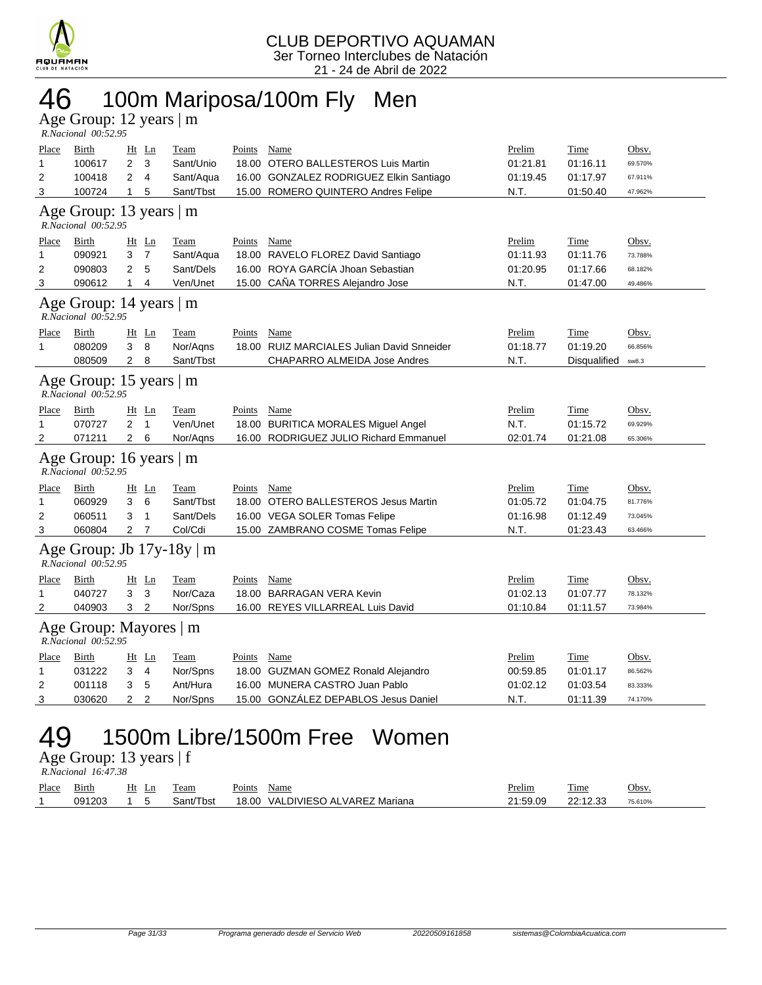

# 46 100m Mariposa/100m Fly Men

Age Group: 12 years | m

|              | R.Nacional 00:52.95                            |                |                |                                |               |                                            |          |              |         |  |  |
|--------------|------------------------------------------------|----------------|----------------|--------------------------------|---------------|--------------------------------------------|----------|--------------|---------|--|--|
| <b>Place</b> | <b>Birth</b>                                   |                | $Ht$ Ln        | <u>Team</u>                    | Points Name   |                                            | Prelim   | <b>Time</b>  | Obsv.   |  |  |
| 1            | 100617                                         | $\overline{2}$ | 3              | Sant/Unio                      |               | 18.00 OTERO BALLESTEROS Luis Martin        | 01:21.81 | 01:16.11     | 69.570% |  |  |
| 2            | 100418                                         | 2              | $\overline{4}$ | Sant/Aqua                      |               | 16.00 GONZALEZ RODRIGUEZ Elkin Santiago    | 01:19.45 | 01:17.97     | 67.911% |  |  |
| 3            | 100724                                         | $\mathbf{1}$   | 5              | Sant/Tbst                      |               | 15.00 ROMERO QUINTERO Andres Felipe        | N.T.     | 01:50.40     | 47.962% |  |  |
|              | Age Group: 13 years   m<br>R.Nacional 00:52.95 |                |                |                                |               |                                            |          |              |         |  |  |
| Place        | Birth                                          |                | $Ht$ Ln        | <b>Team</b>                    | Points        | Name                                       | Prelim   | Time         | Obsv.   |  |  |
| 1            | 090921                                         | 3              | $\overline{7}$ | Sant/Aqua                      |               | 18.00 RAVELO FLOREZ David Santiago         | 01:11.93 | 01:11.76     | 73.788% |  |  |
| 2            | 090803                                         | $\overline{2}$ | 5              | Sant/Dels                      |               | 16.00 ROYA GARCÍA Jhoan Sebastian          | 01:20.95 | 01:17.66     | 68.182% |  |  |
| 3            | 090612                                         | $\mathbf{1}$   | 4              | Ven/Unet                       |               | 15.00 CAÑA TORRES Alejandro Jose           | N.T.     | 01:47.00     | 49.486% |  |  |
|              | Age Group: 14 years   m<br>R.Nacional 00:52.95 |                |                |                                |               |                                            |          |              |         |  |  |
| <b>Place</b> | <b>Birth</b>                                   |                | Ht Ln          | <u>Team</u>                    | <b>Points</b> | <b>Name</b>                                | Prelim   | <u>Time</u>  | Obsv.   |  |  |
| 1            | 080209                                         | 3              | 8              | Nor/Aqns                       |               | 18.00 RUIZ MARCIALES Julian David Snneider | 01:18.77 | 01:19.20     | 66.856% |  |  |
|              | 080509                                         | $\overline{2}$ | 8              | Sant/Tbst                      |               | <b>CHAPARRO ALMEIDA Jose Andres</b>        | N.T.     | Disqualified | sw8.3   |  |  |
|              | Age Group: 15 years   m<br>R.Nacional 00:52.95 |                |                |                                |               |                                            |          |              |         |  |  |
| Place        | Birth                                          |                | $Ht$ Ln        | Team                           | Points        | Name                                       | Prelim   | Time         | Obsv.   |  |  |
| 1            | 070727                                         | 2              | $\mathbf{1}$   | Ven/Unet                       |               | 18.00 BURITICA MORALES Miguel Angel        | N.T.     | 01:15.72     | 69.929% |  |  |
| 2            | 071211                                         | 2              | 6              | Nor/Agns                       |               | 16.00 RODRIGUEZ JULIO Richard Emmanuel     | 02:01.74 | 01:21.08     | 65.306% |  |  |
|              | Age Group: 16 years   m<br>R.Nacional 00:52.95 |                |                |                                |               |                                            |          |              |         |  |  |
| Place        | Birth                                          |                | $Ht$ Ln        | Team                           | Points        | Name                                       | Prelim   | Time         | Obsv.   |  |  |
| 1            | 060929                                         | 3              | 6              | Sant/Tbst                      |               | 18.00 OTERO BALLESTEROS Jesus Martin       | 01:05.72 | 01:04.75     | 81.776% |  |  |
| 2            | 060511                                         | 3              | $\mathbf{1}$   | Sant/Dels                      |               | 16.00 VEGA SOLER Tomas Felipe              | 01:16.98 | 01:12.49     | 73.045% |  |  |
| 3            | 060804                                         | $\overline{2}$ | $\overline{7}$ | Col/Cdi                        |               | 15.00 ZAMBRANO COSME Tomas Felipe          | N.T.     | 01:23.43     | 63.466% |  |  |
|              | R.Nacional 00:52.95                            |                |                | Age Group: Jb $17y-18y \mid m$ |               |                                            |          |              |         |  |  |
| <b>Place</b> | Birth                                          |                | $Ht$ Ln        | <b>Team</b>                    | Points        | Name                                       | Prelim   | <b>Time</b>  | Obsv.   |  |  |
| 1            | 040727                                         | 3              | 3              | Nor/Caza                       |               | 18.00 BARRAGAN VERA Kevin                  | 01:02.13 | 01:07.77     | 78.132% |  |  |
| 2            | 040903                                         | 3              | $\overline{2}$ | Nor/Spns                       |               | 16.00 REYES VILLARREAL Luis David          | 01:10.84 | 01:11.57     | 73.984% |  |  |
|              | Age Group: Mayores   m<br>R.Nacional 00:52.95  |                |                |                                |               |                                            |          |              |         |  |  |
| Place        | Birth                                          |                | $Ht$ Ln        | <b>Team</b>                    | Points        | Name                                       | Prelim   | Time         | Obsv.   |  |  |
| 1            | 031222                                         | 3              | 4              | Nor/Spns                       |               | 18.00 GUZMAN GOMEZ Ronald Alejandro        | 00:59.85 | 01:01.17     | 86.562% |  |  |
| 2            | 001118                                         | 3              | 5              | Ant/Hura                       |               | 16.00 MUNERA CASTRO Juan Pablo             | 01:02.12 | 01:03.54     | 83.333% |  |  |
| 3            | 030620                                         | $\overline{2}$ | $\overline{2}$ | Nor/Spns                       |               | 15.00 GONZALEZ DEPABLOS Jesus Daniel       | N.T.     | 01:11.39     | 74.170% |  |  |
|              | 1500m Libre/1500m Free<br>Women                |                |                |                                |               |                                            |          |              |         |  |  |

Age Group: 13 years | f

| Place | Birth  | Ht<br>Ln | l'eam                | $\sim$ $\sim$<br>Name<br>Points                | Prelim  | m.<br><u>l'ime</u> | ~<br>Jbsv. |
|-------|--------|----------|----------------------|------------------------------------------------|---------|--------------------|------------|
|       | 091203 |          | - -<br>Tbst<br>;ant/ | DIVIESO ALVAREZ Mariana<br>18.00<br><b>VAI</b> | 1:59.09 | 22.12.22           | 75.610%    |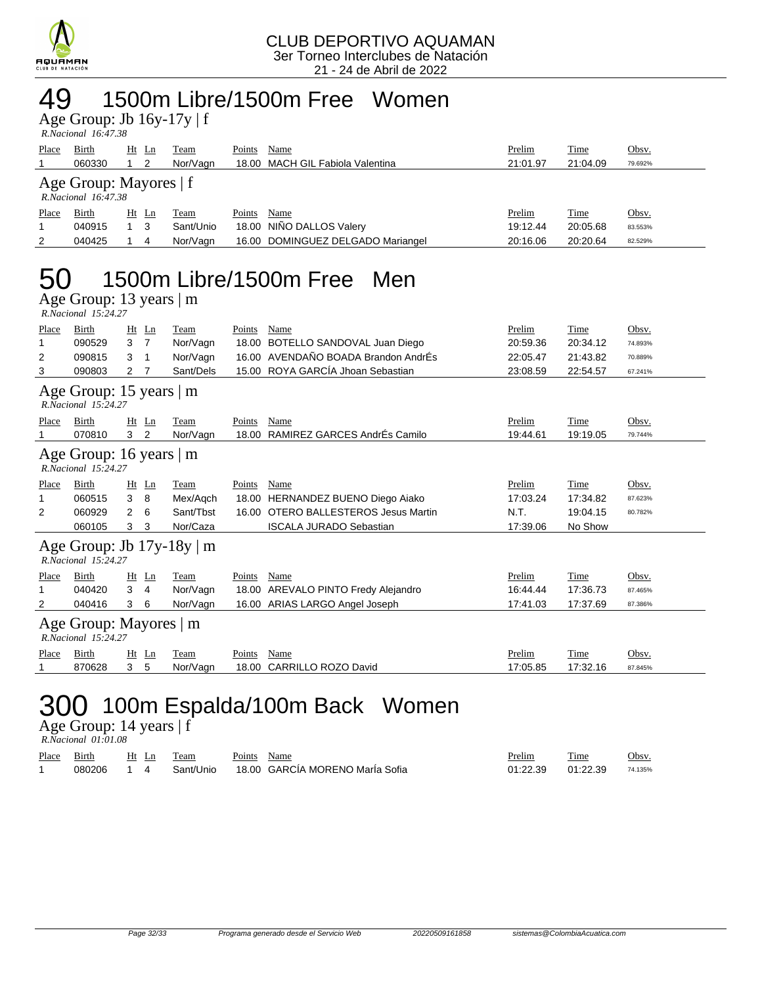

### 49 1500m Libre/1500m Free Women

Age Group: Jb 16y-17y | f  *R.Nacional 16:47.38* 

| Place | Birth<br>060330                                 |  | $Ht$ Ln<br>-2 | Team<br>Nor/Vagn | Points | Name<br>18.00 MACH GIL Fabiola Valentina | Prelim<br>21:01.97 | <b>Time</b><br>21:04.09 | Obsv.<br>79.692% |  |  |
|-------|-------------------------------------------------|--|---------------|------------------|--------|------------------------------------------|--------------------|-------------------------|------------------|--|--|
|       | Age Group: Mayores $ f $<br>R.Nacional 16:47.38 |  |               |                  |        |                                          |                    |                         |                  |  |  |
| Place | Birth                                           |  | $Ht$ Ln       | Team             | Points | Name                                     | Prelim             | Time                    | Obsv.            |  |  |
|       | 040915                                          |  | - 3           | Sant/Unio        |        | 18.00 NIÑO DALLOS Valery                 | 19:12.44           | 20:05.68                | 83.553%          |  |  |
| 2     | 040425                                          |  | 4             | Nor/Vagn         |        | 16.00 DOMINGUEZ DELGADO Mariangel        | 20:16.06           | 20:20.64                | 82.529%          |  |  |
|       |                                                 |  |               |                  |        |                                          |                    |                         |                  |  |  |

### 50 1500m Libre/1500m Free Men

Age Group: 13 years | m  *R.Nacional 15:24.27* 

| Place | Birth                                                 |    | Ht Ln          | Team      | Points | Name                                | Prelim   | Time     | Obsv.   |  |  |
|-------|-------------------------------------------------------|----|----------------|-----------|--------|-------------------------------------|----------|----------|---------|--|--|
| 1     | 090529                                                | 3  | $\overline{7}$ | Nor/Vagn  | 18.00  | BOTELLO SANDOVAL Juan Diego         | 20:59.36 | 20:34.12 | 74.893% |  |  |
| 2     | 090815                                                | 3  | 1              | Nor/Vagn  |        | 16.00 AVENDAÑO BOADA Brandon AndrÉs | 22:05.47 | 21:43.82 | 70.889% |  |  |
| 3     | 090803                                                | 2  |                | Sant/Dels |        | 15.00 ROYA GARCÍA Jhoan Sebastian   | 23:08.59 | 22:54.57 | 67.241% |  |  |
|       | Age Group: 15 years   m<br>$R. Nacional$ 15:24.27     |    |                |           |        |                                     |          |          |         |  |  |
| Place | <b>Birth</b>                                          | Ht | Ln             | Team      | Points | Name                                | Prelim   | Time     | Obsv.   |  |  |
|       | 070810                                                | 3  | 2              | Nor/Vagn  | 18.00  | RAMIREZ GARCES AndrÉs Camilo        | 19:44.61 | 19:19.05 | 79.744% |  |  |
|       | Age Group: 16 years $ m$<br>R.Nacional 15:24.27       |    |                |           |        |                                     |          |          |         |  |  |
| Place | Birth                                                 | Ht | Ln             | Team      | Points | Name                                | Prelim   | Time     | Obsv.   |  |  |
| 1     | 060515                                                | 3  | 8              | Mex/Agch  |        | 18.00 HERNANDEZ BUENO Diego Aiako   | 17:03.24 | 17:34.82 | 87.623% |  |  |
| 2     | 060929                                                | 2  | 6              | Sant/Tbst | 16.00  | OTERO BALLESTEROS Jesus Martin      | N.T.     | 19:04.15 | 80.782% |  |  |
|       | 060105                                                | 3  | 3              | Nor/Caza  |        | <b>ISCALA JURADO Sebastian</b>      | 17:39.06 | No Show  |         |  |  |
|       | Age Group: Jb $17y-18y \mid m$<br>R.Nacional 15:24.27 |    |                |           |        |                                     |          |          |         |  |  |
| Place | Birth                                                 | Ht | Ln             | Team      | Points | Name                                | Prelim   | Time     | Obsv.   |  |  |
|       | 040420                                                | 3  | 4              | Nor/Vagn  |        | 18.00 AREVALO PINTO Fredy Alejandro | 16:44.44 | 17:36.73 | 87.465% |  |  |
| 2     | 040416                                                | 3  | 6              | Nor/Vagn  |        | 16.00 ARIAS LARGO Angel Joseph      | 17:41.03 | 17:37.69 | 87.386% |  |  |
|       | Age Group: Mayores   m<br>$R. Nacional$ 15:24.27      |    |                |           |        |                                     |          |          |         |  |  |
| Place | Birth                                                 |    | $Ht$ Ln        | Team      | Points | Name                                | Prelim   | Time     | Obsv.   |  |  |
|       | 870628                                                | 3  | 5              | Nor/Vagn  | 18.00  | <b>CARRILLO ROZO David</b>          | 17:05.85 | 17:32.16 | 87.845% |  |  |

# 300 100m Espalda/100m Back Women

Age Group: 14 years | f  *R.Nacional 01:01.08* 

| Place | Birth  | Ht Ln                         | Team      | Points | Name                            | Prelim   | <b>Time</b> | Obsv.   |
|-------|--------|-------------------------------|-----------|--------|---------------------------------|----------|-------------|---------|
|       | 080206 | $\overline{1}$ $\overline{4}$ | Sant/Unio |        | 18.00 GARCÍA MORENO MarÍa Sofia | 01:22.39 | 01:22.39    | 74.135% |